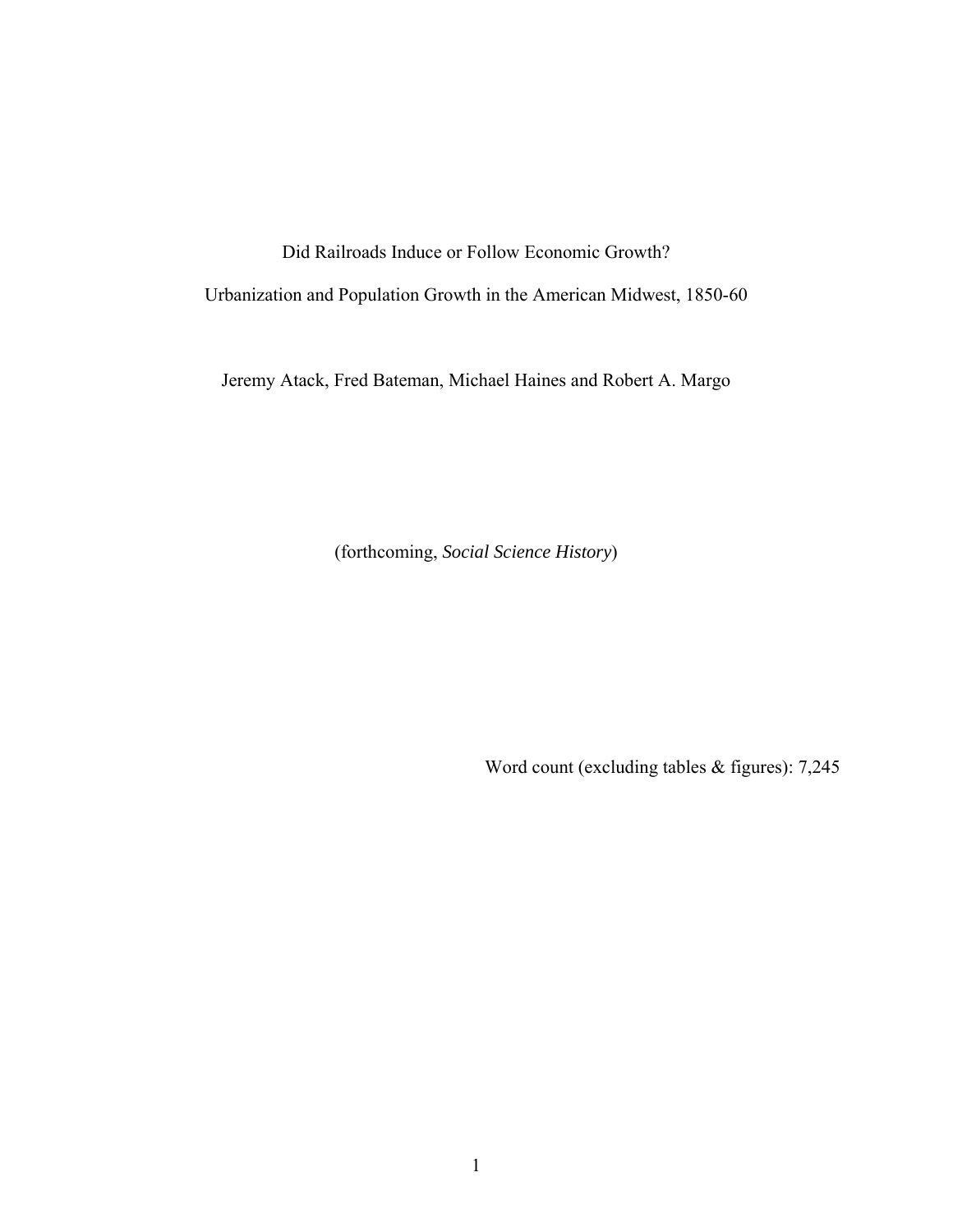Did Railroads Induce or Follow Economic Growth?

Urbanization and Population Growth in the American Midwest, 1850-60

Jeremy Atack, Fred Bateman, Michael Haines and Robert A. Margo

(forthcoming, *Social Science History*)

Word count (excluding tables & figures): 7,245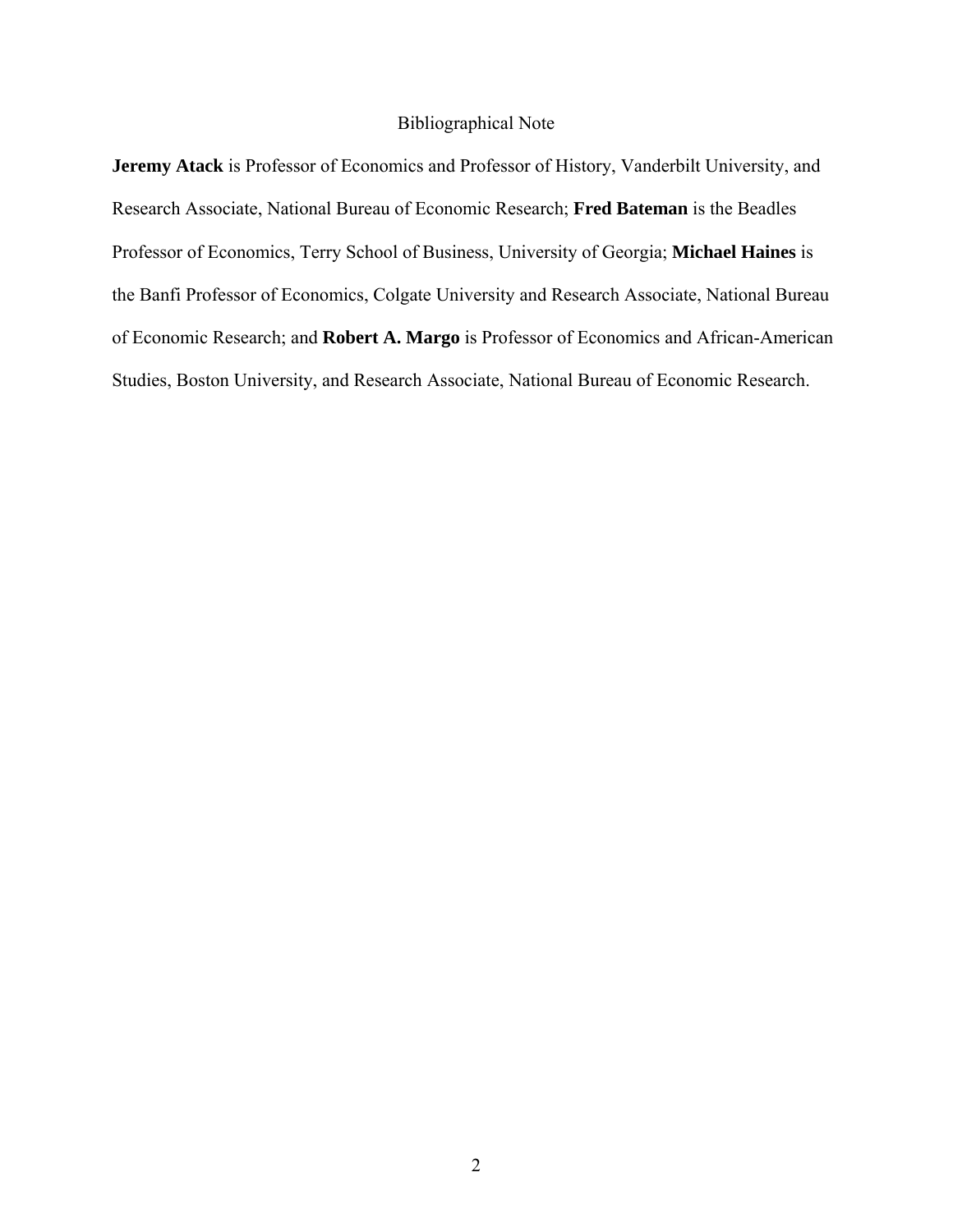## Bibliographical Note

**Jeremy Atack** is Professor of Economics and Professor of History, Vanderbilt University, and Research Associate, National Bureau of Economic Research; **Fred Bateman** is the Beadles Professor of Economics, Terry School of Business, University of Georgia; **Michael Haines** is the Banfi Professor of Economics, Colgate University and Research Associate, National Bureau of Economic Research; and **Robert A. Margo** is Professor of Economics and African-American Studies, Boston University, and Research Associate, National Bureau of Economic Research.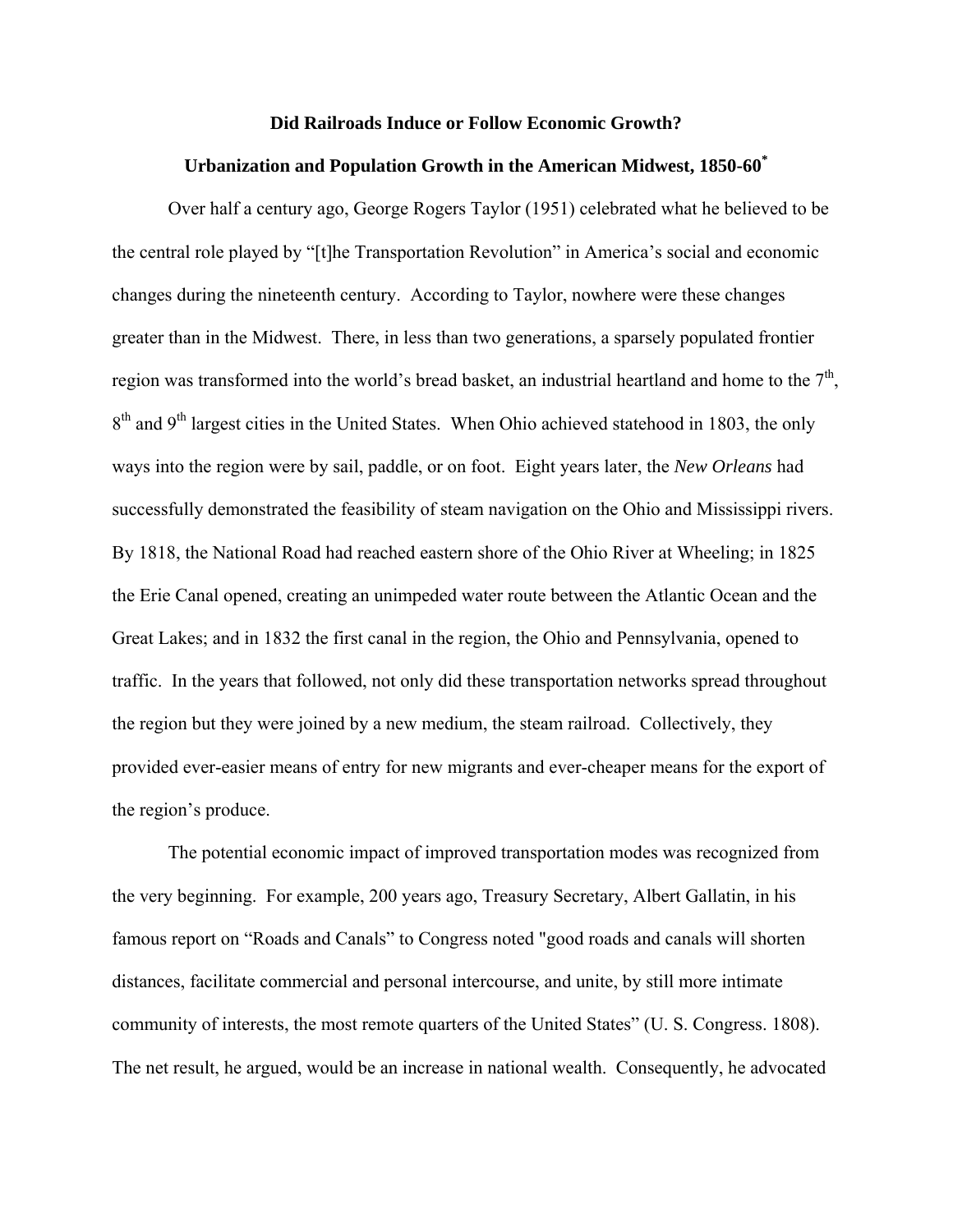#### **Did Railroads Induce or Follow Economic Growth?**

## **Urbanization and Population Growth in the American Midwest, 1850-60\***

Over half a century ago, George Rogers Taylor (1951) celebrated what he believed to be the central role played by "[t]he Transportation Revolution" in America's social and economic changes during the nineteenth century. According to Taylor, nowhere were these changes greater than in the Midwest. There, in less than two generations, a sparsely populated frontier region was transformed into the world's bread basket, an industrial heartland and home to the  $7<sup>th</sup>$ , 8<sup>th</sup> and 9<sup>th</sup> largest cities in the United States. When Ohio achieved statehood in 1803, the only ways into the region were by sail, paddle, or on foot. Eight years later, the *New Orleans* had successfully demonstrated the feasibility of steam navigation on the Ohio and Mississippi rivers. By 1818, the National Road had reached eastern shore of the Ohio River at Wheeling; in 1825 the Erie Canal opened, creating an unimpeded water route between the Atlantic Ocean and the Great Lakes; and in 1832 the first canal in the region, the Ohio and Pennsylvania, opened to traffic. In the years that followed, not only did these transportation networks spread throughout the region but they were joined by a new medium, the steam railroad. Collectively, they provided ever-easier means of entry for new migrants and ever-cheaper means for the export of the region's produce.

The potential economic impact of improved transportation modes was recognized from the very beginning. For example, 200 years ago, Treasury Secretary, Albert Gallatin, in his famous report on "Roads and Canals" to Congress noted "good roads and canals will shorten distances, facilitate commercial and personal intercourse, and unite, by still more intimate community of interests, the most remote quarters of the United States" (U. S. Congress. 1808). The net result, he argued, would be an increase in national wealth. Consequently, he advocated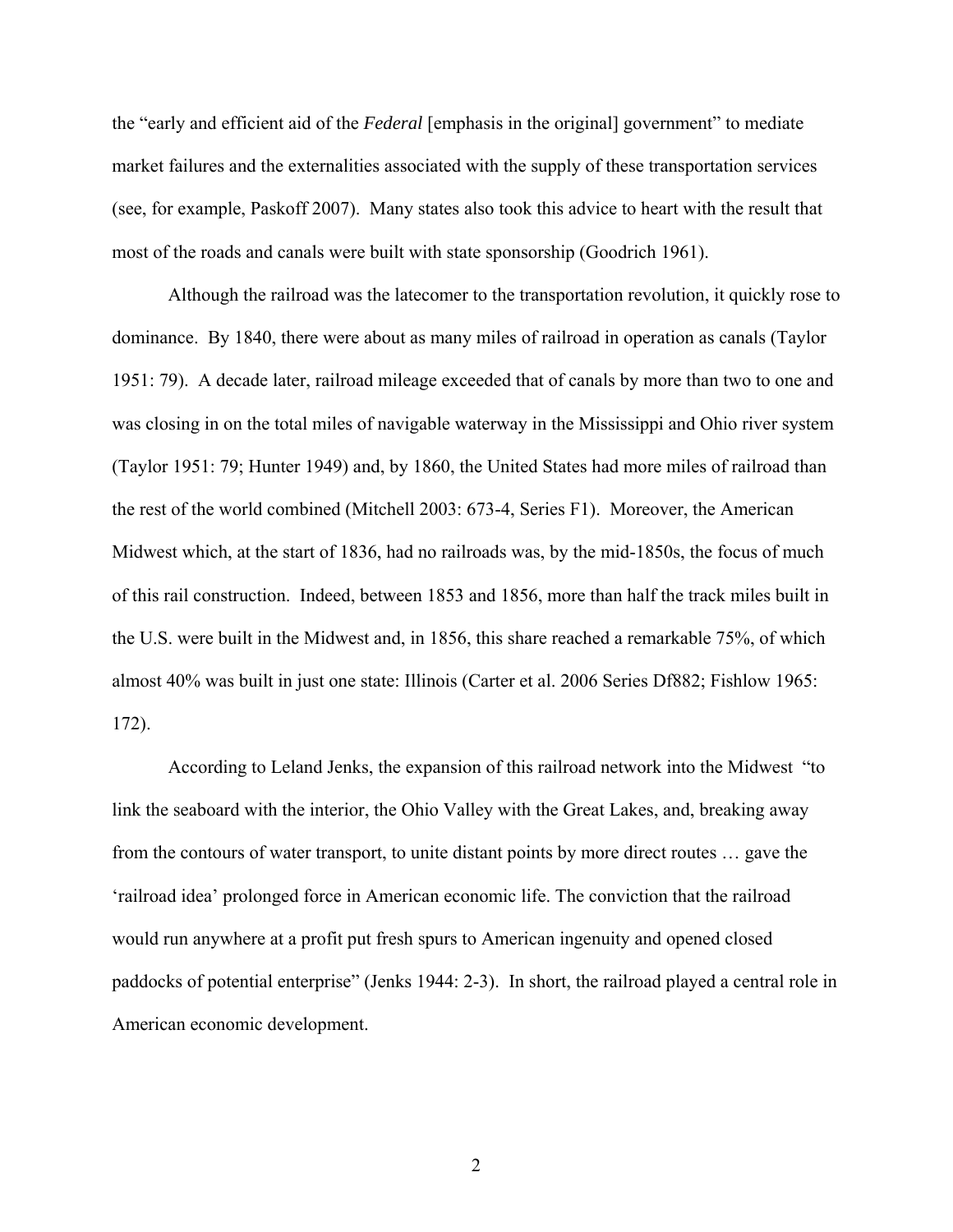the "early and efficient aid of the *Federal* [emphasis in the original] government" to mediate market failures and the externalities associated with the supply of these transportation services (see, for example, Paskoff 2007). Many states also took this advice to heart with the result that most of the roads and canals were built with state sponsorship (Goodrich 1961).

Although the railroad was the latecomer to the transportation revolution, it quickly rose to dominance. By 1840, there were about as many miles of railroad in operation as canals (Taylor 1951: 79). A decade later, railroad mileage exceeded that of canals by more than two to one and was closing in on the total miles of navigable waterway in the Mississippi and Ohio river system (Taylor 1951: 79; Hunter 1949) and, by 1860, the United States had more miles of railroad than the rest of the world combined (Mitchell 2003: 673-4, Series F1). Moreover, the American Midwest which, at the start of 1836, had no railroads was, by the mid-1850s, the focus of much of this rail construction. Indeed, between 1853 and 1856, more than half the track miles built in the U.S. were built in the Midwest and, in 1856, this share reached a remarkable 75%, of which almost 40% was built in just one state: Illinois (Carter et al. 2006 Series Df882; Fishlow 1965: 172).

According to Leland Jenks, the expansion of this railroad network into the Midwest "to link the seaboard with the interior, the Ohio Valley with the Great Lakes, and, breaking away from the contours of water transport, to unite distant points by more direct routes … gave the 'railroad idea' prolonged force in American economic life. The conviction that the railroad would run anywhere at a profit put fresh spurs to American ingenuity and opened closed paddocks of potential enterprise" (Jenks 1944: 2-3). In short, the railroad played a central role in American economic development.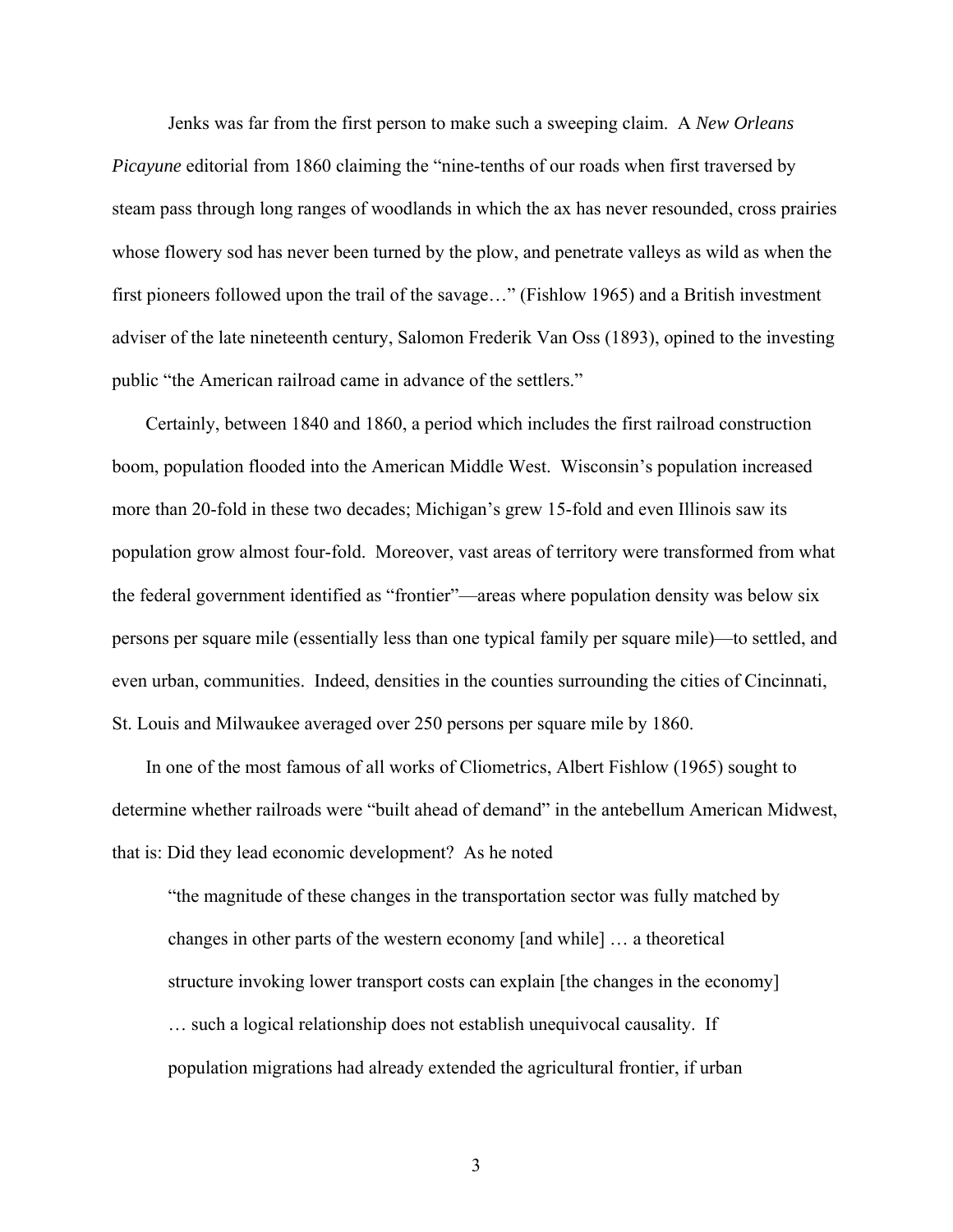Jenks was far from the first person to make such a sweeping claim. A *New Orleans Picayune* editorial from 1860 claiming the "nine-tenths of our roads when first traversed by steam pass through long ranges of woodlands in which the ax has never resounded, cross prairies whose flowery sod has never been turned by the plow, and penetrate valleys as wild as when the first pioneers followed upon the trail of the savage…" (Fishlow 1965) and a British investment adviser of the late nineteenth century, Salomon Frederik Van Oss (1893), opined to the investing public "the American railroad came in advance of the settlers."

Certainly, between 1840 and 1860, a period which includes the first railroad construction boom, population flooded into the American Middle West. Wisconsin's population increased more than 20-fold in these two decades; Michigan's grew 15-fold and even Illinois saw its population grow almost four-fold. Moreover, vast areas of territory were transformed from what the federal government identified as "frontier"—areas where population density was below six persons per square mile (essentially less than one typical family per square mile)—to settled, and even urban, communities. Indeed, densities in the counties surrounding the cities of Cincinnati, St. Louis and Milwaukee averaged over 250 persons per square mile by 1860.

In one of the most famous of all works of Cliometrics, Albert Fishlow (1965) sought to determine whether railroads were "built ahead of demand" in the antebellum American Midwest, that is: Did they lead economic development? As he noted

"the magnitude of these changes in the transportation sector was fully matched by changes in other parts of the western economy [and while] … a theoretical structure invoking lower transport costs can explain [the changes in the economy] … such a logical relationship does not establish unequivocal causality. If population migrations had already extended the agricultural frontier, if urban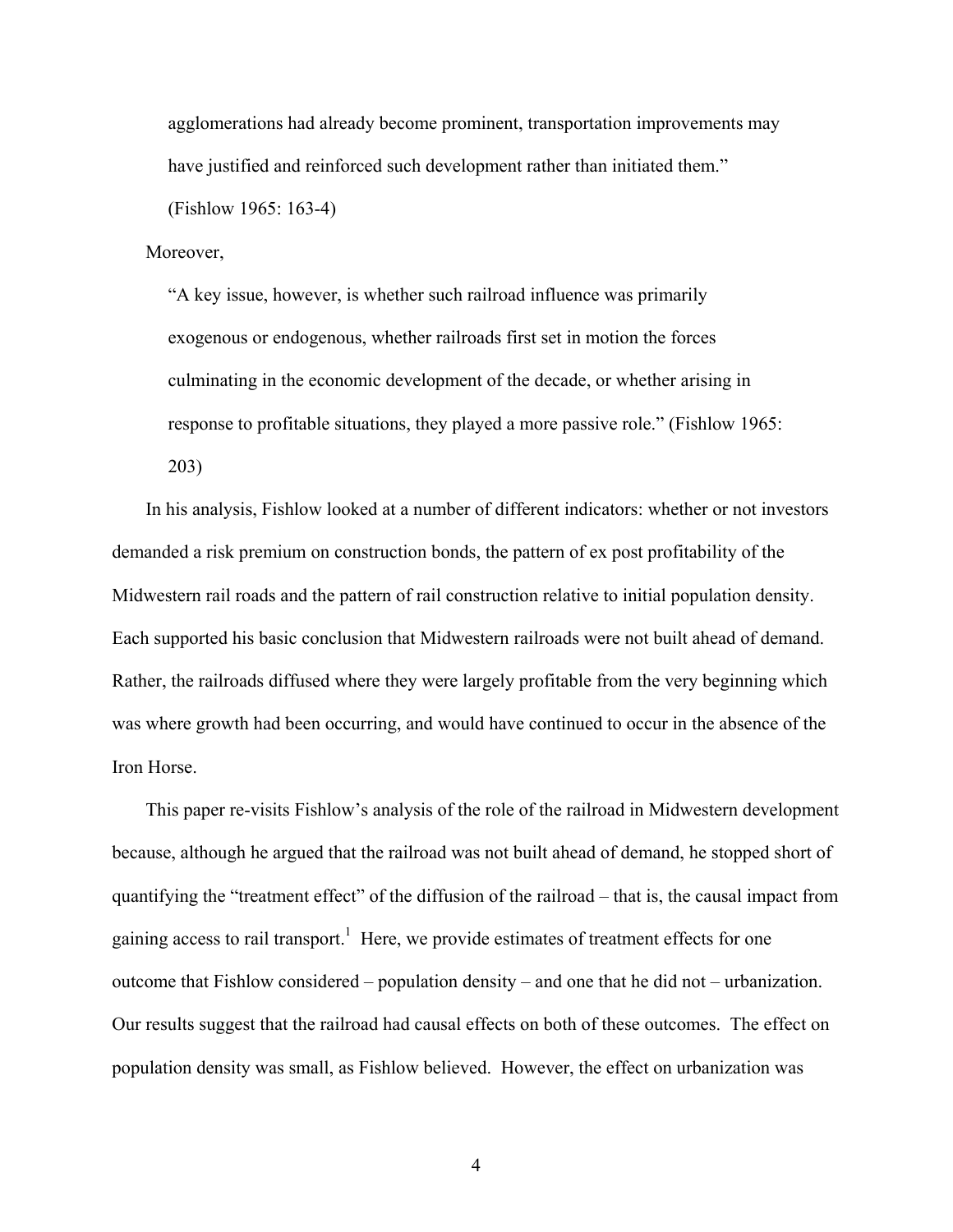agglomerations had already become prominent, transportation improvements may have justified and reinforced such development rather than initiated them." (Fishlow 1965: 163-4)

Moreover,

"A key issue, however, is whether such railroad influence was primarily exogenous or endogenous, whether railroads first set in motion the forces culminating in the economic development of the decade, or whether arising in response to profitable situations, they played a more passive role." (Fishlow 1965: 203)

In his analysis, Fishlow looked at a number of different indicators: whether or not investors demanded a risk premium on construction bonds, the pattern of ex post profitability of the Midwestern rail roads and the pattern of rail construction relative to initial population density. Each supported his basic conclusion that Midwestern railroads were not built ahead of demand. Rather, the railroads diffused where they were largely profitable from the very beginning which was where growth had been occurring, and would have continued to occur in the absence of the Iron Horse.

This paper re-visits Fishlow's analysis of the role of the railroad in Midwestern development because, although he argued that the railroad was not built ahead of demand, he stopped short of quantifying the "treatment effect" of the diffusion of the railroad – that is, the causal impact from gaining access to rail transport.<sup>1</sup> Here, we provide estimates of treatment effects for one outcome that Fishlow considered – population density – and one that he did not – urbanization. Our results suggest that the railroad had causal effects on both of these outcomes. The effect on population density was small, as Fishlow believed. However, the effect on urbanization was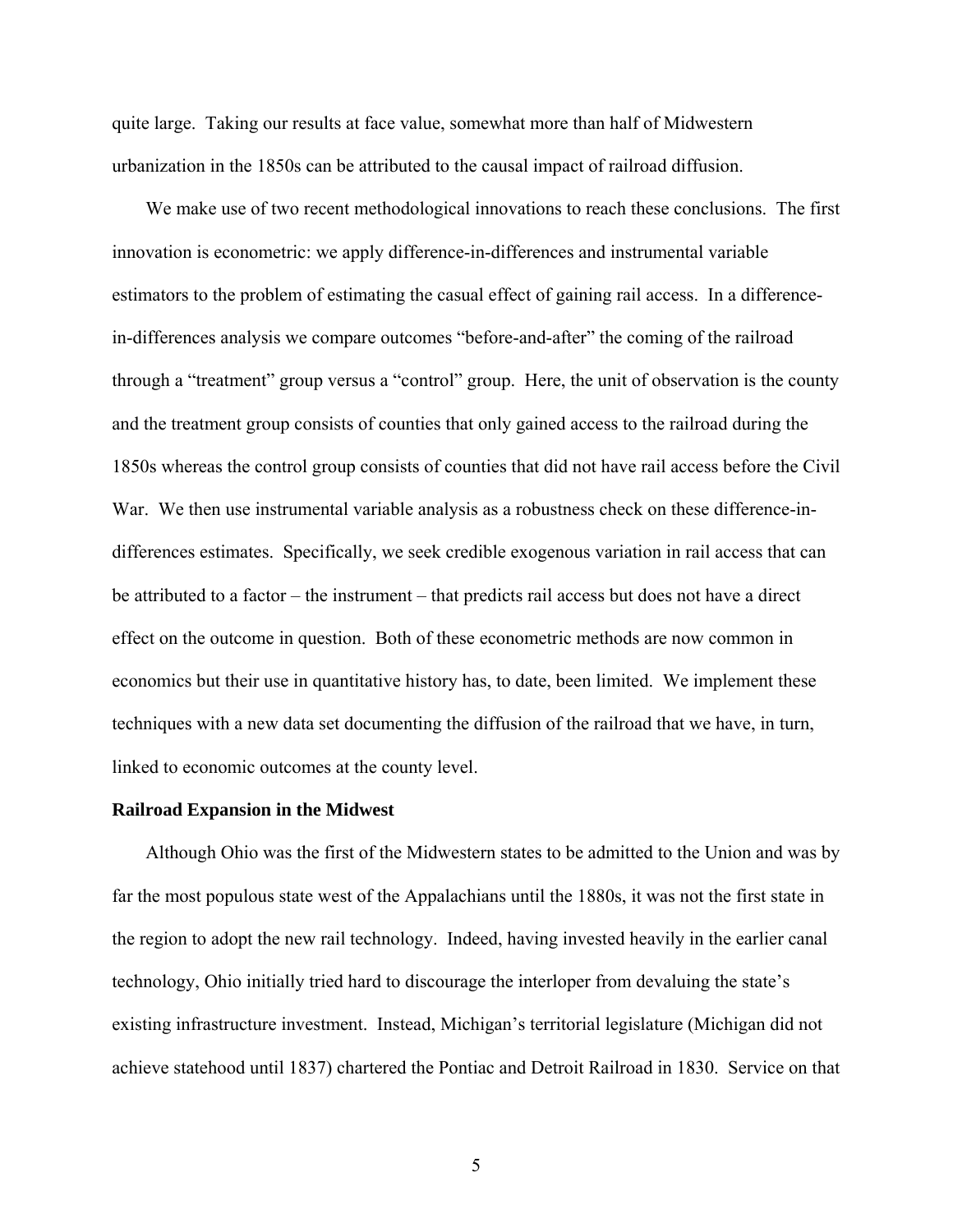quite large. Taking our results at face value, somewhat more than half of Midwestern urbanization in the 1850s can be attributed to the causal impact of railroad diffusion.

We make use of two recent methodological innovations to reach these conclusions. The first innovation is econometric: we apply difference-in-differences and instrumental variable estimators to the problem of estimating the casual effect of gaining rail access. In a differencein-differences analysis we compare outcomes "before-and-after" the coming of the railroad through a "treatment" group versus a "control" group. Here, the unit of observation is the county and the treatment group consists of counties that only gained access to the railroad during the 1850s whereas the control group consists of counties that did not have rail access before the Civil War. We then use instrumental variable analysis as a robustness check on these difference-indifferences estimates. Specifically, we seek credible exogenous variation in rail access that can be attributed to a factor – the instrument – that predicts rail access but does not have a direct effect on the outcome in question. Both of these econometric methods are now common in economics but their use in quantitative history has, to date, been limited. We implement these techniques with a new data set documenting the diffusion of the railroad that we have, in turn, linked to economic outcomes at the county level.

#### **Railroad Expansion in the Midwest**

Although Ohio was the first of the Midwestern states to be admitted to the Union and was by far the most populous state west of the Appalachians until the 1880s, it was not the first state in the region to adopt the new rail technology. Indeed, having invested heavily in the earlier canal technology, Ohio initially tried hard to discourage the interloper from devaluing the state's existing infrastructure investment. Instead, Michigan's territorial legislature (Michigan did not achieve statehood until 1837) chartered the Pontiac and Detroit Railroad in 1830. Service on that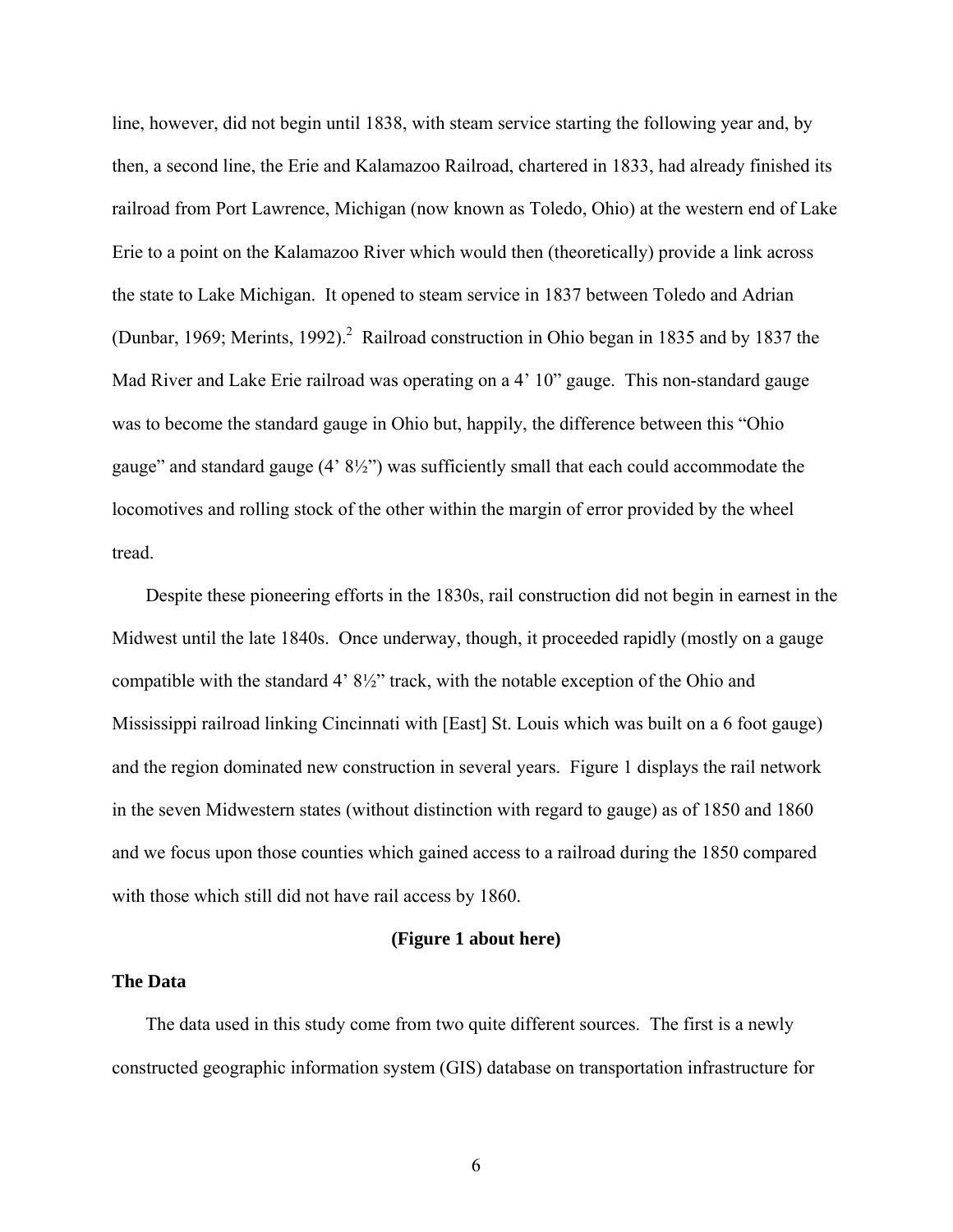line, however, did not begin until 1838, with steam service starting the following year and, by then, a second line, the Erie and Kalamazoo Railroad, chartered in 1833, had already finished its railroad from Port Lawrence, Michigan (now known as Toledo, Ohio) at the western end of Lake Erie to a point on the Kalamazoo River which would then (theoretically) provide a link across the state to Lake Michigan. It opened to steam service in 1837 between Toledo and Adrian (Dunbar, 1969; Merints, 1992).<sup>2</sup> Railroad construction in Ohio began in 1835 and by 1837 the Mad River and Lake Erie railroad was operating on a 4' 10" gauge. This non-standard gauge was to become the standard gauge in Ohio but, happily, the difference between this "Ohio gauge" and standard gauge (4' 8½") was sufficiently small that each could accommodate the locomotives and rolling stock of the other within the margin of error provided by the wheel tread.

Despite these pioneering efforts in the 1830s, rail construction did not begin in earnest in the Midwest until the late 1840s. Once underway, though, it proceeded rapidly (mostly on a gauge compatible with the standard 4' 8½" track, with the notable exception of the Ohio and Mississippi railroad linking Cincinnati with [East] St. Louis which was built on a 6 foot gauge) and the region dominated new construction in several years. Figure 1 displays the rail network in the seven Midwestern states (without distinction with regard to gauge) as of 1850 and 1860 and we focus upon those counties which gained access to a railroad during the 1850 compared with those which still did not have rail access by 1860.

## **(Figure 1 about here)**

#### **The Data**

The data used in this study come from two quite different sources. The first is a newly constructed geographic information system (GIS) database on transportation infrastructure for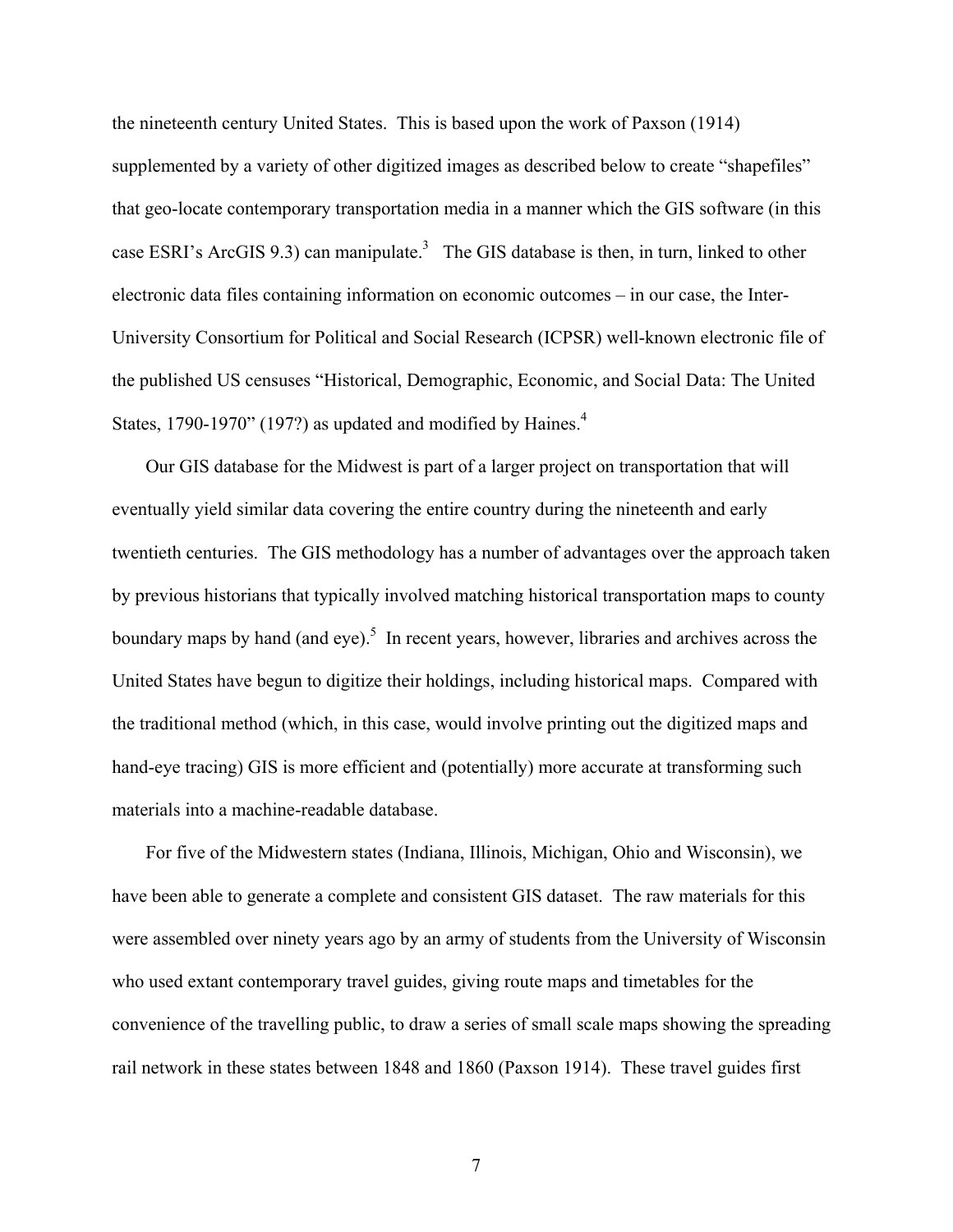the nineteenth century United States. This is based upon the work of Paxson (1914) supplemented by a variety of other digitized images as described below to create "shapefiles" that geo-locate contemporary transportation media in a manner which the GIS software (in this case ESRI's ArcGIS 9.3) can manipulate.<sup>3</sup> The GIS database is then, in turn, linked to other electronic data files containing information on economic outcomes – in our case, the Inter-University Consortium for Political and Social Research (ICPSR) well-known electronic file of the published US censuses "Historical, Demographic, Economic, and Social Data: The United States, 1790-1970" (197?) as updated and modified by Haines. $4$ 

Our GIS database for the Midwest is part of a larger project on transportation that will eventually yield similar data covering the entire country during the nineteenth and early twentieth centuries. The GIS methodology has a number of advantages over the approach taken by previous historians that typically involved matching historical transportation maps to county boundary maps by hand (and eye).<sup>5</sup> In recent years, however, libraries and archives across the United States have begun to digitize their holdings, including historical maps. Compared with the traditional method (which, in this case, would involve printing out the digitized maps and hand-eye tracing) GIS is more efficient and (potentially) more accurate at transforming such materials into a machine-readable database.

For five of the Midwestern states (Indiana, Illinois, Michigan, Ohio and Wisconsin), we have been able to generate a complete and consistent GIS dataset. The raw materials for this were assembled over ninety years ago by an army of students from the University of Wisconsin who used extant contemporary travel guides, giving route maps and timetables for the convenience of the travelling public, to draw a series of small scale maps showing the spreading rail network in these states between 1848 and 1860 (Paxson 1914). These travel guides first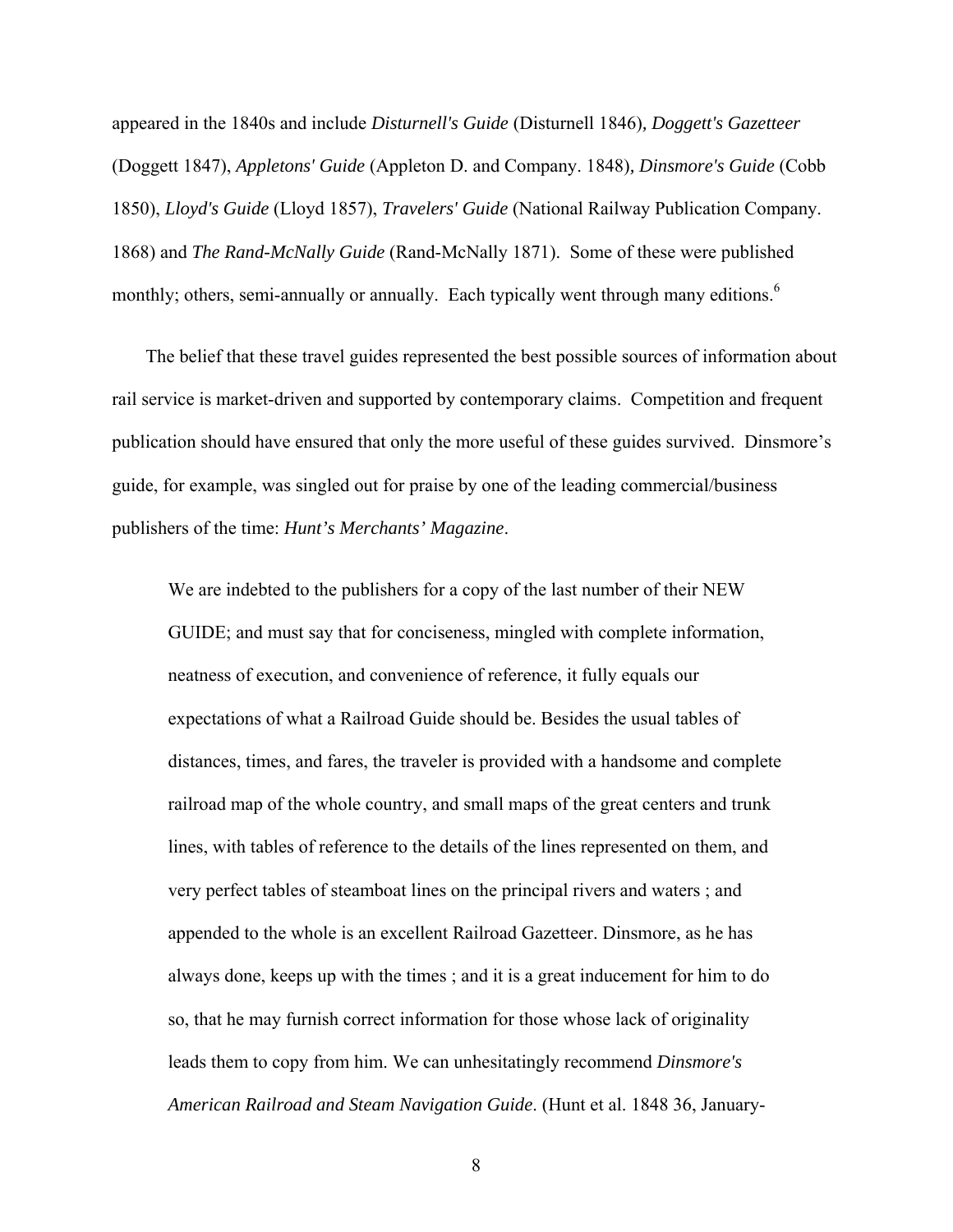appeared in the 1840s and include *Disturnell's Guide* (Disturnell 1846)*, Doggett's Gazetteer*  (Doggett 1847), *Appletons' Guide* (Appleton D. and Company. 1848)*, Dinsmore's Guide* (Cobb 1850), *Lloyd's Guide* (Lloyd 1857), *Travelers' Guide* (National Railway Publication Company. 1868) and *The Rand-McNally Guide* (Rand-McNally 1871). Some of these were published monthly; others, semi-annually or annually. Each typically went through many editions.<sup>6</sup>

The belief that these travel guides represented the best possible sources of information about rail service is market-driven and supported by contemporary claims. Competition and frequent publication should have ensured that only the more useful of these guides survived. Dinsmore's guide, for example, was singled out for praise by one of the leading commercial/business publishers of the time: *Hunt's Merchants' Magazine*.

We are indebted to the publishers for a copy of the last number of their NEW GUIDE; and must say that for conciseness, mingled with complete information, neatness of execution, and convenience of reference, it fully equals our expectations of what a Railroad Guide should bе. Besides the usual tables of distances, times, and fares, the traveler is provided with a handsome and complete railroad map of the whole country, and small maps of the great centers and trunk lines, with tables of reference to the details of the lines represented on them, and very perfect tables of steamboat lines on the principal rivers and waters ; and appended to the whole is an excellent Railroad Gazetteer. Dinsmore, as he has always done, keeps up with the times ; and it is a great inducement for him to do so, that he may furnish correct information for those whose lack of originality leads them to copy from him. We can unhesitatingly recommend *Dinsmore's American Railroad and Steam Navigation Guide*. (Hunt et al. 1848 36, January-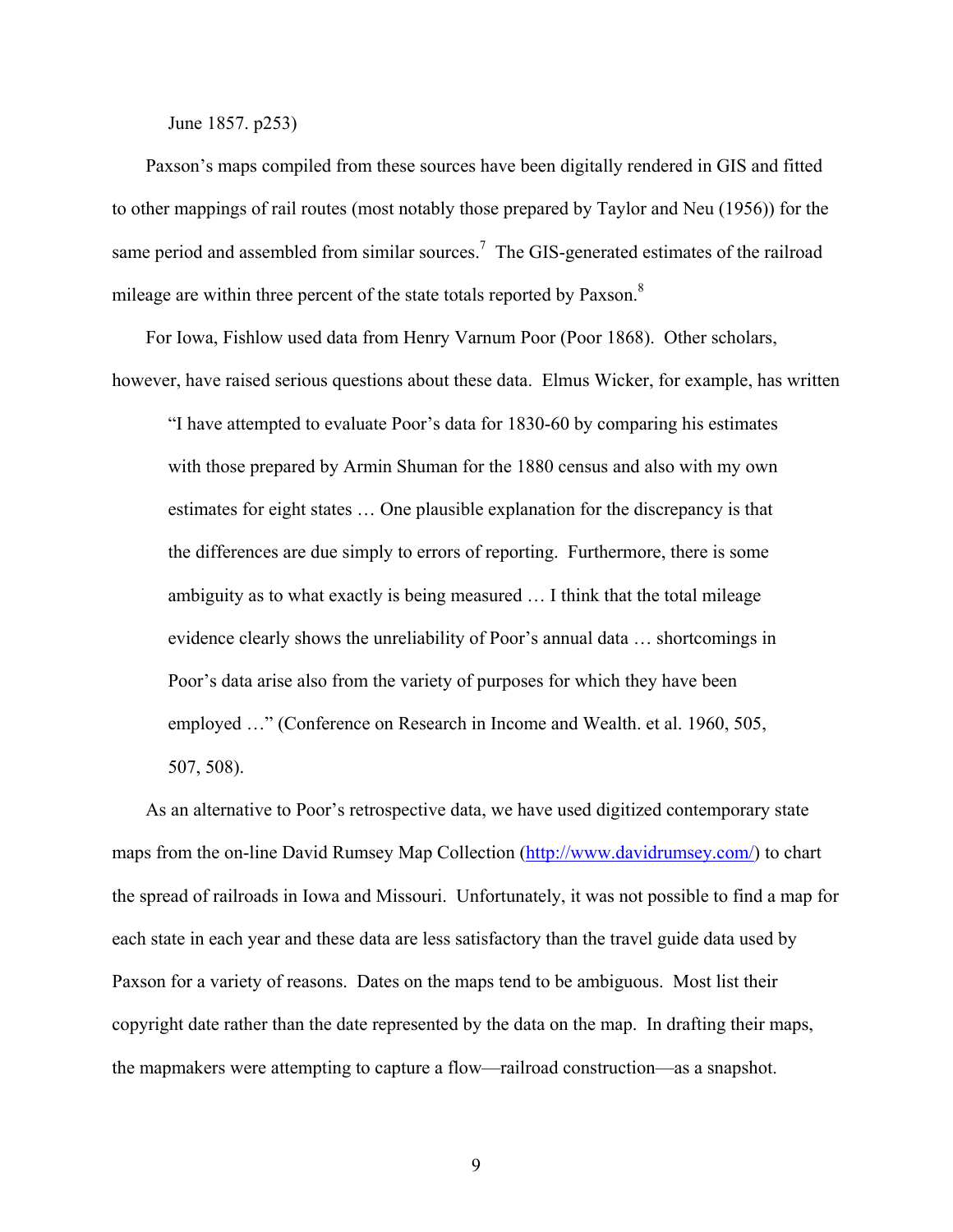June 1857. p253)

Paxson's maps compiled from these sources have been digitally rendered in GIS and fitted to other mappings of rail routes (most notably those prepared by Taylor and Neu (1956)) for the same period and assembled from similar sources.<sup>7</sup> The GIS-generated estimates of the railroad mileage are within three percent of the state totals reported by Paxson.<sup>8</sup>

For Iowa, Fishlow used data from Henry Varnum Poor (Poor 1868). Other scholars, however, have raised serious questions about these data. Elmus Wicker, for example, has written

"I have attempted to evaluate Poor's data for 1830-60 by comparing his estimates with those prepared by Armin Shuman for the 1880 census and also with my own estimates for eight states … One plausible explanation for the discrepancy is that the differences are due simply to errors of reporting. Furthermore, there is some ambiguity as to what exactly is being measured … I think that the total mileage evidence clearly shows the unreliability of Poor's annual data … shortcomings in Poor's data arise also from the variety of purposes for which they have been employed …" (Conference on Research in Income and Wealth. et al. 1960, 505, 507, 508).

As an alternative to Poor's retrospective data, we have used digitized contemporary state maps from the on-line David Rumsey Map Collection (http://www.davidrumsey.com/) to chart the spread of railroads in Iowa and Missouri. Unfortunately, it was not possible to find a map for each state in each year and these data are less satisfactory than the travel guide data used by Paxson for a variety of reasons. Dates on the maps tend to be ambiguous. Most list their copyright date rather than the date represented by the data on the map. In drafting their maps, the mapmakers were attempting to capture a flow—railroad construction—as a snapshot.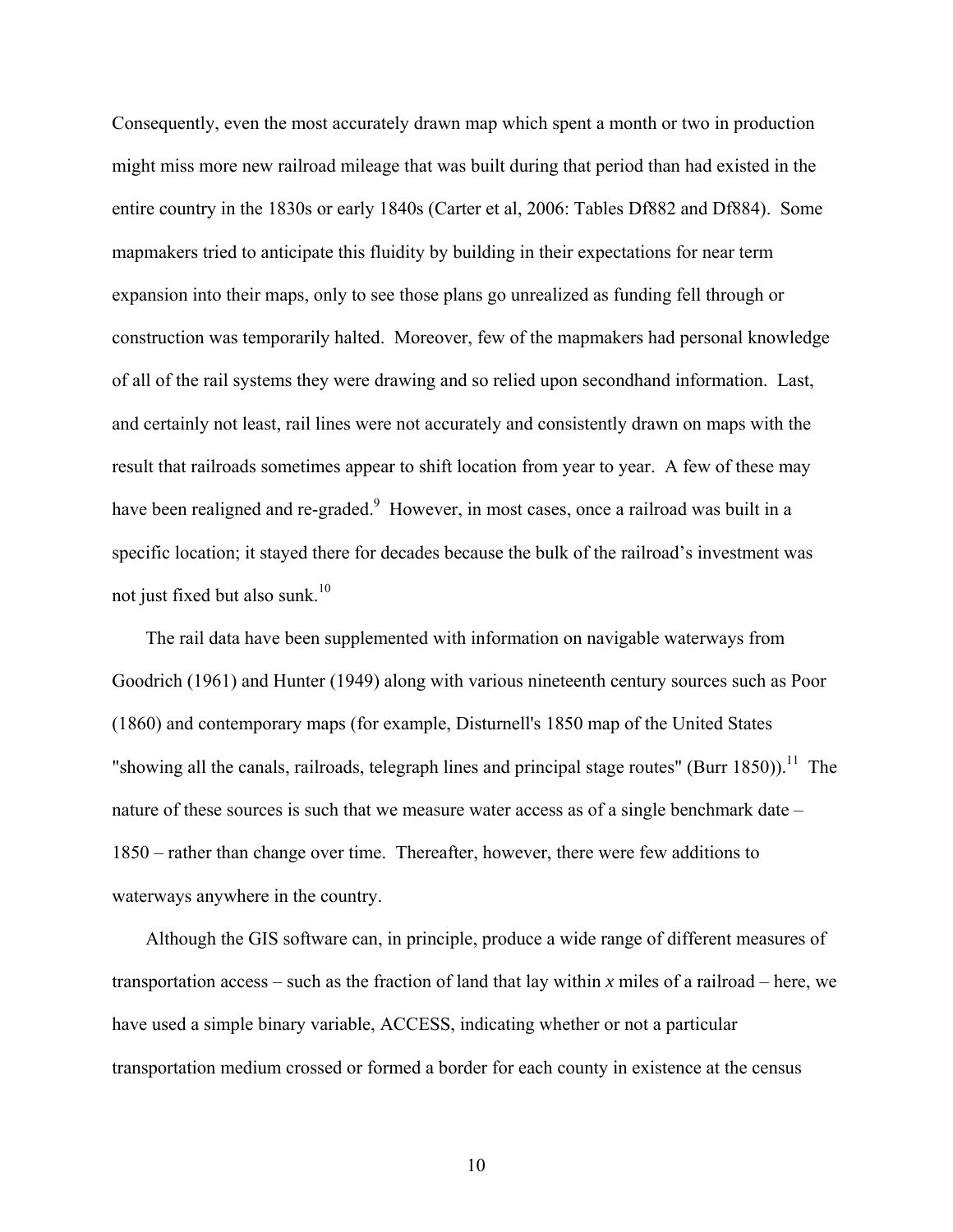Consequently, even the most accurately drawn map which spent a month or two in production might miss more new railroad mileage that was built during that period than had existed in the entire country in the 1830s or early 1840s (Carter et al, 2006: Tables Df882 and Df884). Some mapmakers tried to anticipate this fluidity by building in their expectations for near term expansion into their maps, only to see those plans go unrealized as funding fell through or construction was temporarily halted. Moreover, few of the mapmakers had personal knowledge of all of the rail systems they were drawing and so relied upon secondhand information. Last, and certainly not least, rail lines were not accurately and consistently drawn on maps with the result that railroads sometimes appear to shift location from year to year. A few of these may have been realigned and re-graded.<sup>9</sup> However, in most cases, once a railroad was built in a specific location; it stayed there for decades because the bulk of the railroad's investment was not just fixed but also sunk. $10$ 

The rail data have been supplemented with information on navigable waterways from Goodrich (1961) and Hunter (1949) along with various nineteenth century sources such as Poor (1860) and contemporary maps (for example, Disturnell's 1850 map of the United States "showing all the canals, railroads, telegraph lines and principal stage routes" (Burr 1850)).<sup>11</sup> The nature of these sources is such that we measure water access as of a single benchmark date – 1850 – rather than change over time. Thereafter, however, there were few additions to waterways anywhere in the country.

Although the GIS software can, in principle, produce a wide range of different measures of transportation access – such as the fraction of land that lay within *x* miles of a railroad – here, we have used a simple binary variable, ACCESS, indicating whether or not a particular transportation medium crossed or formed a border for each county in existence at the census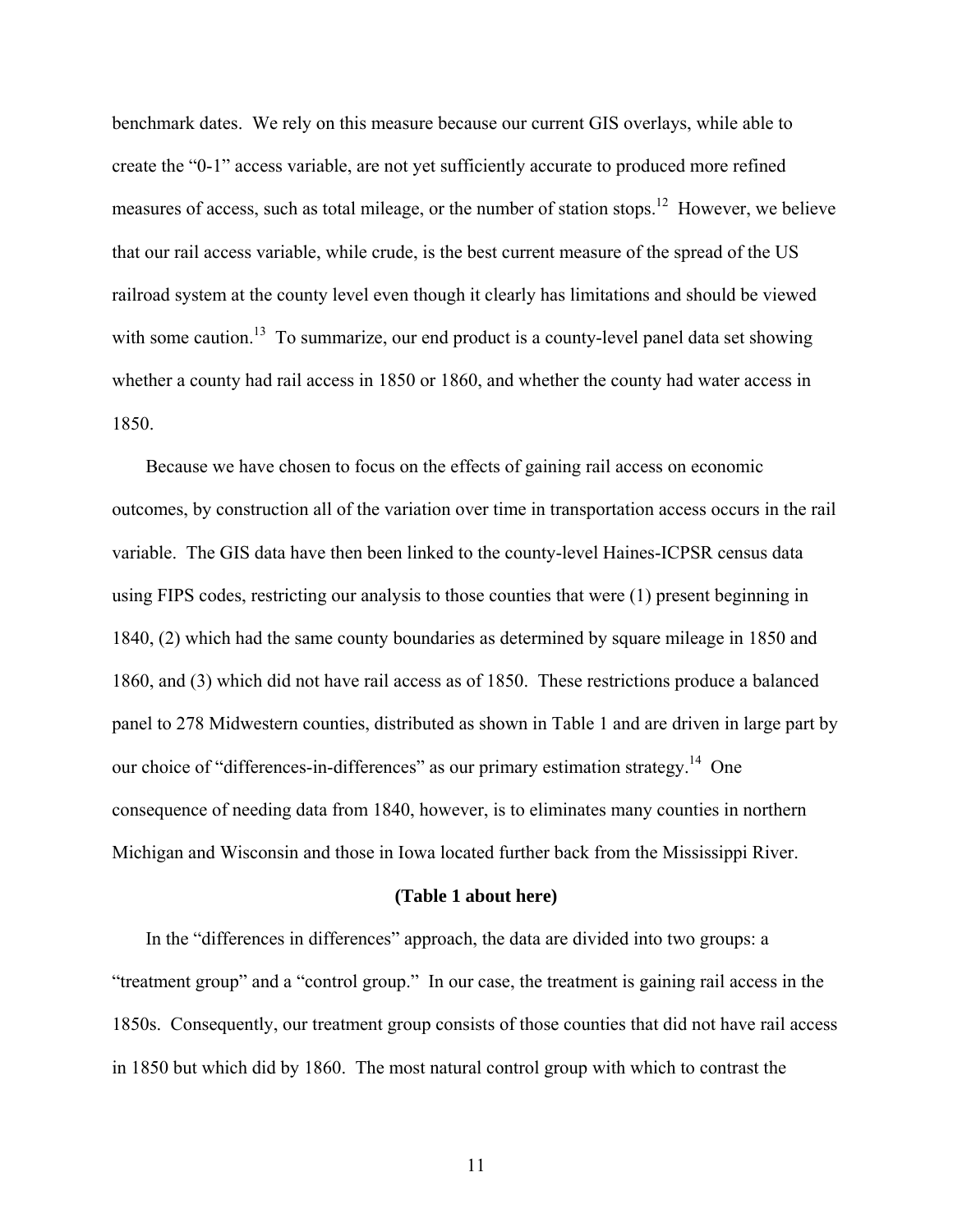benchmark dates. We rely on this measure because our current GIS overlays, while able to create the "0-1" access variable, are not yet sufficiently accurate to produced more refined measures of access, such as total mileage, or the number of station stops.<sup>12</sup> However, we believe that our rail access variable, while crude, is the best current measure of the spread of the US railroad system at the county level even though it clearly has limitations and should be viewed with some caution.<sup>13</sup> To summarize, our end product is a county-level panel data set showing whether a county had rail access in 1850 or 1860, and whether the county had water access in 1850.

Because we have chosen to focus on the effects of gaining rail access on economic outcomes, by construction all of the variation over time in transportation access occurs in the rail variable. The GIS data have then been linked to the county-level Haines-ICPSR census data using FIPS codes, restricting our analysis to those counties that were (1) present beginning in 1840, (2) which had the same county boundaries as determined by square mileage in 1850 and 1860, and (3) which did not have rail access as of 1850. These restrictions produce a balanced panel to 278 Midwestern counties, distributed as shown in Table 1 and are driven in large part by our choice of "differences-in-differences" as our primary estimation strategy.<sup>14</sup> One consequence of needing data from 1840, however, is to eliminates many counties in northern Michigan and Wisconsin and those in Iowa located further back from the Mississippi River.

#### **(Table 1 about here)**

In the "differences in differences" approach, the data are divided into two groups: a "treatment group" and a "control group." In our case, the treatment is gaining rail access in the 1850s. Consequently, our treatment group consists of those counties that did not have rail access in 1850 but which did by 1860. The most natural control group with which to contrast the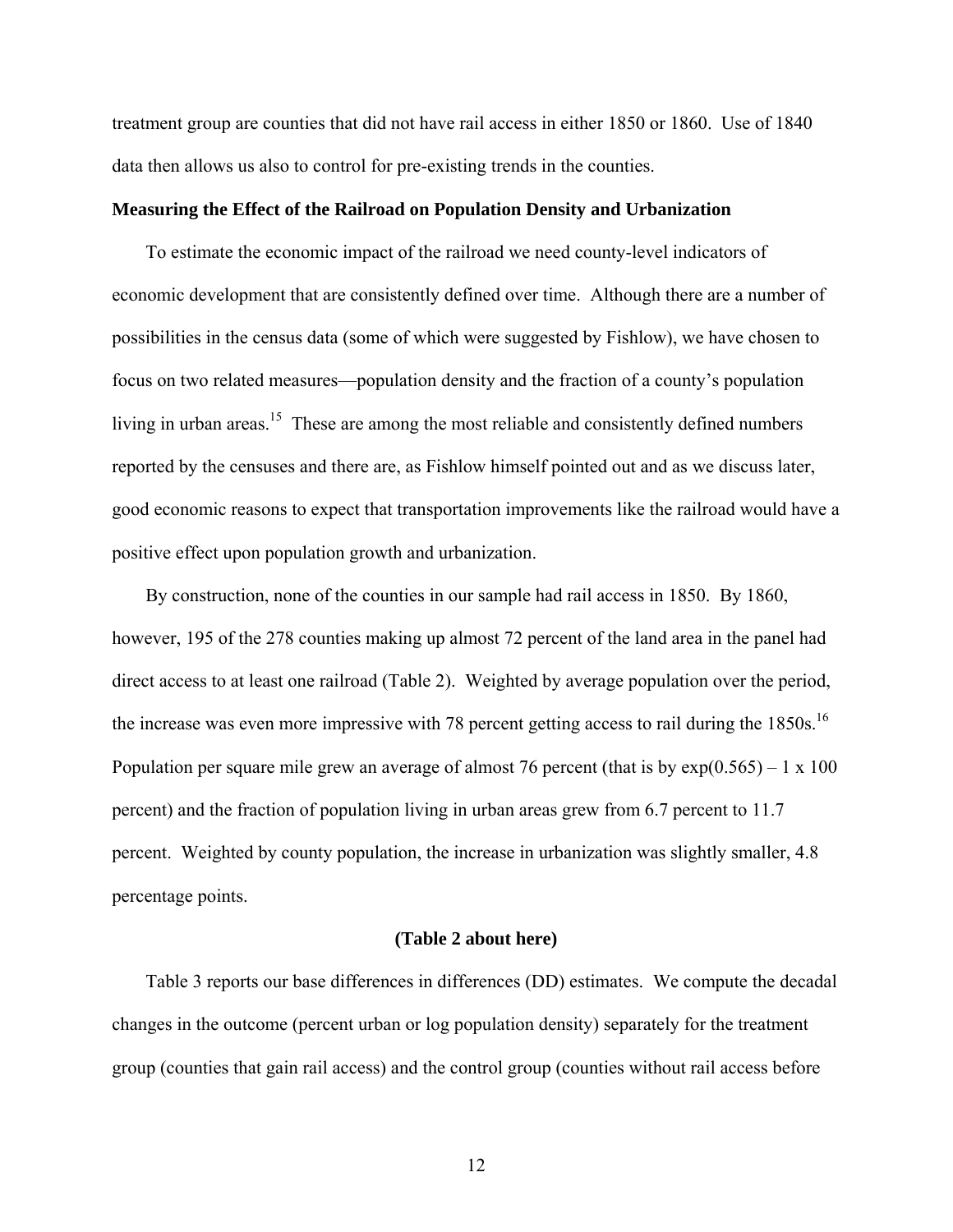treatment group are counties that did not have rail access in either 1850 or 1860. Use of 1840 data then allows us also to control for pre-existing trends in the counties.

#### **Measuring the Effect of the Railroad on Population Density and Urbanization**

To estimate the economic impact of the railroad we need county-level indicators of economic development that are consistently defined over time. Although there are a number of possibilities in the census data (some of which were suggested by Fishlow), we have chosen to focus on two related measures—population density and the fraction of a county's population living in urban areas.<sup>15</sup> These are among the most reliable and consistently defined numbers reported by the censuses and there are, as Fishlow himself pointed out and as we discuss later, good economic reasons to expect that transportation improvements like the railroad would have a positive effect upon population growth and urbanization.

By construction, none of the counties in our sample had rail access in 1850. By 1860, however, 195 of the 278 counties making up almost 72 percent of the land area in the panel had direct access to at least one railroad (Table 2). Weighted by average population over the period, the increase was even more impressive with 78 percent getting access to rail during the 1850s.<sup>16</sup> Population per square mile grew an average of almost 76 percent (that is by  $\exp(0.565) - 1 \times 100$ percent) and the fraction of population living in urban areas grew from 6.7 percent to 11.7 percent. Weighted by county population, the increase in urbanization was slightly smaller, 4.8 percentage points.

### **(Table 2 about here)**

Table 3 reports our base differences in differences (DD) estimates. We compute the decadal changes in the outcome (percent urban or log population density) separately for the treatment group (counties that gain rail access) and the control group (counties without rail access before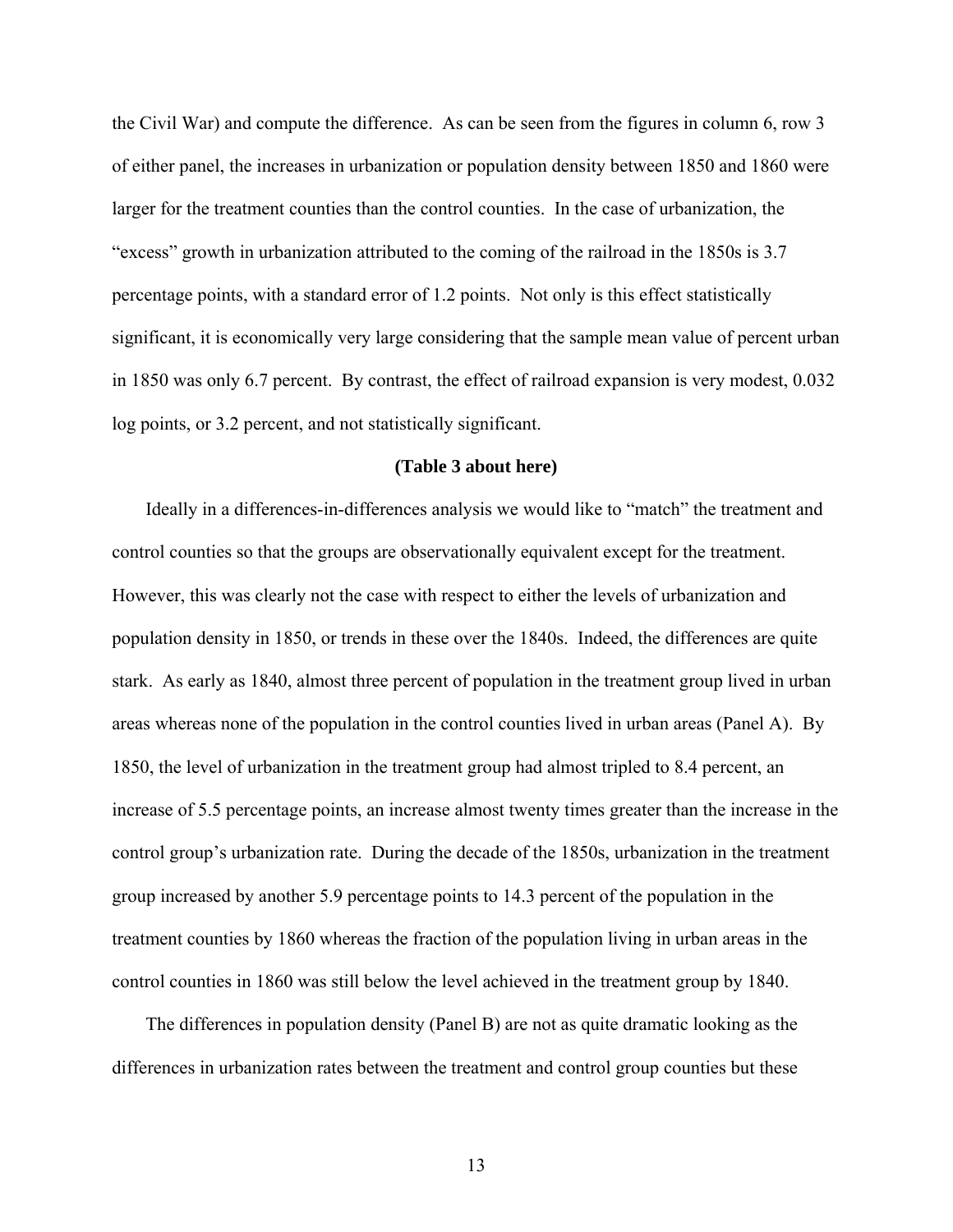the Civil War) and compute the difference. As can be seen from the figures in column 6, row 3 of either panel, the increases in urbanization or population density between 1850 and 1860 were larger for the treatment counties than the control counties. In the case of urbanization, the "excess" growth in urbanization attributed to the coming of the railroad in the 1850s is 3.7 percentage points, with a standard error of 1.2 points. Not only is this effect statistically significant, it is economically very large considering that the sample mean value of percent urban in 1850 was only 6.7 percent. By contrast, the effect of railroad expansion is very modest, 0.032 log points, or 3.2 percent, and not statistically significant.

#### **(Table 3 about here)**

Ideally in a differences-in-differences analysis we would like to "match" the treatment and control counties so that the groups are observationally equivalent except for the treatment. However, this was clearly not the case with respect to either the levels of urbanization and population density in 1850, or trends in these over the 1840s. Indeed, the differences are quite stark. As early as 1840, almost three percent of population in the treatment group lived in urban areas whereas none of the population in the control counties lived in urban areas (Panel A). By 1850, the level of urbanization in the treatment group had almost tripled to 8.4 percent, an increase of 5.5 percentage points, an increase almost twenty times greater than the increase in the control group's urbanization rate. During the decade of the 1850s, urbanization in the treatment group increased by another 5.9 percentage points to 14.3 percent of the population in the treatment counties by 1860 whereas the fraction of the population living in urban areas in the control counties in 1860 was still below the level achieved in the treatment group by 1840.

The differences in population density (Panel B) are not as quite dramatic looking as the differences in urbanization rates between the treatment and control group counties but these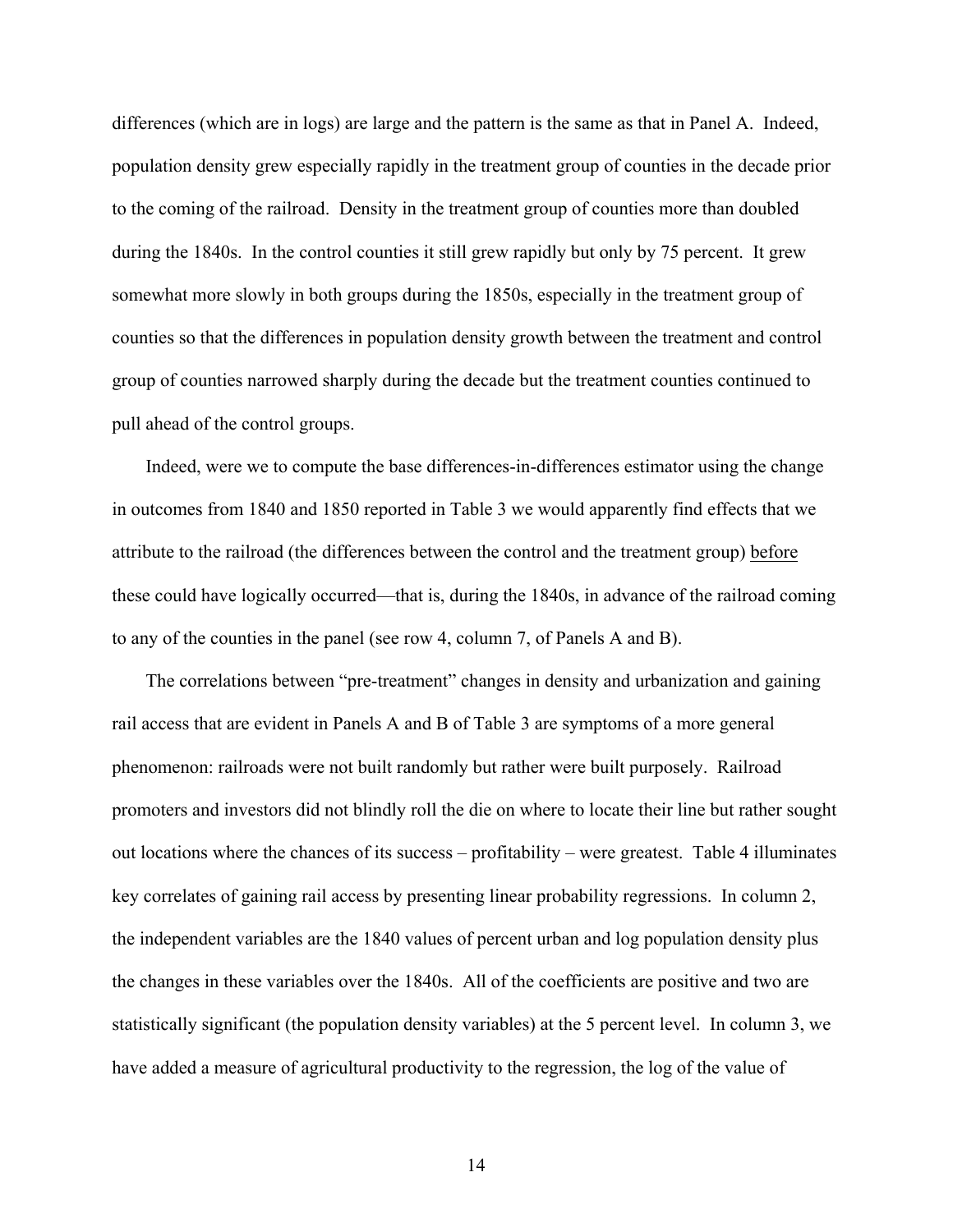differences (which are in logs) are large and the pattern is the same as that in Panel A. Indeed, population density grew especially rapidly in the treatment group of counties in the decade prior to the coming of the railroad. Density in the treatment group of counties more than doubled during the 1840s. In the control counties it still grew rapidly but only by 75 percent. It grew somewhat more slowly in both groups during the 1850s, especially in the treatment group of counties so that the differences in population density growth between the treatment and control group of counties narrowed sharply during the decade but the treatment counties continued to pull ahead of the control groups.

Indeed, were we to compute the base differences-in-differences estimator using the change in outcomes from 1840 and 1850 reported in Table 3 we would apparently find effects that we attribute to the railroad (the differences between the control and the treatment group) before these could have logically occurred—that is, during the 1840s, in advance of the railroad coming to any of the counties in the panel (see row 4, column 7, of Panels A and B).

The correlations between "pre-treatment" changes in density and urbanization and gaining rail access that are evident in Panels A and B of Table 3 are symptoms of a more general phenomenon: railroads were not built randomly but rather were built purposely. Railroad promoters and investors did not blindly roll the die on where to locate their line but rather sought out locations where the chances of its success – profitability – were greatest. Table 4 illuminates key correlates of gaining rail access by presenting linear probability regressions. In column 2, the independent variables are the 1840 values of percent urban and log population density plus the changes in these variables over the 1840s. All of the coefficients are positive and two are statistically significant (the population density variables) at the 5 percent level. In column 3, we have added a measure of agricultural productivity to the regression, the log of the value of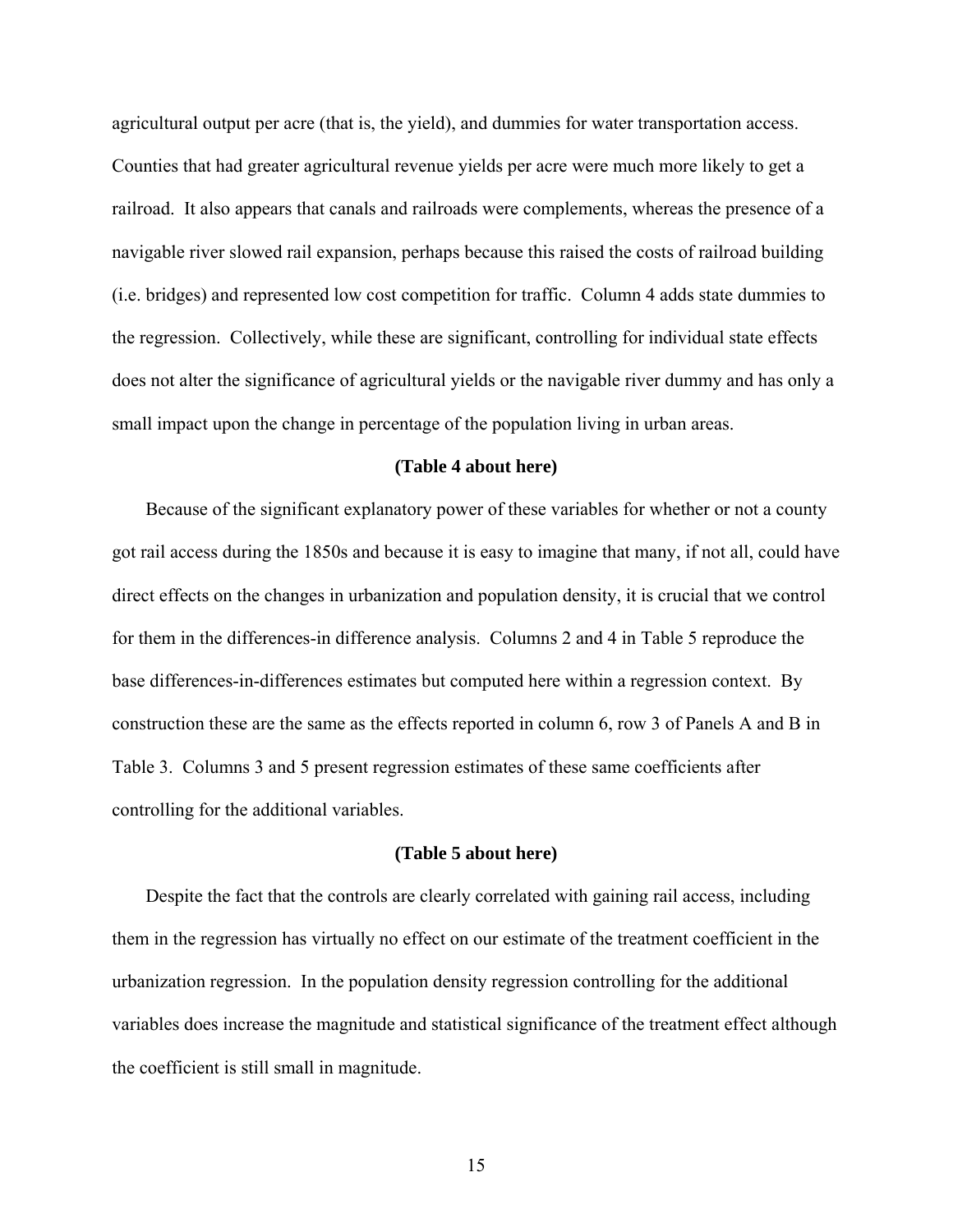agricultural output per acre (that is, the yield), and dummies for water transportation access. Counties that had greater agricultural revenue yields per acre were much more likely to get a railroad. It also appears that canals and railroads were complements, whereas the presence of a navigable river slowed rail expansion, perhaps because this raised the costs of railroad building (i.e. bridges) and represented low cost competition for traffic. Column 4 adds state dummies to the regression. Collectively, while these are significant, controlling for individual state effects does not alter the significance of agricultural yields or the navigable river dummy and has only a small impact upon the change in percentage of the population living in urban areas.

#### **(Table 4 about here)**

Because of the significant explanatory power of these variables for whether or not a county got rail access during the 1850s and because it is easy to imagine that many, if not all, could have direct effects on the changes in urbanization and population density, it is crucial that we control for them in the differences-in difference analysis. Columns 2 and 4 in Table 5 reproduce the base differences-in-differences estimates but computed here within a regression context. By construction these are the same as the effects reported in column 6, row 3 of Panels A and B in Table 3. Columns 3 and 5 present regression estimates of these same coefficients after controlling for the additional variables.

#### **(Table 5 about here)**

Despite the fact that the controls are clearly correlated with gaining rail access, including them in the regression has virtually no effect on our estimate of the treatment coefficient in the urbanization regression. In the population density regression controlling for the additional variables does increase the magnitude and statistical significance of the treatment effect although the coefficient is still small in magnitude.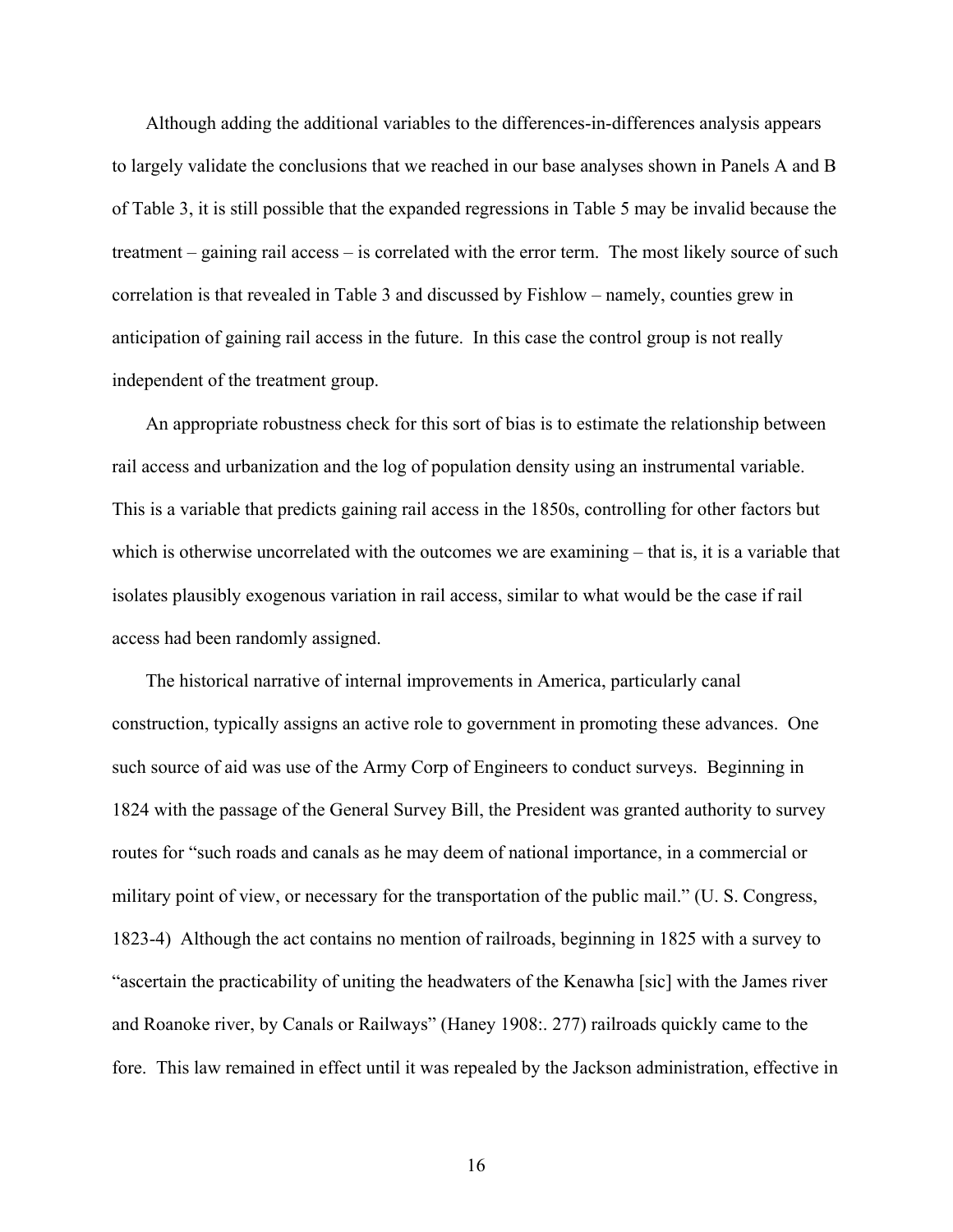Although adding the additional variables to the differences-in-differences analysis appears to largely validate the conclusions that we reached in our base analyses shown in Panels A and B of Table 3, it is still possible that the expanded regressions in Table 5 may be invalid because the treatment – gaining rail access – is correlated with the error term. The most likely source of such correlation is that revealed in Table 3 and discussed by Fishlow – namely, counties grew in anticipation of gaining rail access in the future. In this case the control group is not really independent of the treatment group.

An appropriate robustness check for this sort of bias is to estimate the relationship between rail access and urbanization and the log of population density using an instrumental variable. This is a variable that predicts gaining rail access in the 1850s, controlling for other factors but which is otherwise uncorrelated with the outcomes we are examining – that is, it is a variable that isolates plausibly exogenous variation in rail access, similar to what would be the case if rail access had been randomly assigned.

The historical narrative of internal improvements in America, particularly canal construction, typically assigns an active role to government in promoting these advances. One such source of aid was use of the Army Corp of Engineers to conduct surveys. Beginning in 1824 with the passage of the General Survey Bill, the President was granted authority to survey routes for "such roads and canals as he may deem of national importance, in a commercial or military point of view, or necessary for the transportation of the public mail." (U. S. Congress, 1823-4) Although the act contains no mention of railroads, beginning in 1825 with a survey to "ascertain the practicability of uniting the headwaters of the Kenawha [sic] with the James river and Roanoke river, by Canals or Railways" (Haney 1908:. 277) railroads quickly came to the fore. This law remained in effect until it was repealed by the Jackson administration, effective in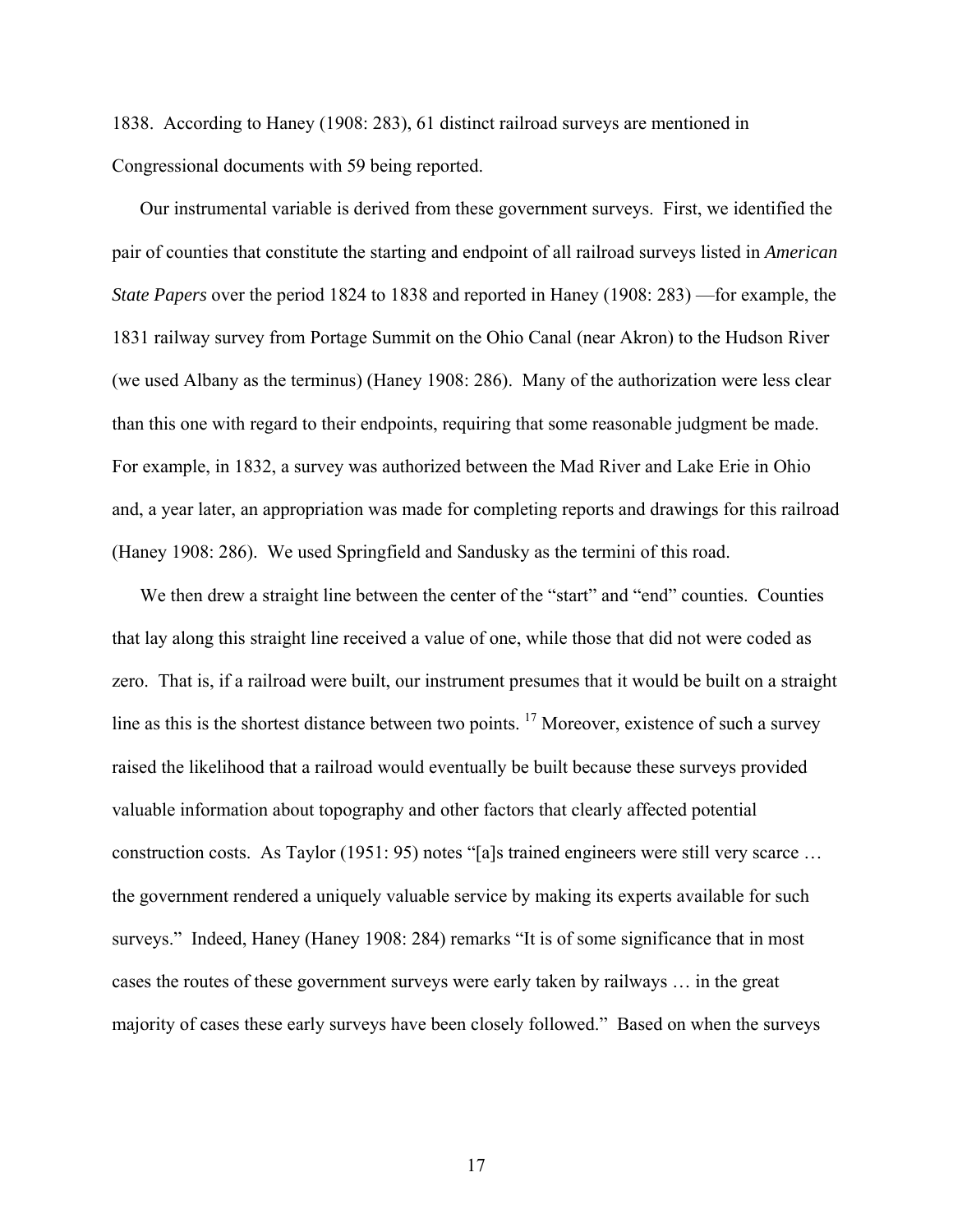1838. According to Haney (1908: 283), 61 distinct railroad surveys are mentioned in Congressional documents with 59 being reported.

Our instrumental variable is derived from these government surveys. First, we identified the pair of counties that constitute the starting and endpoint of all railroad surveys listed in *American State Papers* over the period 1824 to 1838 and reported in Haney (1908: 283) —for example, the 1831 railway survey from Portage Summit on the Ohio Canal (near Akron) to the Hudson River (we used Albany as the terminus) (Haney 1908: 286). Many of the authorization were less clear than this one with regard to their endpoints, requiring that some reasonable judgment be made. For example, in 1832, a survey was authorized between the Mad River and Lake Erie in Ohio and, a year later, an appropriation was made for completing reports and drawings for this railroad (Haney 1908: 286). We used Springfield and Sandusky as the termini of this road.

We then drew a straight line between the center of the "start" and "end" counties. Counties that lay along this straight line received a value of one, while those that did not were coded as zero. That is, if a railroad were built, our instrument presumes that it would be built on a straight line as this is the shortest distance between two points.<sup>17</sup> Moreover, existence of such a survey raised the likelihood that a railroad would eventually be built because these surveys provided valuable information about topography and other factors that clearly affected potential construction costs. As Taylor (1951: 95) notes "[a]s trained engineers were still very scarce … the government rendered a uniquely valuable service by making its experts available for such surveys." Indeed, Haney (Haney 1908: 284) remarks "It is of some significance that in most cases the routes of these government surveys were early taken by railways … in the great majority of cases these early surveys have been closely followed." Based on when the surveys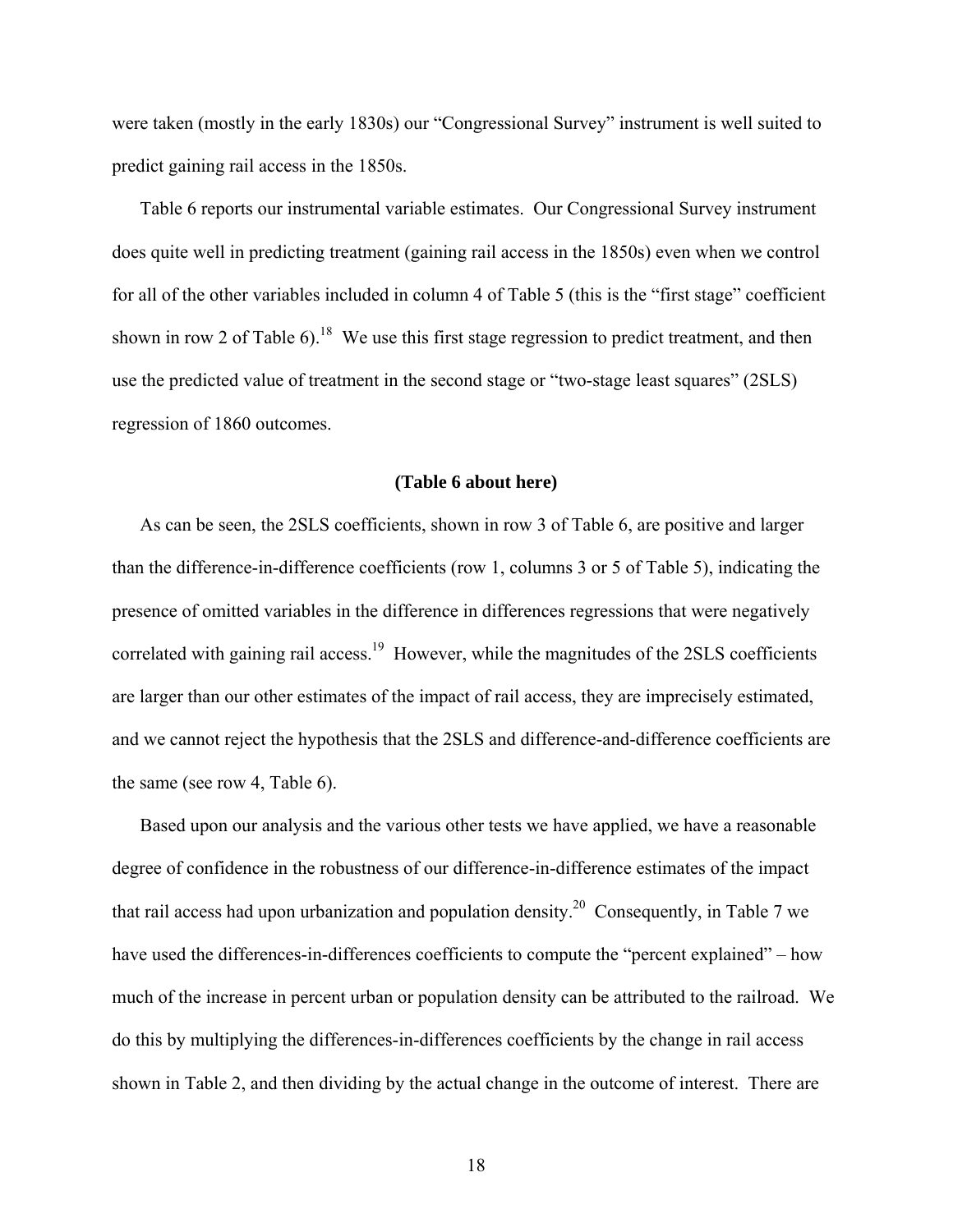were taken (mostly in the early 1830s) our "Congressional Survey" instrument is well suited to predict gaining rail access in the 1850s.

Table 6 reports our instrumental variable estimates. Our Congressional Survey instrument does quite well in predicting treatment (gaining rail access in the 1850s) even when we control for all of the other variables included in column 4 of Table 5 (this is the "first stage" coefficient shown in row 2 of Table 6).<sup>18</sup> We use this first stage regression to predict treatment, and then use the predicted value of treatment in the second stage or "two-stage least squares" (2SLS) regression of 1860 outcomes.

### **(Table 6 about here)**

As can be seen, the 2SLS coefficients, shown in row 3 of Table 6, are positive and larger than the difference-in-difference coefficients (row 1, columns 3 or 5 of Table 5), indicating the presence of omitted variables in the difference in differences regressions that were negatively correlated with gaining rail access.<sup>19</sup> However, while the magnitudes of the 2SLS coefficients are larger than our other estimates of the impact of rail access, they are imprecisely estimated, and we cannot reject the hypothesis that the 2SLS and difference-and-difference coefficients are the same (see row 4, Table 6).

Based upon our analysis and the various other tests we have applied, we have a reasonable degree of confidence in the robustness of our difference-in-difference estimates of the impact that rail access had upon urbanization and population density.<sup>20</sup> Consequently, in Table 7 we have used the differences-in-differences coefficients to compute the "percent explained" – how much of the increase in percent urban or population density can be attributed to the railroad. We do this by multiplying the differences-in-differences coefficients by the change in rail access shown in Table 2, and then dividing by the actual change in the outcome of interest. There are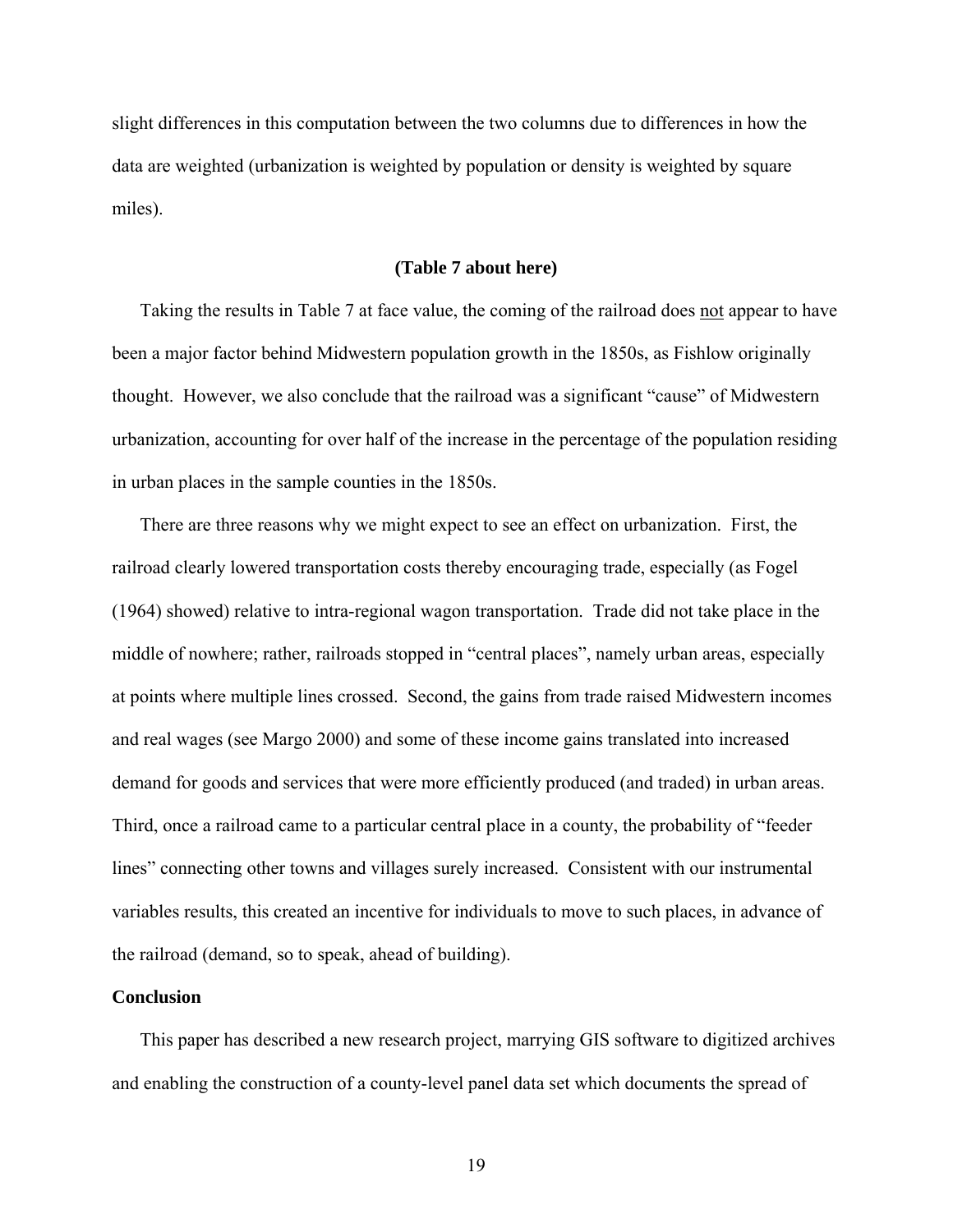slight differences in this computation between the two columns due to differences in how the data are weighted (urbanization is weighted by population or density is weighted by square miles).

#### **(Table 7 about here)**

Taking the results in Table 7 at face value, the coming of the railroad does not appear to have been a major factor behind Midwestern population growth in the 1850s, as Fishlow originally thought. However, we also conclude that the railroad was a significant "cause" of Midwestern urbanization, accounting for over half of the increase in the percentage of the population residing in urban places in the sample counties in the 1850s.

There are three reasons why we might expect to see an effect on urbanization. First, the railroad clearly lowered transportation costs thereby encouraging trade, especially (as Fogel (1964) showed) relative to intra-regional wagon transportation. Trade did not take place in the middle of nowhere; rather, railroads stopped in "central places", namely urban areas, especially at points where multiple lines crossed. Second, the gains from trade raised Midwestern incomes and real wages (see Margo 2000) and some of these income gains translated into increased demand for goods and services that were more efficiently produced (and traded) in urban areas. Third, once a railroad came to a particular central place in a county, the probability of "feeder lines" connecting other towns and villages surely increased. Consistent with our instrumental variables results, this created an incentive for individuals to move to such places, in advance of the railroad (demand, so to speak, ahead of building).

### **Conclusion**

This paper has described a new research project, marrying GIS software to digitized archives and enabling the construction of a county-level panel data set which documents the spread of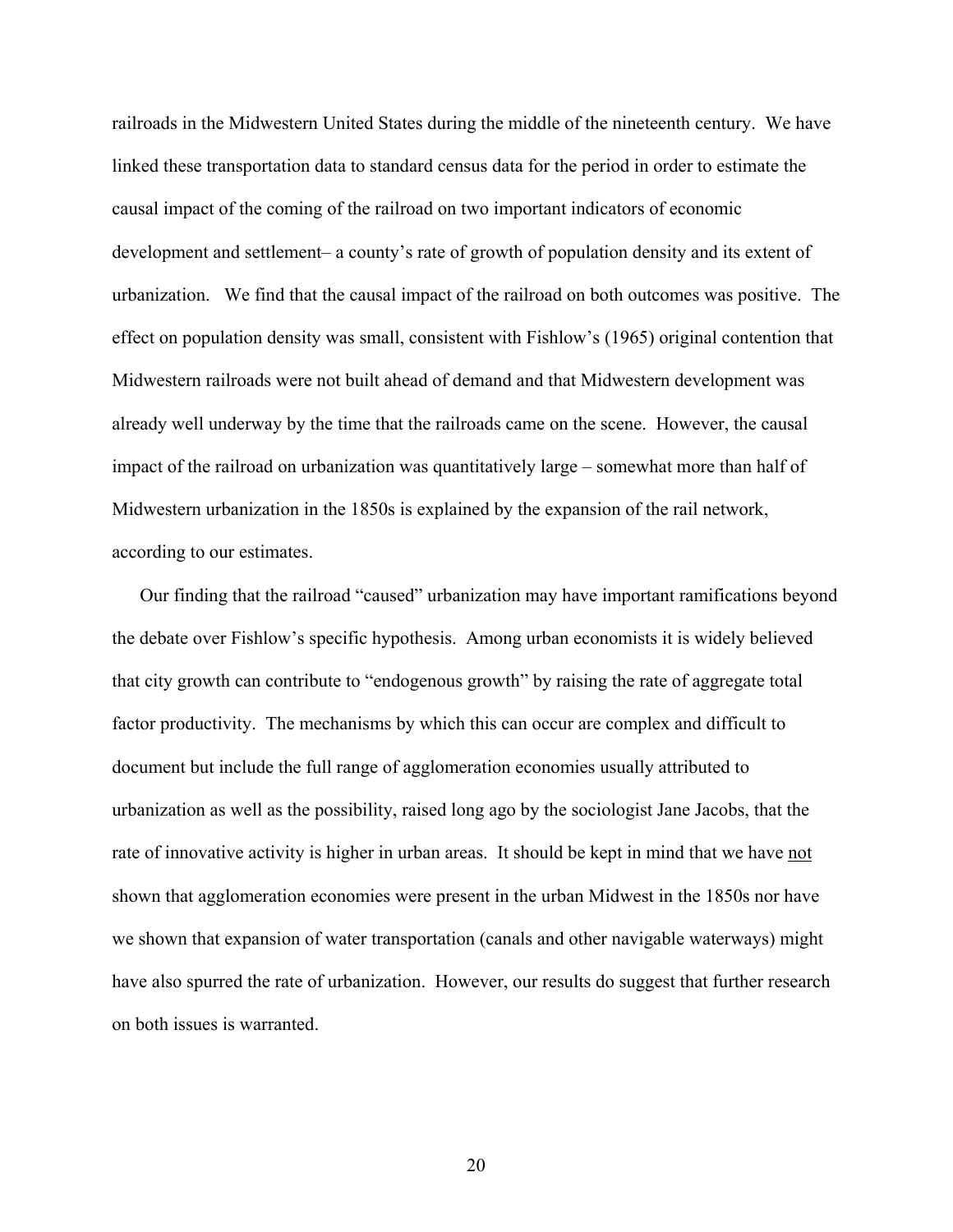railroads in the Midwestern United States during the middle of the nineteenth century. We have linked these transportation data to standard census data for the period in order to estimate the causal impact of the coming of the railroad on two important indicators of economic development and settlement– a county's rate of growth of population density and its extent of urbanization. We find that the causal impact of the railroad on both outcomes was positive. The effect on population density was small, consistent with Fishlow's (1965) original contention that Midwestern railroads were not built ahead of demand and that Midwestern development was already well underway by the time that the railroads came on the scene. However, the causal impact of the railroad on urbanization was quantitatively large – somewhat more than half of Midwestern urbanization in the 1850s is explained by the expansion of the rail network, according to our estimates.

Our finding that the railroad "caused" urbanization may have important ramifications beyond the debate over Fishlow's specific hypothesis. Among urban economists it is widely believed that city growth can contribute to "endogenous growth" by raising the rate of aggregate total factor productivity. The mechanisms by which this can occur are complex and difficult to document but include the full range of agglomeration economies usually attributed to urbanization as well as the possibility, raised long ago by the sociologist Jane Jacobs, that the rate of innovative activity is higher in urban areas. It should be kept in mind that we have not shown that agglomeration economies were present in the urban Midwest in the 1850s nor have we shown that expansion of water transportation (canals and other navigable waterways) might have also spurred the rate of urbanization. However, our results do suggest that further research on both issues is warranted.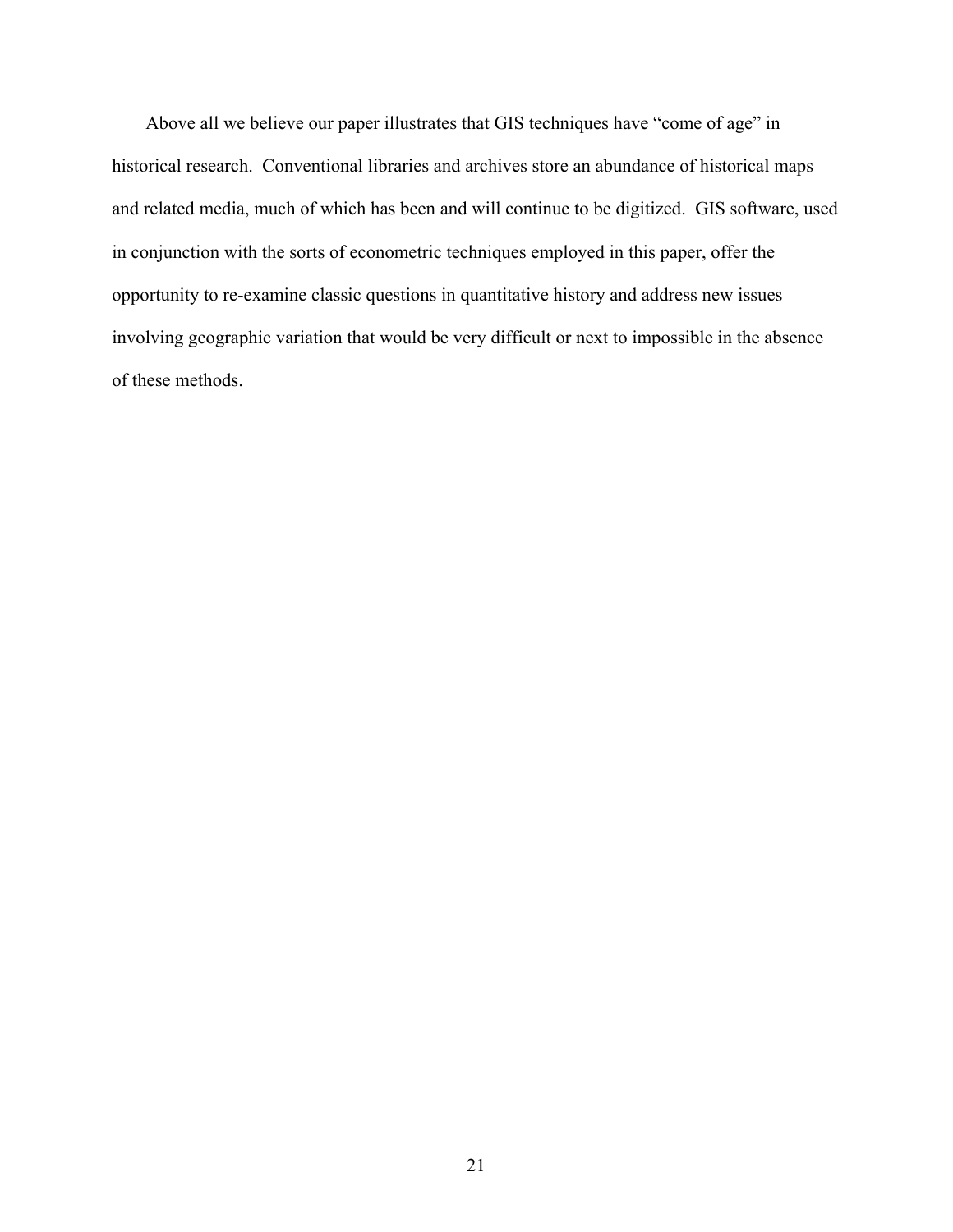Above all we believe our paper illustrates that GIS techniques have "come of age" in historical research. Conventional libraries and archives store an abundance of historical maps and related media, much of which has been and will continue to be digitized. GIS software, used in conjunction with the sorts of econometric techniques employed in this paper, offer the opportunity to re-examine classic questions in quantitative history and address new issues involving geographic variation that would be very difficult or next to impossible in the absence of these methods.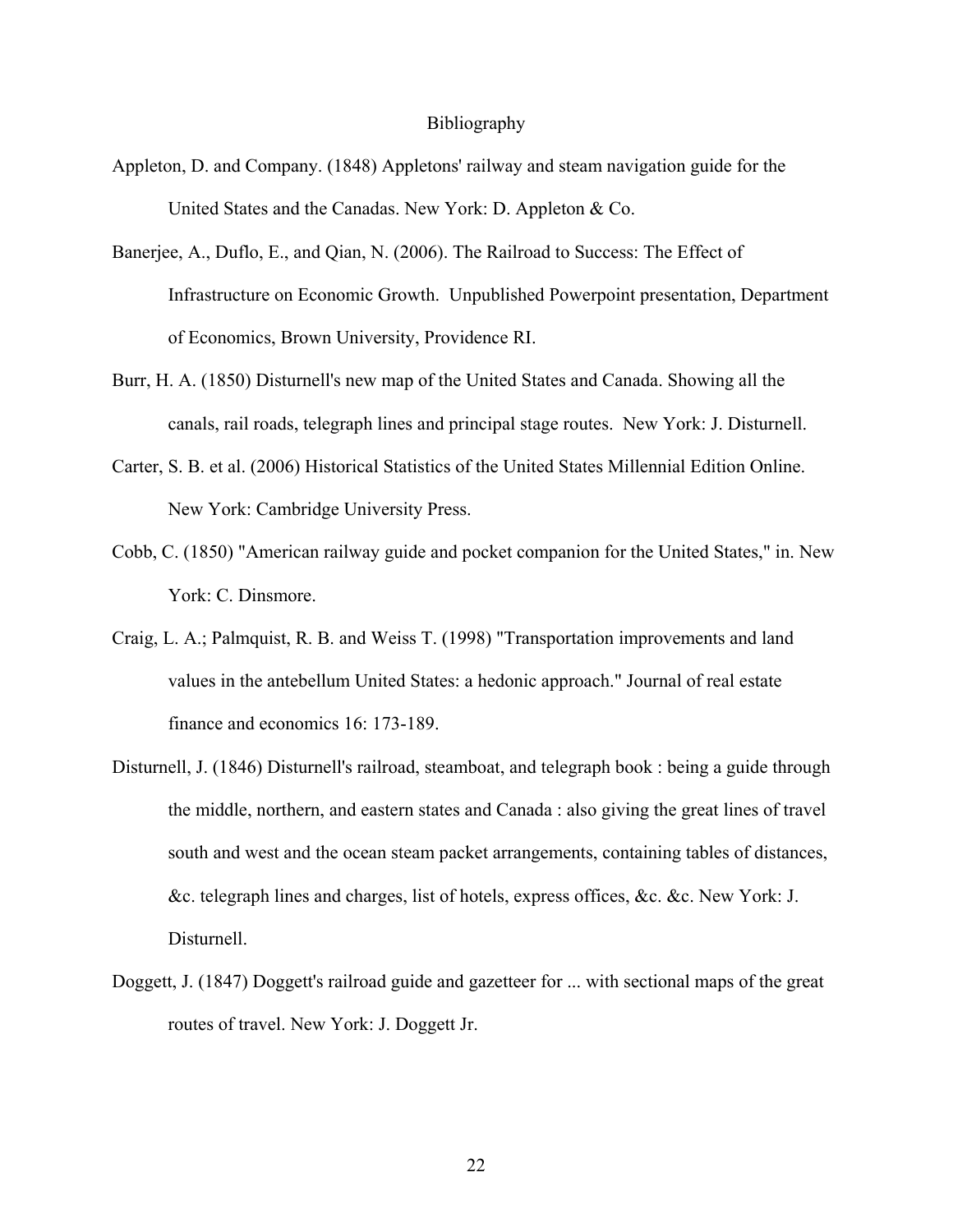#### Bibliography

- Appleton, D. and Company. (1848) Appletons' railway and steam navigation guide for the United States and the Canadas. New York: D. Appleton & Co.
- Banerjee, A., Duflo, E., and Qian, N. (2006). The Railroad to Success: The Effect of Infrastructure on Economic Growth. Unpublished Powerpoint presentation, Department of Economics, Brown University, Providence RI.
- Burr, H. A. (1850) Disturnell's new map of the United States and Canada. Showing all the canals, rail roads, telegraph lines and principal stage routes. New York: J. Disturnell.
- Carter, S. B. et al. (2006) Historical Statistics of the United States Millennial Edition Online. New York: Cambridge University Press.
- Cobb, C. (1850) "American railway guide and pocket companion for the United States," in. New York: C. Dinsmore.
- Craig, L. A.; Palmquist, R. B. and Weiss T. (1998) "Transportation improvements and land values in the antebellum United States: a hedonic approach." Journal of real estate finance and economics 16: 173-189.
- Disturnell, J. (1846) Disturnell's railroad, steamboat, and telegraph book : being a guide through the middle, northern, and eastern states and Canada : also giving the great lines of travel south and west and the ocean steam packet arrangements, containing tables of distances, &c. telegraph lines and charges, list of hotels, express offices, &c. &c. New York: J. Disturnell.
- Doggett, J. (1847) Doggett's railroad guide and gazetteer for ... with sectional maps of the great routes of travel. New York: J. Doggett Jr.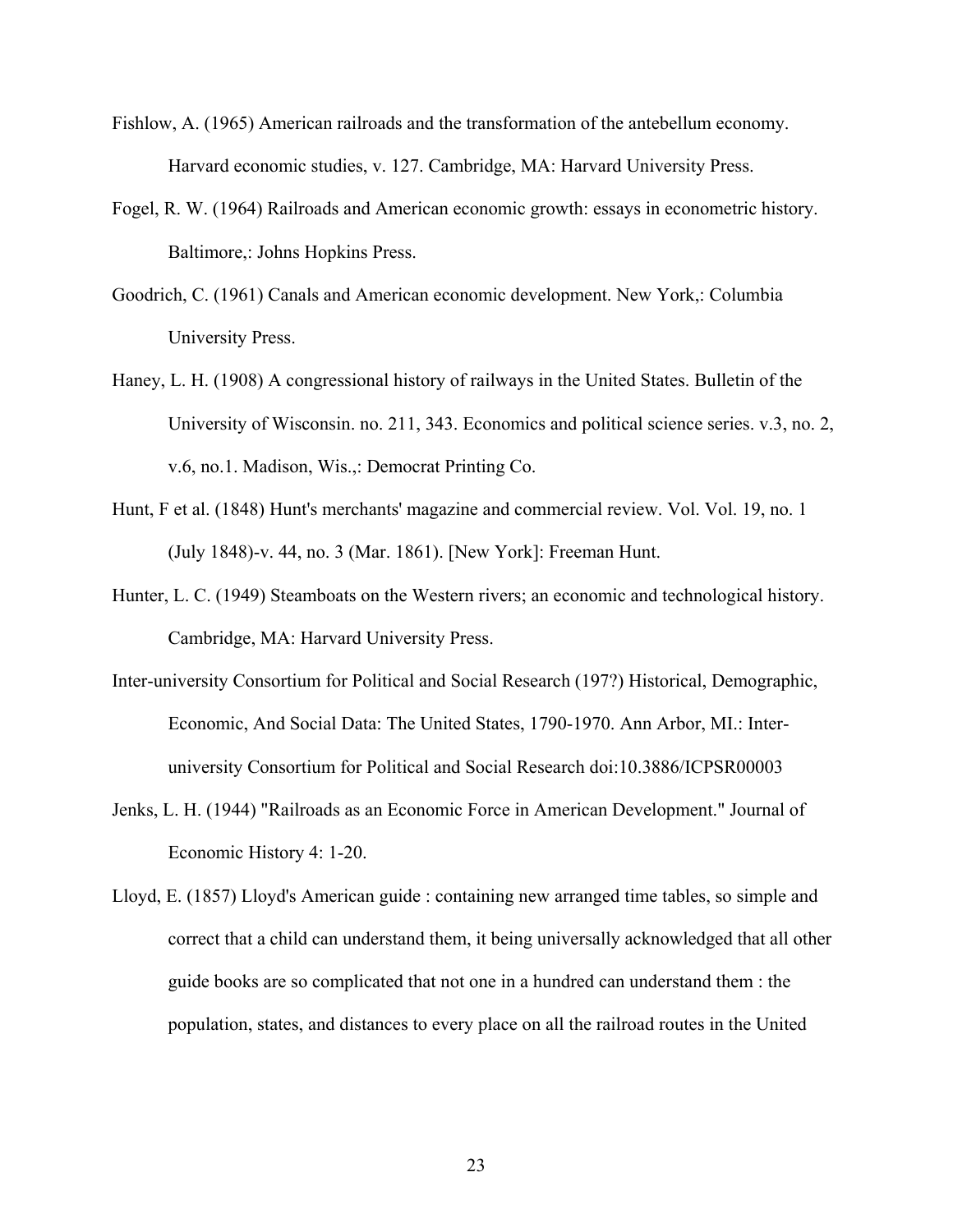- Fishlow, A. (1965) American railroads and the transformation of the antebellum economy. Harvard economic studies, v. 127. Cambridge, MA: Harvard University Press.
- Fogel, R. W. (1964) Railroads and American economic growth: essays in econometric history. Baltimore,: Johns Hopkins Press.
- Goodrich, C. (1961) Canals and American economic development. New York,: Columbia University Press.
- Haney, L. H. (1908) A congressional history of railways in the United States. Bulletin of the University of Wisconsin. no. 211, 343. Economics and political science series. v.3, no. 2, v.6, no.1. Madison, Wis.,: Democrat Printing Co.
- Hunt, F et al. (1848) Hunt's merchants' magazine and commercial review. Vol. Vol. 19, no. 1 (July 1848)-v. 44, no. 3 (Mar. 1861). [New York]: Freeman Hunt.
- Hunter, L. C. (1949) Steamboats on the Western rivers; an economic and technological history. Cambridge, MA: Harvard University Press.
- Inter-university Consortium for Political and Social Research (197?) Historical, Demographic, Economic, And Social Data: The United States, 1790-1970. Ann Arbor, MI.: Interuniversity Consortium for Political and Social Research doi:10.3886/ICPSR00003
- Jenks, L. H. (1944) "Railroads as an Economic Force in American Development." Journal of Economic History 4: 1-20.
- Lloyd, E. (1857) Lloyd's American guide : containing new arranged time tables, so simple and correct that a child can understand them, it being universally acknowledged that all other guide books are so complicated that not one in a hundred can understand them : the population, states, and distances to every place on all the railroad routes in the United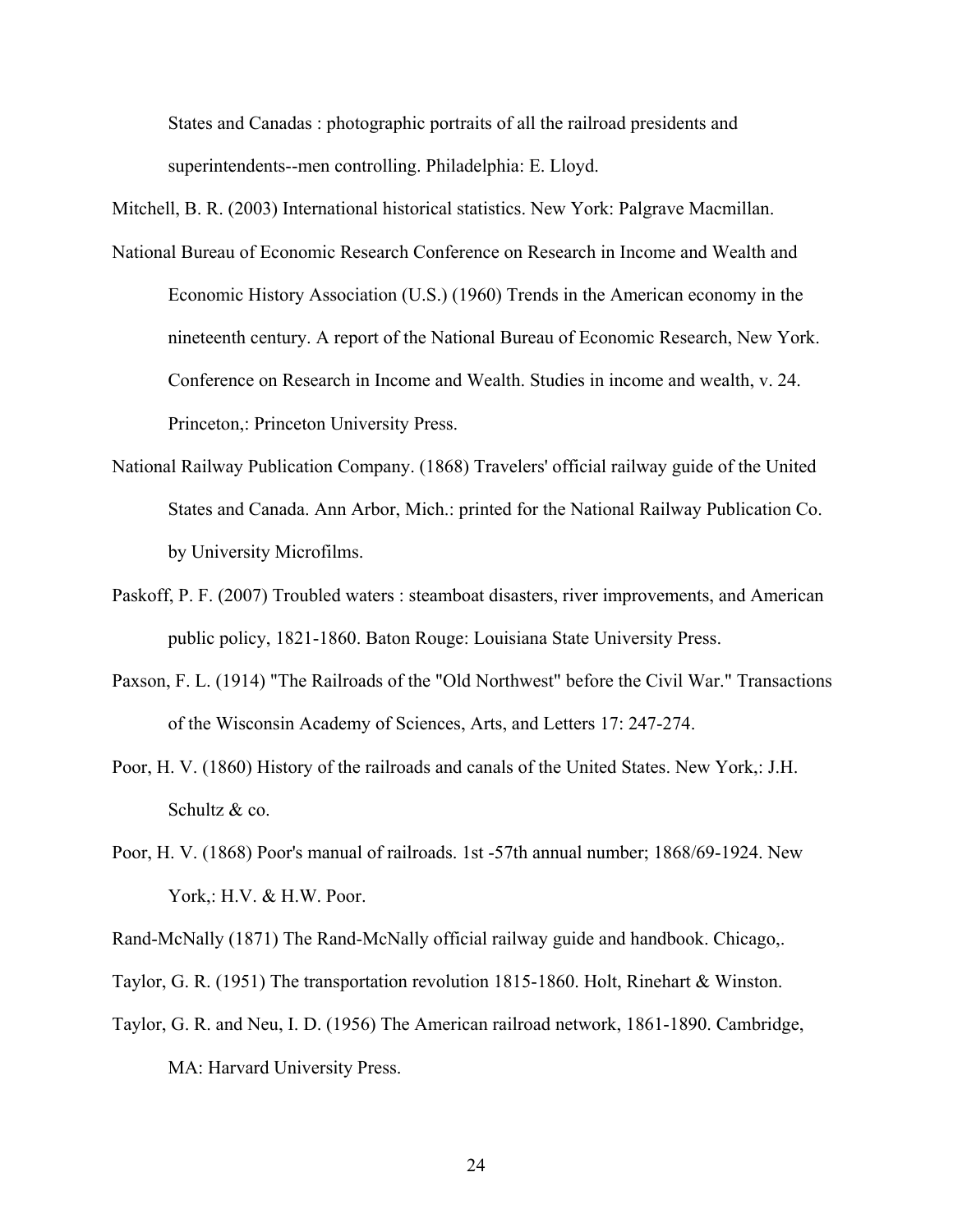States and Canadas : photographic portraits of all the railroad presidents and superintendents--men controlling. Philadelphia: E. Lloyd.

Mitchell, B. R. (2003) International historical statistics. New York: Palgrave Macmillan.

- National Bureau of Economic Research Conference on Research in Income and Wealth and Economic History Association (U.S.) (1960) Trends in the American economy in the nineteenth century. A report of the National Bureau of Economic Research, New York. Conference on Research in Income and Wealth. Studies in income and wealth, v. 24. Princeton,: Princeton University Press.
- National Railway Publication Company. (1868) Travelers' official railway guide of the United States and Canada. Ann Arbor, Mich.: printed for the National Railway Publication Co. by University Microfilms.
- Paskoff, P. F. (2007) Troubled waters : steamboat disasters, river improvements, and American public policy, 1821-1860. Baton Rouge: Louisiana State University Press.
- Paxson, F. L. (1914) "The Railroads of the "Old Northwest" before the Civil War." Transactions of the Wisconsin Academy of Sciences, Arts, and Letters 17: 247-274.
- Poor, H. V. (1860) History of the railroads and canals of the United States. New York,: J.H. Schultz & co.
- Poor, H. V. (1868) Poor's manual of railroads. 1st -57th annual number; 1868/69-1924. New York,: H.V. & H.W. Poor.

Rand-McNally (1871) The Rand-McNally official railway guide and handbook. Chicago,.

- Taylor, G. R. (1951) The transportation revolution 1815-1860. Holt, Rinehart & Winston.
- Taylor, G. R. and Neu, I. D. (1956) The American railroad network, 1861-1890. Cambridge, MA: Harvard University Press.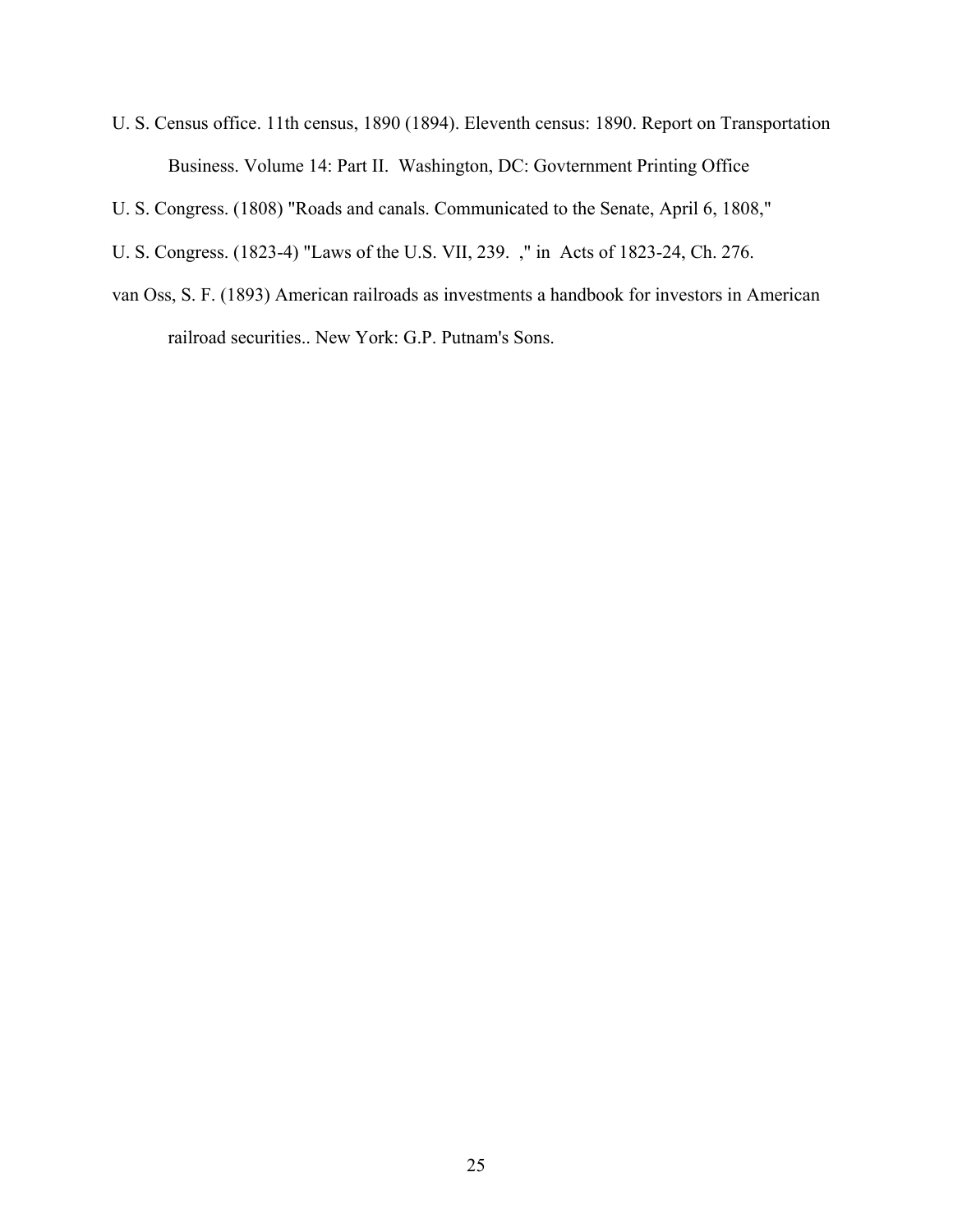- U. S. Census office. 11th census, 1890 (1894). Eleventh census: 1890. Report on Transportation Business. Volume 14: Part II. Washington, DC: Govternment Printing Office
- U. S. Congress. (1808) "Roads and canals. Communicated to the Senate, April 6, 1808,"
- U. S. Congress. (1823-4) "Laws of the U.S. VII, 239. ," in Acts of 1823-24, Ch. 276.
- van Oss, S. F. (1893) American railroads as investments a handbook for investors in American railroad securities.. New York: G.P. Putnam's Sons.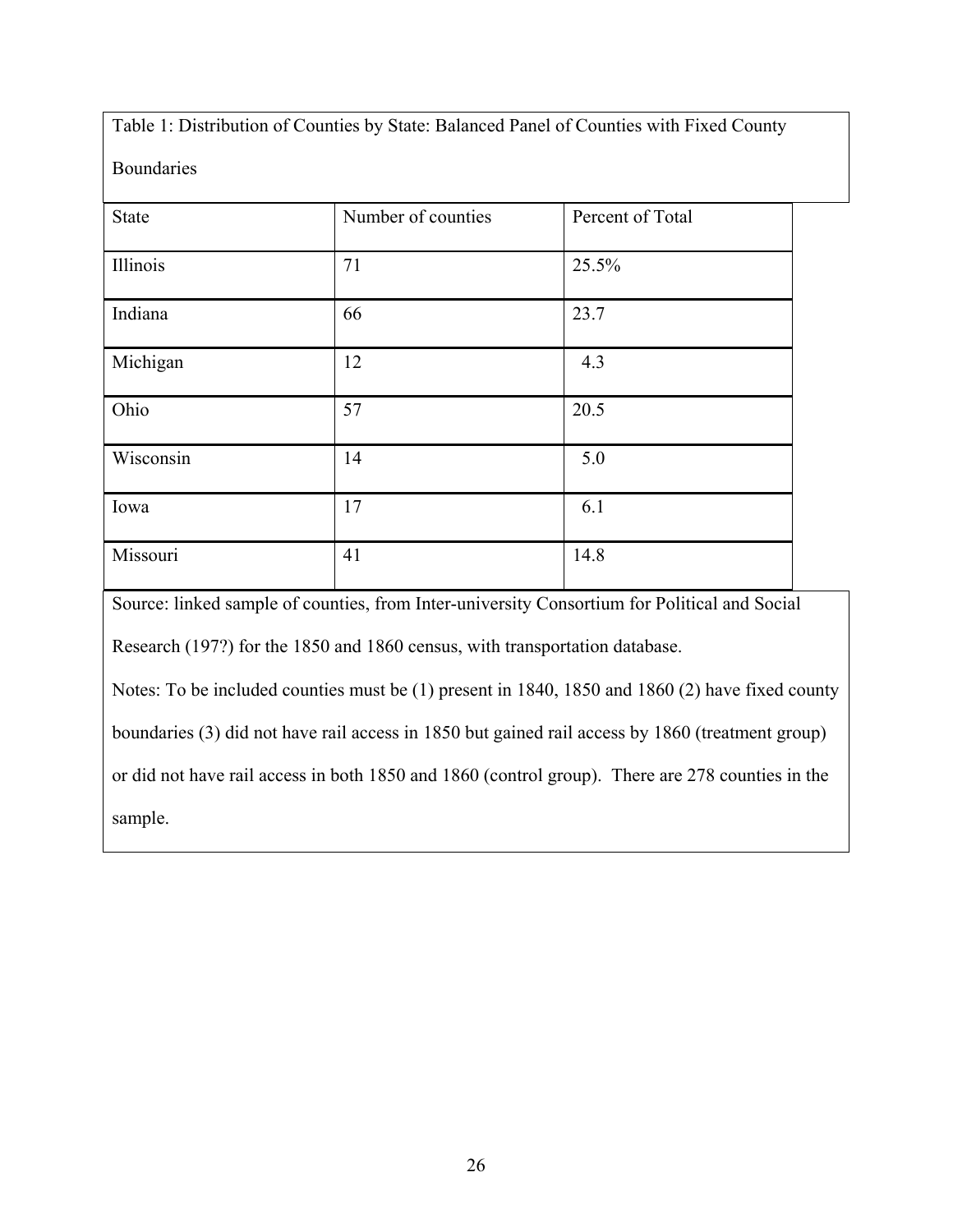Table 1: Distribution of Counties by State: Balanced Panel of Counties with Fixed County

Boundaries

| <b>State</b> | Number of counties | Percent of Total |
|--------------|--------------------|------------------|
| Illinois     | 71                 | 25.5%            |
| Indiana      | 66                 | 23.7             |
| Michigan     | 12                 | 4.3              |
| Ohio         | 57                 | 20.5             |
| Wisconsin    | 14                 | 5.0              |
| Iowa         | 17                 | 6.1              |
| Missouri     | 41                 | 14.8             |

Source: linked sample of counties, from Inter-university Consortium for Political and Social

Research (197?) for the 1850 and 1860 census, with transportation database.

Notes: To be included counties must be (1) present in 1840, 1850 and 1860 (2) have fixed county

boundaries (3) did not have rail access in 1850 but gained rail access by 1860 (treatment group)

or did not have rail access in both 1850 and 1860 (control group). There are 278 counties in the

sample.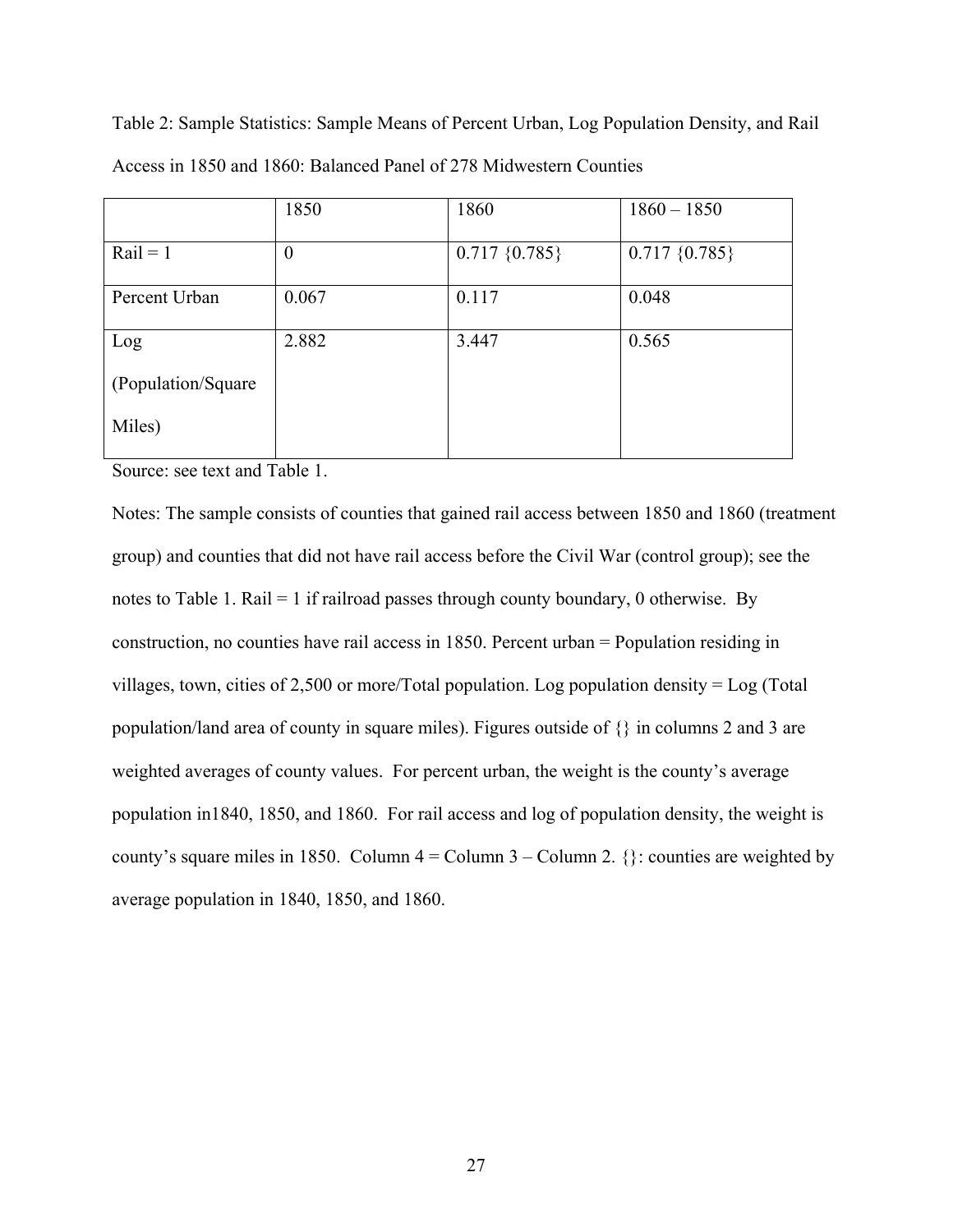|                     | 1850             | 1860              | $1860 - 1850$     |
|---------------------|------------------|-------------------|-------------------|
| $Rain = 1$          | $\boldsymbol{0}$ | $0.717 \{0.785\}$ | $0.717 \{0.785\}$ |
| Percent Urban       | 0.067            | 0.117             | 0.048             |
| Log                 | 2.882            | 3.447             | 0.565             |
| (Population/Square) |                  |                   |                   |
| Miles)              |                  |                   |                   |

Table 2: Sample Statistics: Sample Means of Percent Urban, Log Population Density, and Rail Access in 1850 and 1860: Balanced Panel of 278 Midwestern Counties

Source: see text and Table 1.

Notes: The sample consists of counties that gained rail access between 1850 and 1860 (treatment group) and counties that did not have rail access before the Civil War (control group); see the notes to Table 1. Rail = 1 if railroad passes through county boundary, 0 otherwise. By construction, no counties have rail access in 1850. Percent urban = Population residing in villages, town, cities of 2,500 or more/Total population. Log population density = Log (Total population/land area of county in square miles). Figures outside of {} in columns 2 and 3 are weighted averages of county values. For percent urban, the weight is the county's average population in1840, 1850, and 1860. For rail access and log of population density, the weight is county's square miles in 1850. Column  $4 =$  Column  $3 -$ Column 2.  $\}$ : counties are weighted by average population in 1840, 1850, and 1860.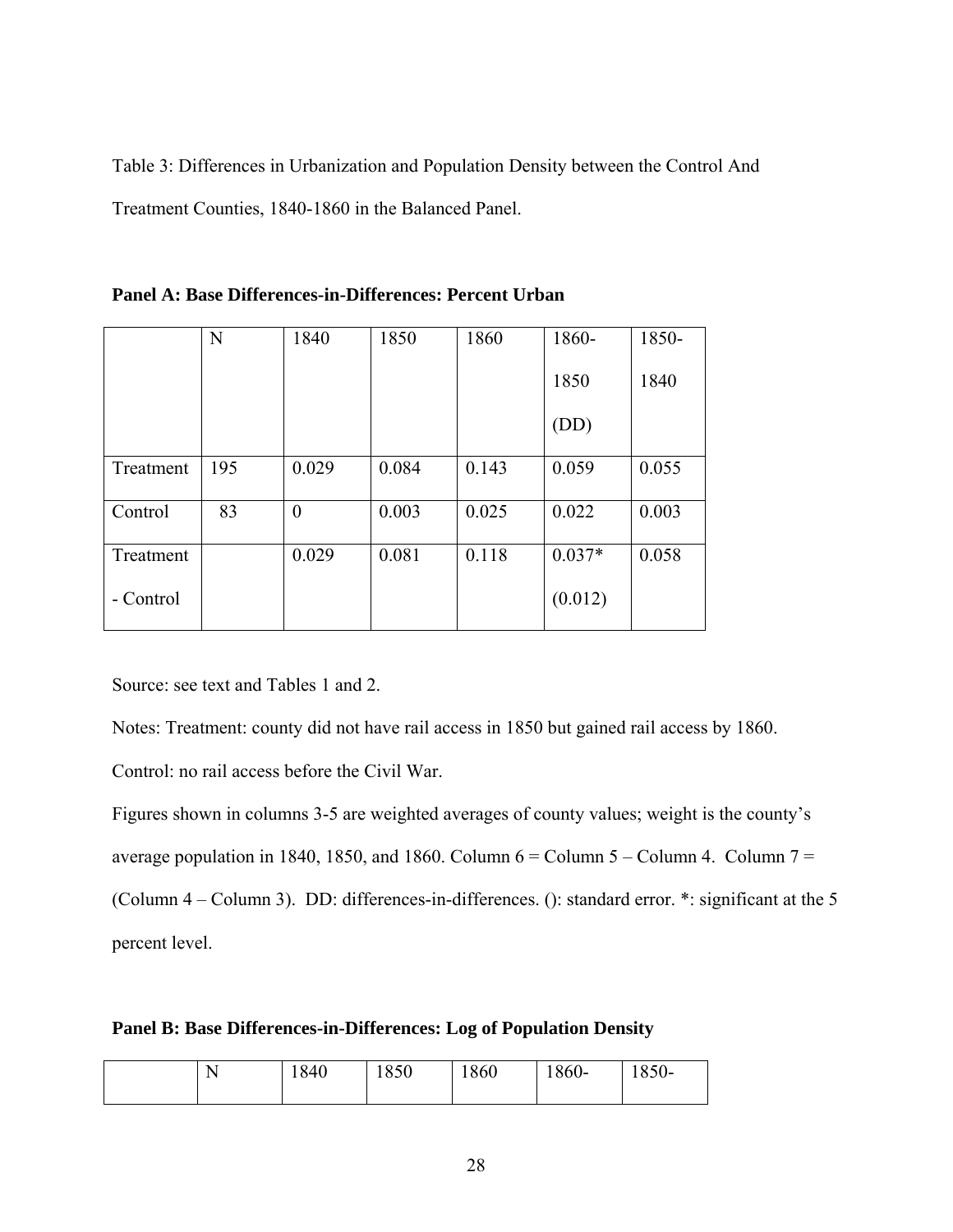Table 3: Differences in Urbanization and Population Density between the Control And Treatment Counties, 1840-1860 in the Balanced Panel.

|           | N   | 1840             | 1850  | 1860  | 1860-    | 1850- |
|-----------|-----|------------------|-------|-------|----------|-------|
|           |     |                  |       |       | 1850     | 1840  |
|           |     |                  |       |       | (DD)     |       |
| Treatment | 195 | 0.029            | 0.084 | 0.143 | 0.059    | 0.055 |
| Control   | 83  | $\boldsymbol{0}$ | 0.003 | 0.025 | 0.022    | 0.003 |
| Treatment |     | 0.029            | 0.081 | 0.118 | $0.037*$ | 0.058 |
| - Control |     |                  |       |       | (0.012)  |       |

|  | Panel A: Base Differences-in-Differences: Percent Urban |  |
|--|---------------------------------------------------------|--|
|  |                                                         |  |

Source: see text and Tables 1 and 2.

Notes: Treatment: county did not have rail access in 1850 but gained rail access by 1860.

Control: no rail access before the Civil War.

Figures shown in columns 3-5 are weighted averages of county values; weight is the county's average population in 1840, 1850, and 1860. Column  $6 =$  Column  $5 -$ Column 4. Column  $7 =$ (Column 4 – Column 3). DD: differences-in-differences. (): standard error. \*: significant at the 5

percent level.

| Panel B: Base Differences-in-Differences: Log of Population Density |  |
|---------------------------------------------------------------------|--|
|---------------------------------------------------------------------|--|

| . . | 1840 | 1850 | 1860 | $1860 -$ | 850- |
|-----|------|------|------|----------|------|
|-----|------|------|------|----------|------|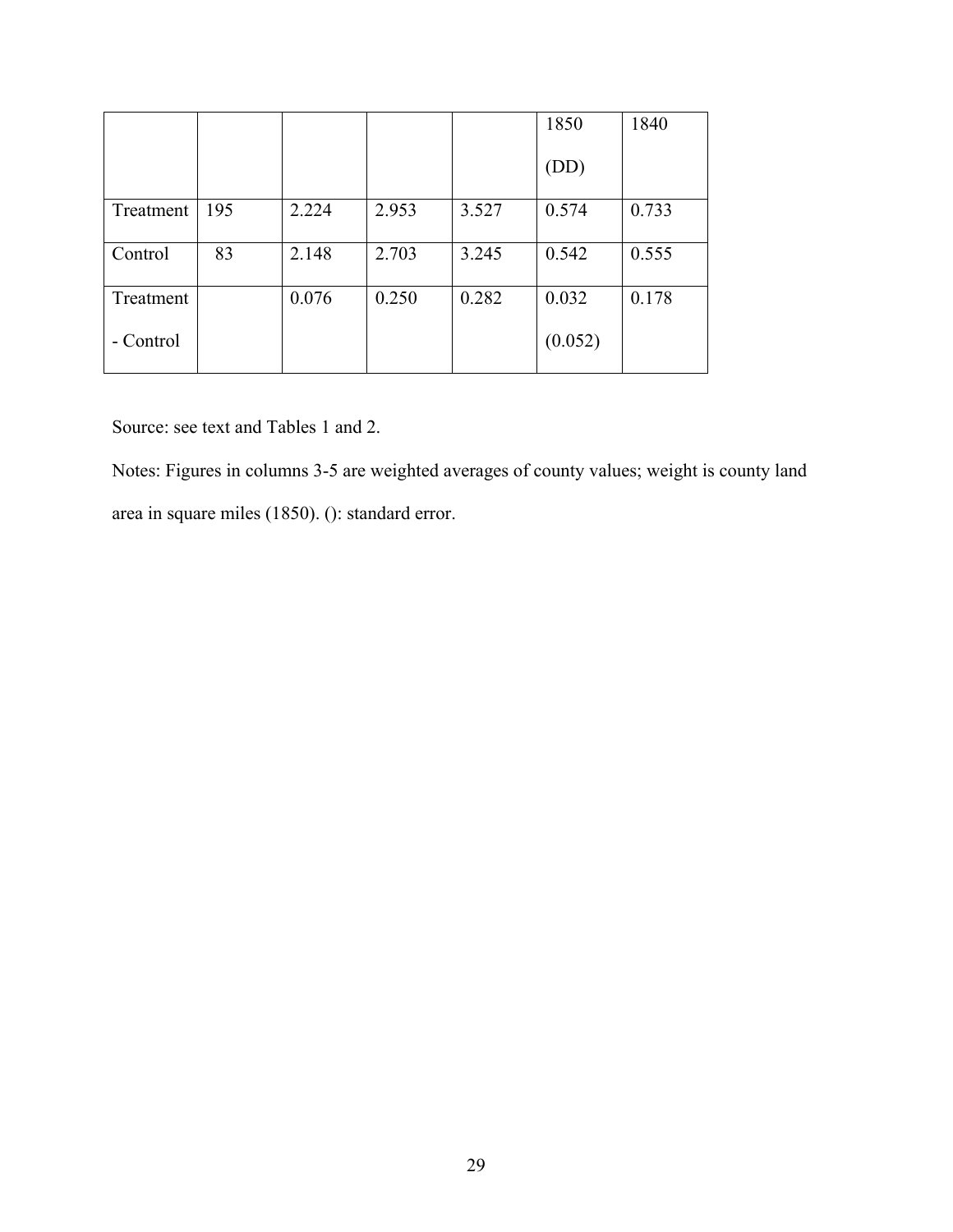|           |     |       |       |       | 1850    | 1840  |
|-----------|-----|-------|-------|-------|---------|-------|
|           |     |       |       |       | (DD)    |       |
| Treatment | 195 | 2.224 | 2.953 | 3.527 | 0.574   | 0.733 |
| Control   | 83  | 2.148 | 2.703 | 3.245 | 0.542   | 0.555 |
| Treatment |     | 0.076 | 0.250 | 0.282 | 0.032   | 0.178 |
| - Control |     |       |       |       | (0.052) |       |

Source: see text and Tables 1 and 2.

Notes: Figures in columns 3-5 are weighted averages of county values; weight is county land area in square miles (1850). (): standard error.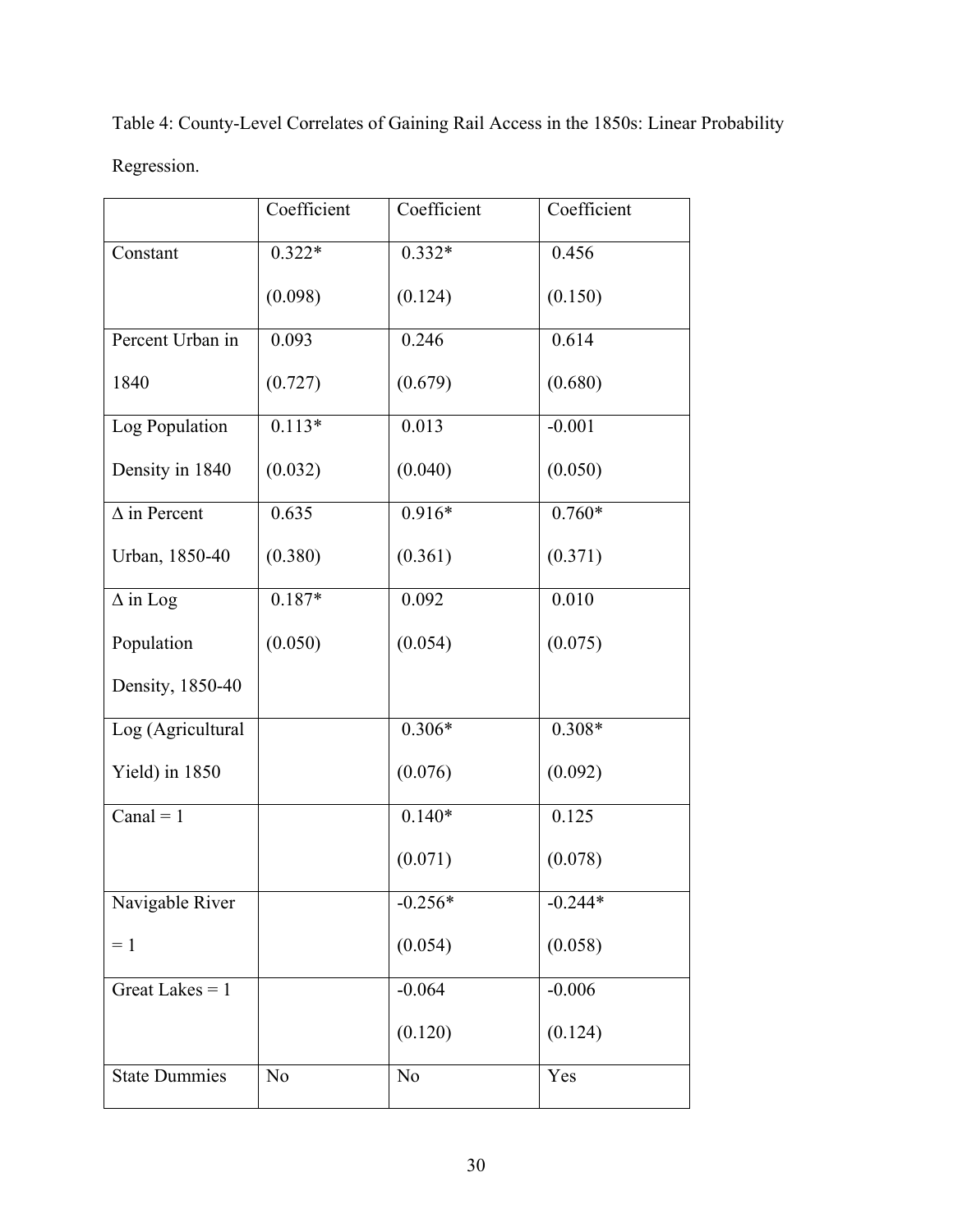| Table 4: County-Level Correlates of Gaining Rail Access in the 1850s: Linear Probability |  |
|------------------------------------------------------------------------------------------|--|
| Regression.                                                                              |  |

|                      | Coefficient    | Coefficient | Coefficient |
|----------------------|----------------|-------------|-------------|
| Constant             | $0.322*$       | $0.332*$    | 0.456       |
|                      | (0.098)        | (0.124)     | (0.150)     |
| Percent Urban in     | 0.093          | 0.246       | 0.614       |
| 1840                 | (0.727)        | (0.679)     | (0.680)     |
| Log Population       | $0.113*$       | 0.013       | $-0.001$    |
| Density in 1840      | (0.032)        | (0.040)     | (0.050)     |
| $\Delta$ in Percent  | 0.635          | $0.916*$    | $0.760*$    |
| Urban, 1850-40       | (0.380)        | (0.361)     | (0.371)     |
| $\Delta$ in Log      | $0.187*$       | 0.092       | 0.010       |
| Population           | (0.050)        | (0.054)     | (0.075)     |
| Density, 1850-40     |                |             |             |
| Log (Agricultural    |                | $0.306*$    | $0.308*$    |
| Yield) in 1850       |                | (0.076)     | (0.092)     |
| Canal = $1$          |                | $0.140*$    | 0.125       |
|                      |                | (0.071)     | (0.078)     |
| Navigable River      |                | $-0.256*$   | $-0.244*$   |
| $=1$                 |                | (0.054)     | (0.058)     |
| Great Lakes $= 1$    |                | $-0.064$    | $-0.006$    |
|                      |                | (0.120)     | (0.124)     |
| <b>State Dummies</b> | N <sub>o</sub> | No          | Yes         |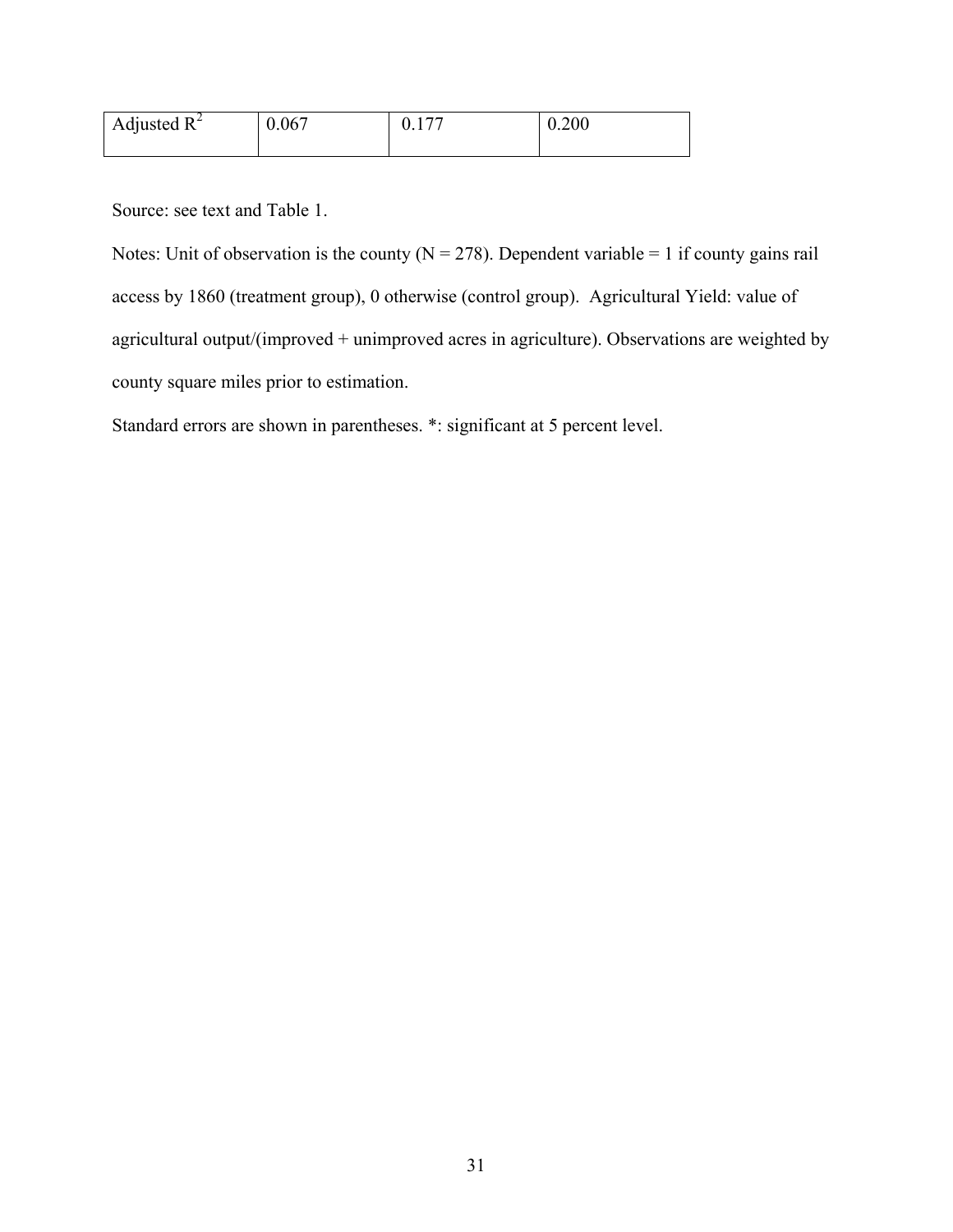| Adjusted $R^2$ | 0.067 | 0.200 |
|----------------|-------|-------|
|                |       |       |

Source: see text and Table 1.

Notes: Unit of observation is the county ( $N = 278$ ). Dependent variable = 1 if county gains rail access by 1860 (treatment group), 0 otherwise (control group). Agricultural Yield: value of agricultural output/(improved + unimproved acres in agriculture). Observations are weighted by county square miles prior to estimation.

Standard errors are shown in parentheses. \*: significant at 5 percent level.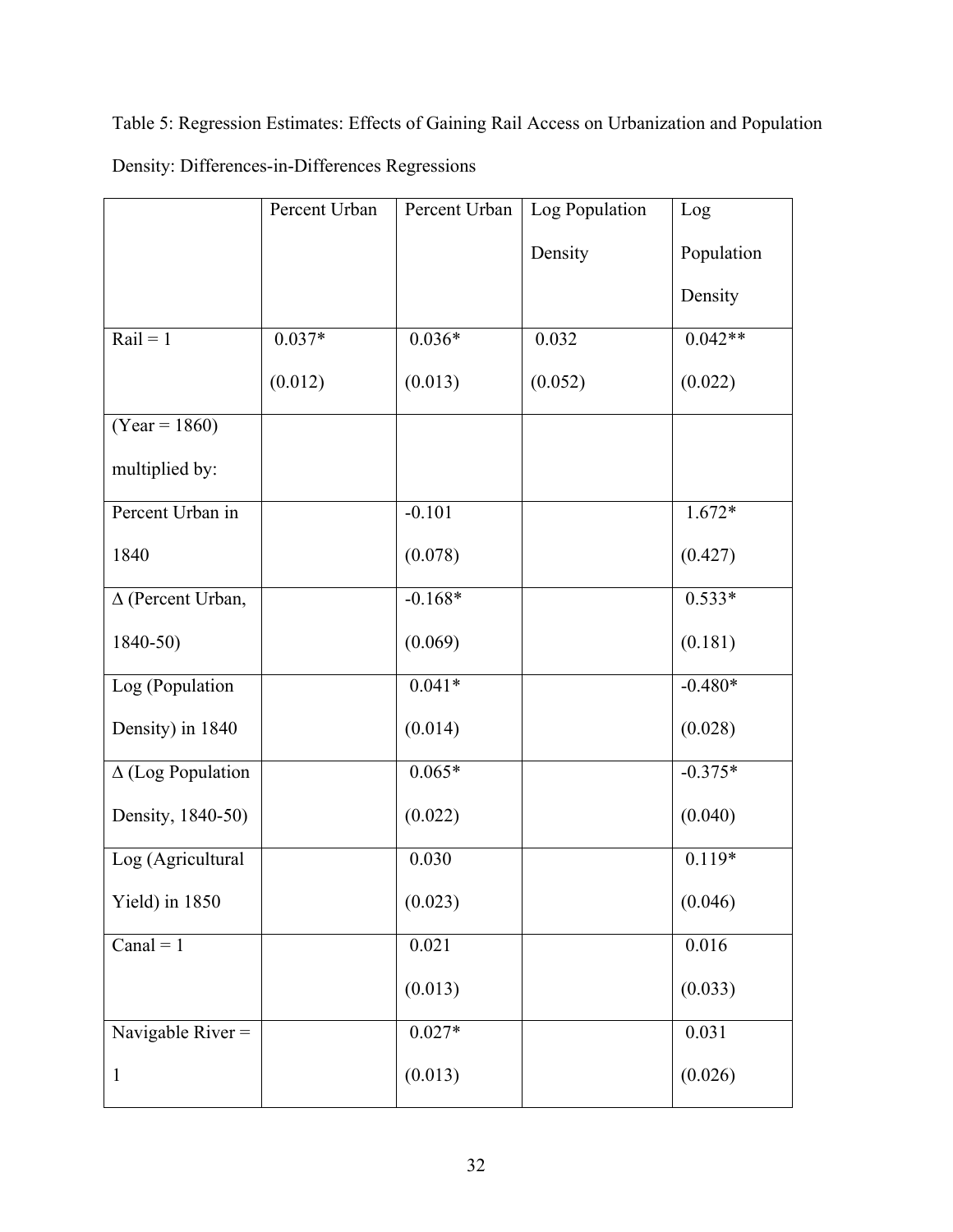Table 5: Regression Estimates: Effects of Gaining Rail Access on Urbanization and Population Density: Differences-in-Differences Regressions

|                          | Percent Urban | Percent Urban | Log Population | Log        |
|--------------------------|---------------|---------------|----------------|------------|
|                          |               |               | Density        | Population |
|                          |               |               |                | Density    |
| $\overline{Rail} = 1$    | $0.037*$      | $0.036*$      | 0.032          | $0.042**$  |
|                          | (0.012)       | (0.013)       | (0.052)        | (0.022)    |
| $(Year = 1860)$          |               |               |                |            |
| multiplied by:           |               |               |                |            |
| Percent Urban in         |               | $-0.101$      |                | $1.672*$   |
| 1840                     |               | (0.078)       |                | (0.427)    |
| $\Delta$ (Percent Urban, |               | $-0.168*$     |                | $0.533*$   |
| $1840 - 50$              |               | (0.069)       |                | (0.181)    |
| Log (Population          |               | $0.041*$      |                | $-0.480*$  |
| Density) in 1840         |               | (0.014)       |                | (0.028)    |
| $\Delta$ (Log Population |               | $0.065*$      |                | $-0.375*$  |
| Density, 1840-50)        |               | (0.022)       |                | (0.040)    |
| Log (Agricultural        |               | 0.030         |                | $0.119*$   |
| Yield) in 1850           |               | (0.023)       |                | (0.046)    |
| Canal = $1$              |               | 0.021         |                | 0.016      |
|                          |               | (0.013)       |                | (0.033)    |
| Navigable River $=$      |               | $0.027*$      |                | 0.031      |
| $\mathbf{1}$             |               | (0.013)       |                | (0.026)    |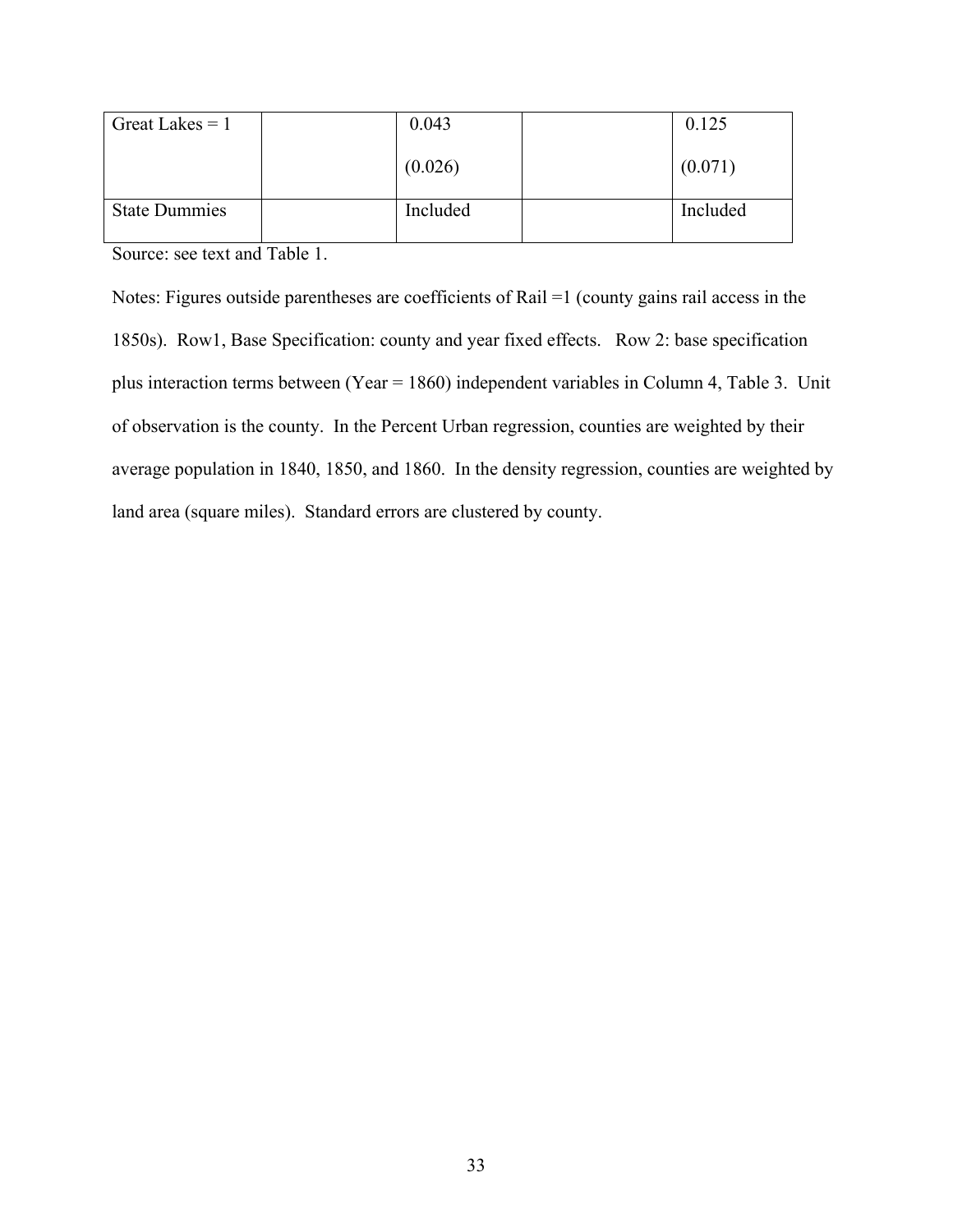| Great Lakes $= 1$    | 0.043    | 0.125    |
|----------------------|----------|----------|
|                      | (0.026)  | (0.071)  |
| <b>State Dummies</b> | Included | Included |

Source: see text and Table 1.

Notes: Figures outside parentheses are coefficients of Rail =1 (county gains rail access in the 1850s). Row1, Base Specification: county and year fixed effects. Row 2: base specification plus interaction terms between (Year = 1860) independent variables in Column 4, Table 3. Unit of observation is the county. In the Percent Urban regression, counties are weighted by their average population in 1840, 1850, and 1860. In the density regression, counties are weighted by land area (square miles). Standard errors are clustered by county.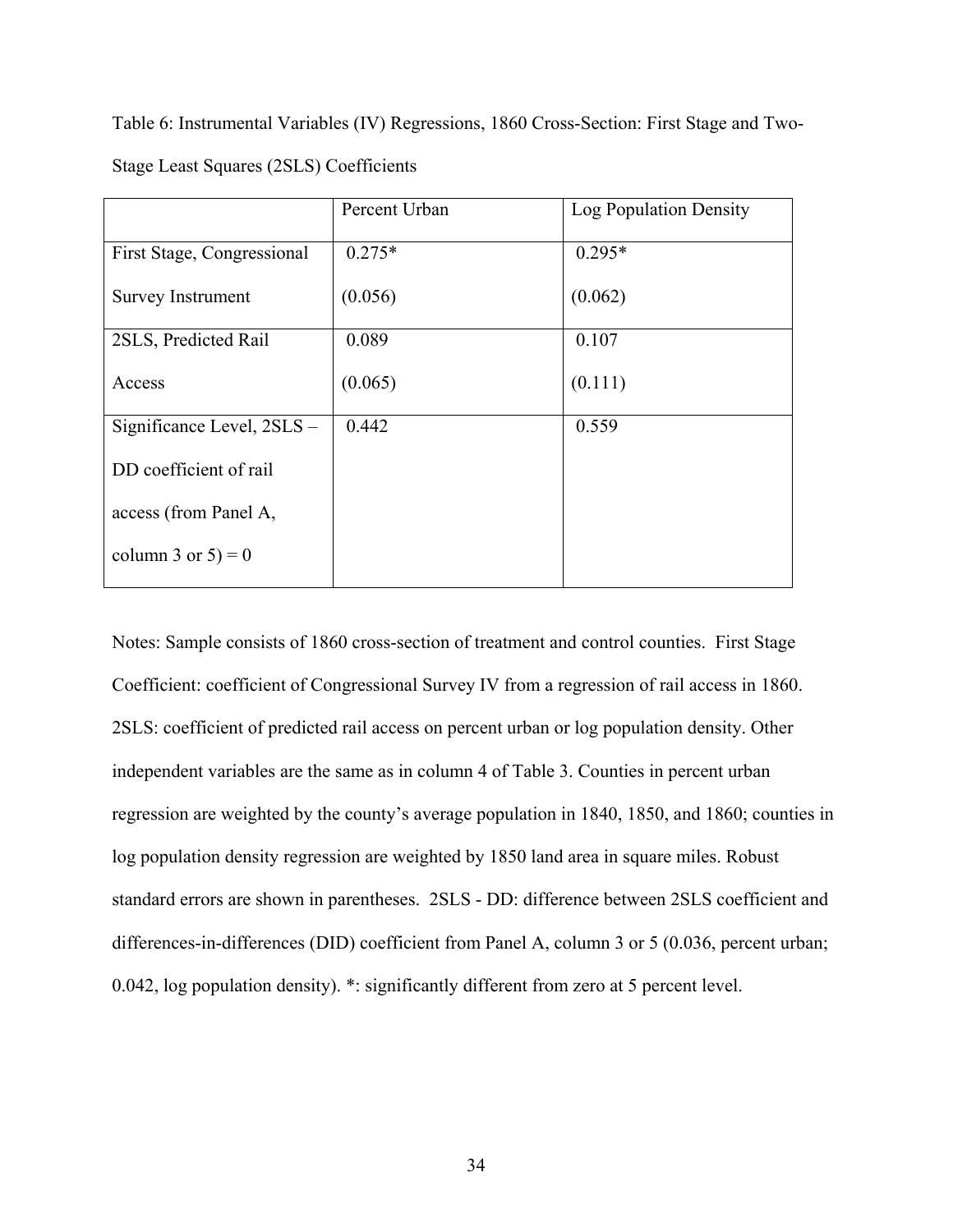Table 6: Instrumental Variables (IV) Regressions, 1860 Cross-Section: First Stage and Two-Stage Least Squares (2SLS) Coefficients

|                            | Percent Urban | Log Population Density |
|----------------------------|---------------|------------------------|
| First Stage, Congressional | $0.275*$      | $0.295*$               |
| <b>Survey Instrument</b>   | (0.056)       | (0.062)                |
| 2SLS, Predicted Rail       | 0.089         | 0.107                  |
| Access                     | (0.065)       | (0.111)                |
| Significance Level, 2SLS - | 0.442         | 0.559                  |
| DD coefficient of rail     |               |                        |
| access (from Panel A,      |               |                        |
| column 3 or $5 = 0$        |               |                        |

Notes: Sample consists of 1860 cross-section of treatment and control counties. First Stage Coefficient: coefficient of Congressional Survey IV from a regression of rail access in 1860. 2SLS: coefficient of predicted rail access on percent urban or log population density. Other independent variables are the same as in column 4 of Table 3. Counties in percent urban regression are weighted by the county's average population in 1840, 1850, and 1860; counties in log population density regression are weighted by 1850 land area in square miles. Robust standard errors are shown in parentheses. 2SLS - DD: difference between 2SLS coefficient and differences-in-differences (DID) coefficient from Panel A, column 3 or 5 (0.036, percent urban; 0.042, log population density). \*: significantly different from zero at 5 percent level.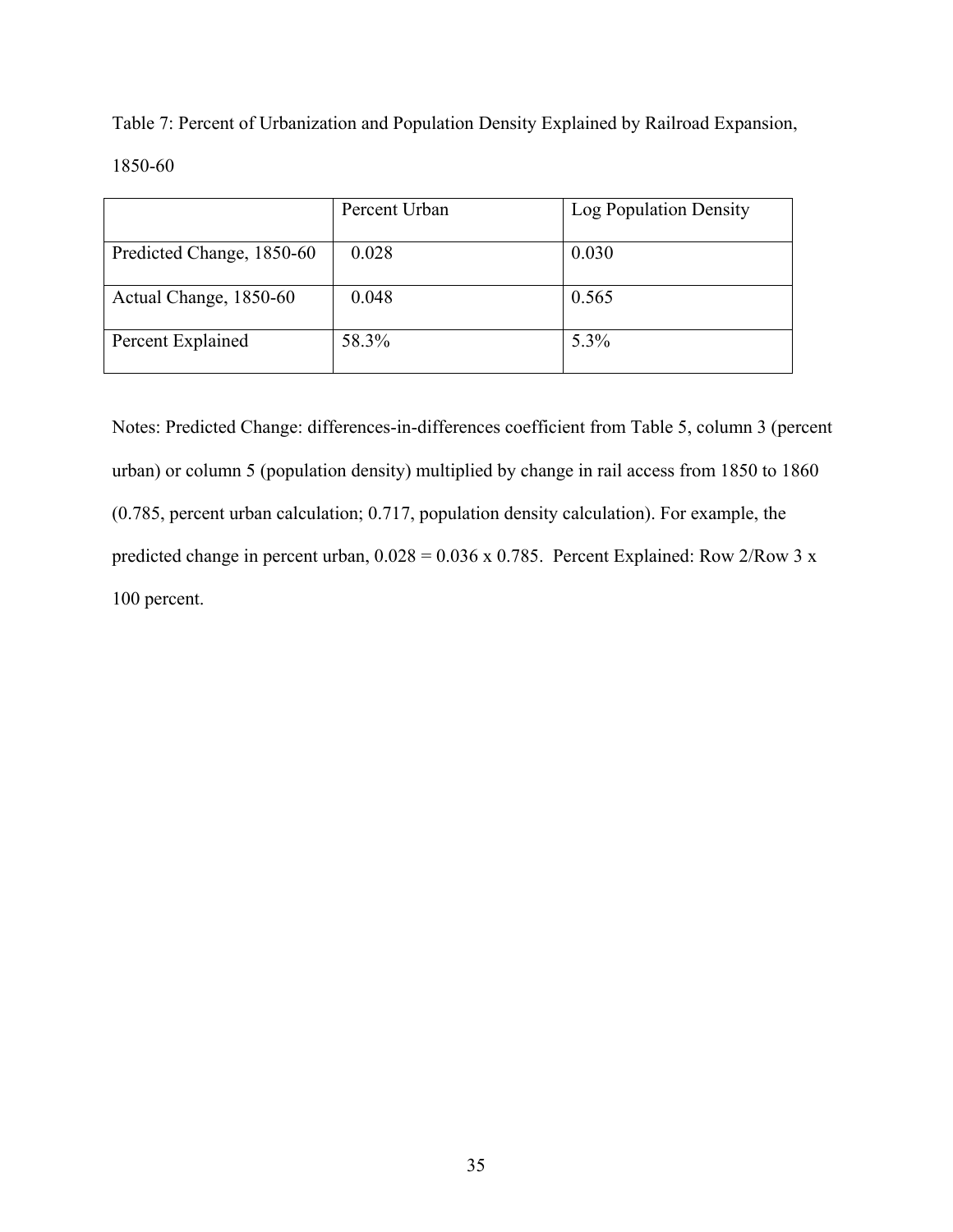Table 7: Percent of Urbanization and Population Density Explained by Railroad Expansion, 1850-60

|                           | Percent Urban | Log Population Density |
|---------------------------|---------------|------------------------|
| Predicted Change, 1850-60 | 0.028         | 0.030                  |
| Actual Change, 1850-60    | 0.048         | 0.565                  |
| Percent Explained         | 58.3%         | 5.3%                   |

Notes: Predicted Change: differences-in-differences coefficient from Table 5, column 3 (percent urban) or column 5 (population density) multiplied by change in rail access from 1850 to 1860 (0.785, percent urban calculation; 0.717, population density calculation). For example, the predicted change in percent urban,  $0.028 = 0.036 \times 0.785$ . Percent Explained: Row 2/Row 3 x 100 percent.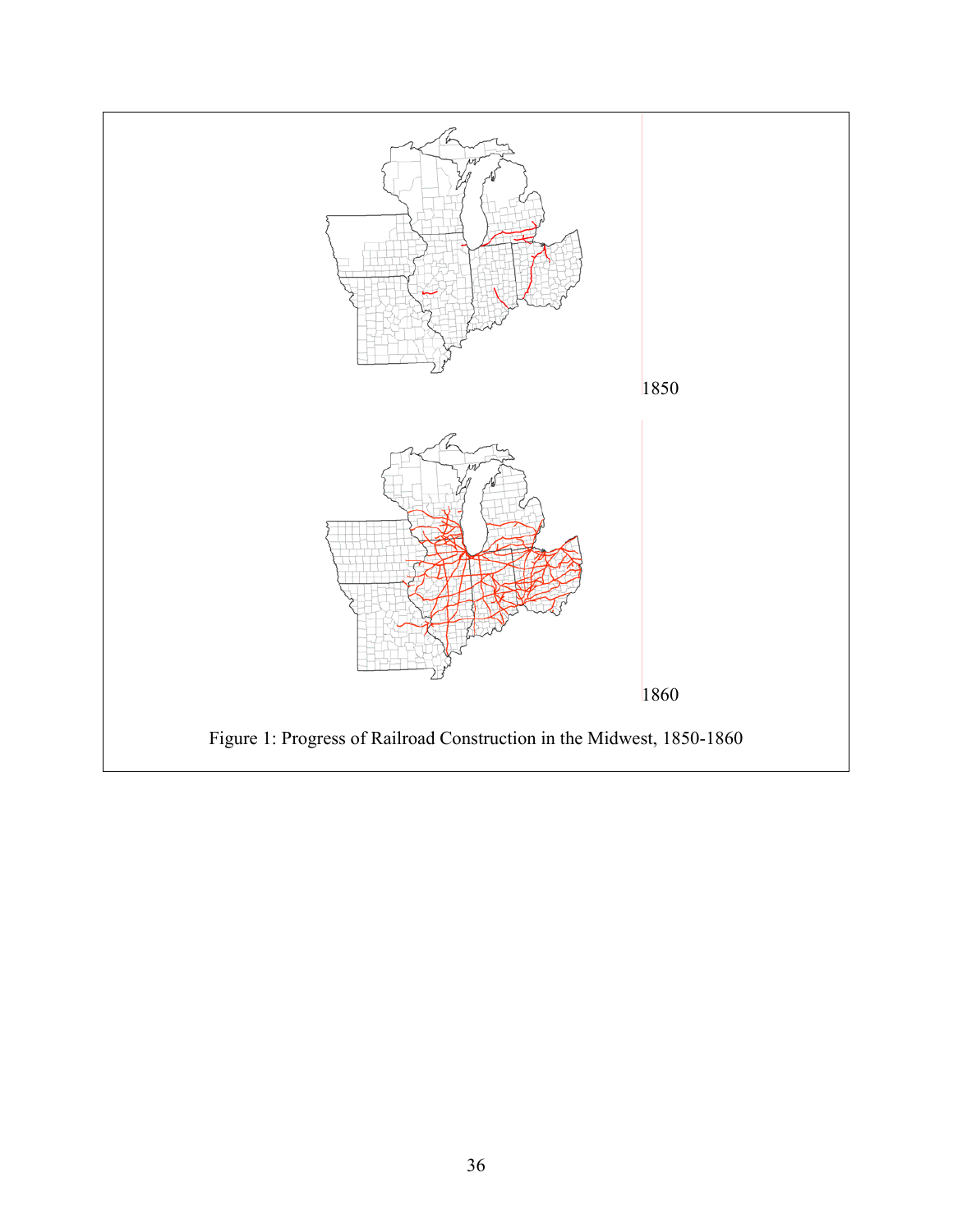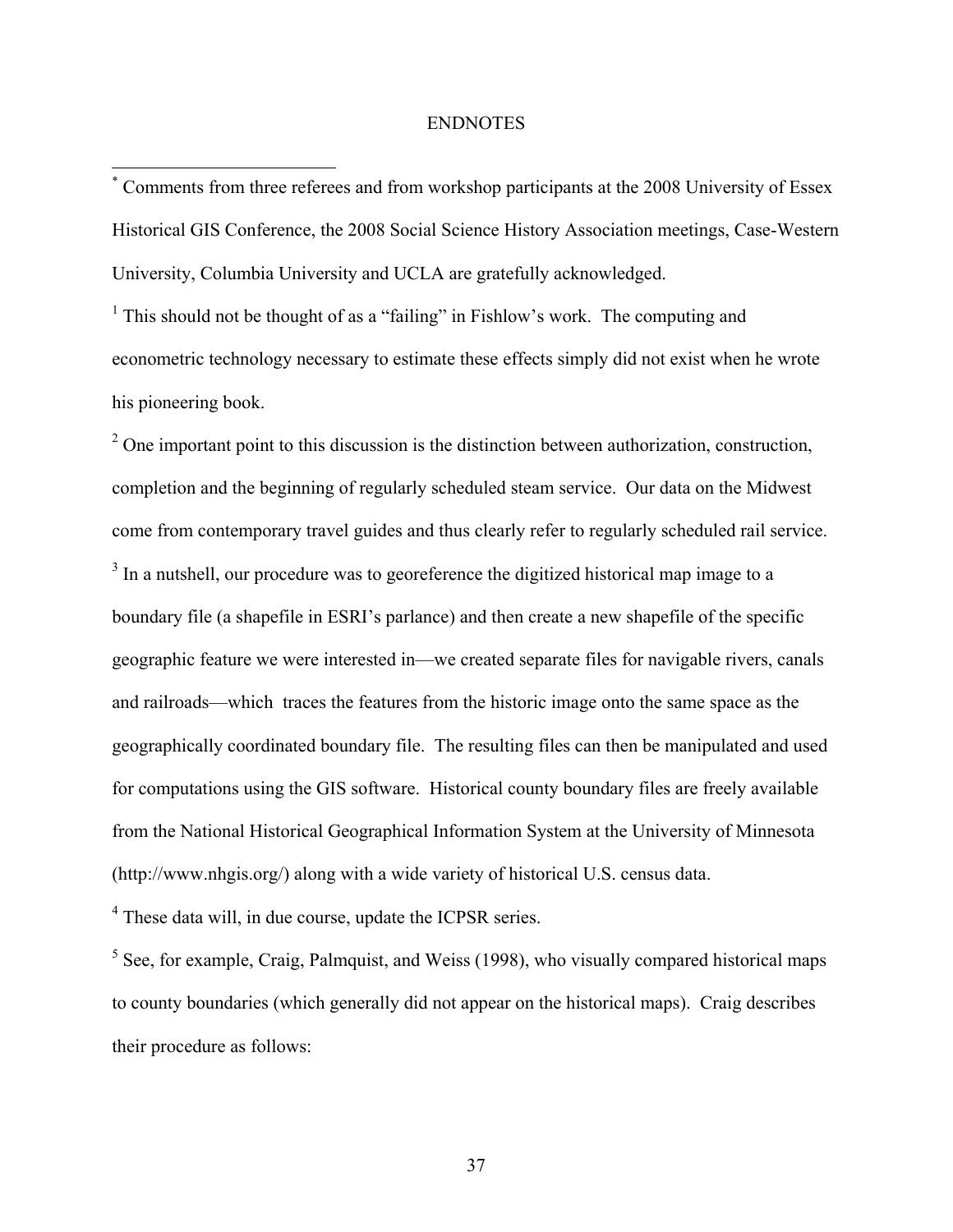## ENDNOTES

\* Comments from three referees and from workshop participants at the 2008 University of Essex Historical GIS Conference, the 2008 Social Science History Association meetings, Case-Western University, Columbia University and UCLA are gratefully acknowledged.

<sup>1</sup> This should not be thought of as a "failing" in Fishlow's work. The computing and econometric technology necessary to estimate these effects simply did not exist when he wrote his pioneering book.

 $2^2$  One important point to this discussion is the distinction between authorization, construction, completion and the beginning of regularly scheduled steam service. Our data on the Midwest come from contemporary travel guides and thus clearly refer to regularly scheduled rail service.  $3$  In a nutshell, our procedure was to georeference the digitized historical map image to a boundary file (a shapefile in ESRI's parlance) and then create a new shapefile of the specific geographic feature we were interested in—we created separate files for navigable rivers, canals and railroads—which traces the features from the historic image onto the same space as the geographically coordinated boundary file. The resulting files can then be manipulated and used for computations using the GIS software. Historical county boundary files are freely available from the National Historical Geographical Information System at the University of Minnesota (http://www.nhgis.org/) along with a wide variety of historical U.S. census data.

<sup>4</sup> These data will, in due course, update the ICPSR series.

 $\overline{a}$ 

 $<sup>5</sup>$  See, for example, Craig, Palmquist, and Weiss (1998), who visually compared historical maps</sup> to county boundaries (which generally did not appear on the historical maps). Craig describes their procedure as follows: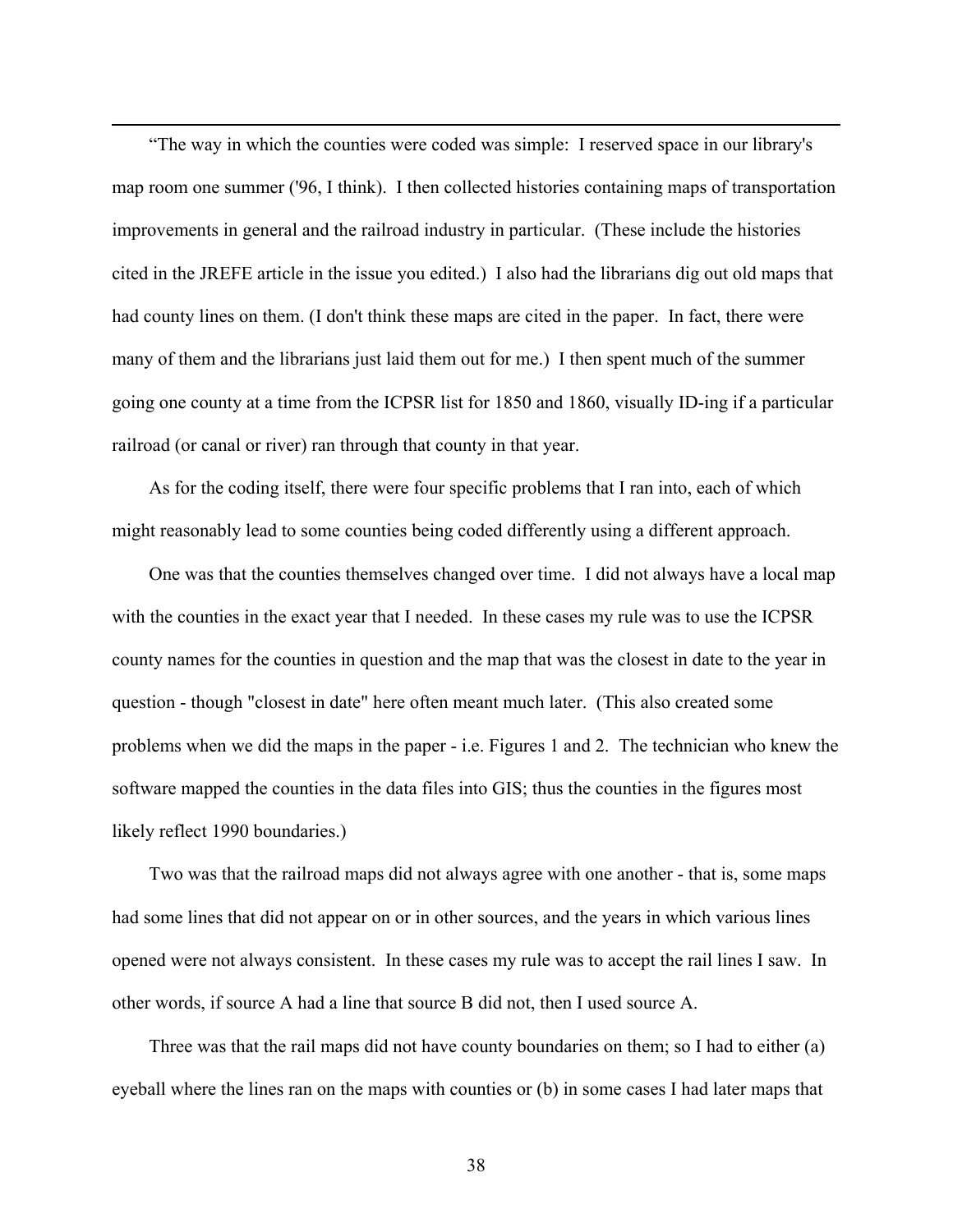"The way in which the counties were coded was simple: I reserved space in our library's map room one summer ('96, I think). I then collected histories containing maps of transportation improvements in general and the railroad industry in particular. (These include the histories cited in the JREFE article in the issue you edited.) I also had the librarians dig out old maps that had county lines on them. (I don't think these maps are cited in the paper. In fact, there were many of them and the librarians just laid them out for me.) I then spent much of the summer going one county at a time from the ICPSR list for 1850 and 1860, visually ID-ing if a particular railroad (or canal or river) ran through that county in that year.

 $\overline{a}$ 

As for the coding itself, there were four specific problems that I ran into, each of which might reasonably lead to some counties being coded differently using a different approach.

One was that the counties themselves changed over time. I did not always have a local map with the counties in the exact year that I needed. In these cases my rule was to use the ICPSR county names for the counties in question and the map that was the closest in date to the year in question - though "closest in date" here often meant much later. (This also created some problems when we did the maps in the paper - i.e. Figures 1 and 2. The technician who knew the software mapped the counties in the data files into GIS; thus the counties in the figures most likely reflect 1990 boundaries.)

Two was that the railroad maps did not always agree with one another - that is, some maps had some lines that did not appear on or in other sources, and the years in which various lines opened were not always consistent. In these cases my rule was to accept the rail lines I saw. In other words, if source A had a line that source B did not, then I used source A.

Three was that the rail maps did not have county boundaries on them; so I had to either (a) eyeball where the lines ran on the maps with counties or (b) in some cases I had later maps that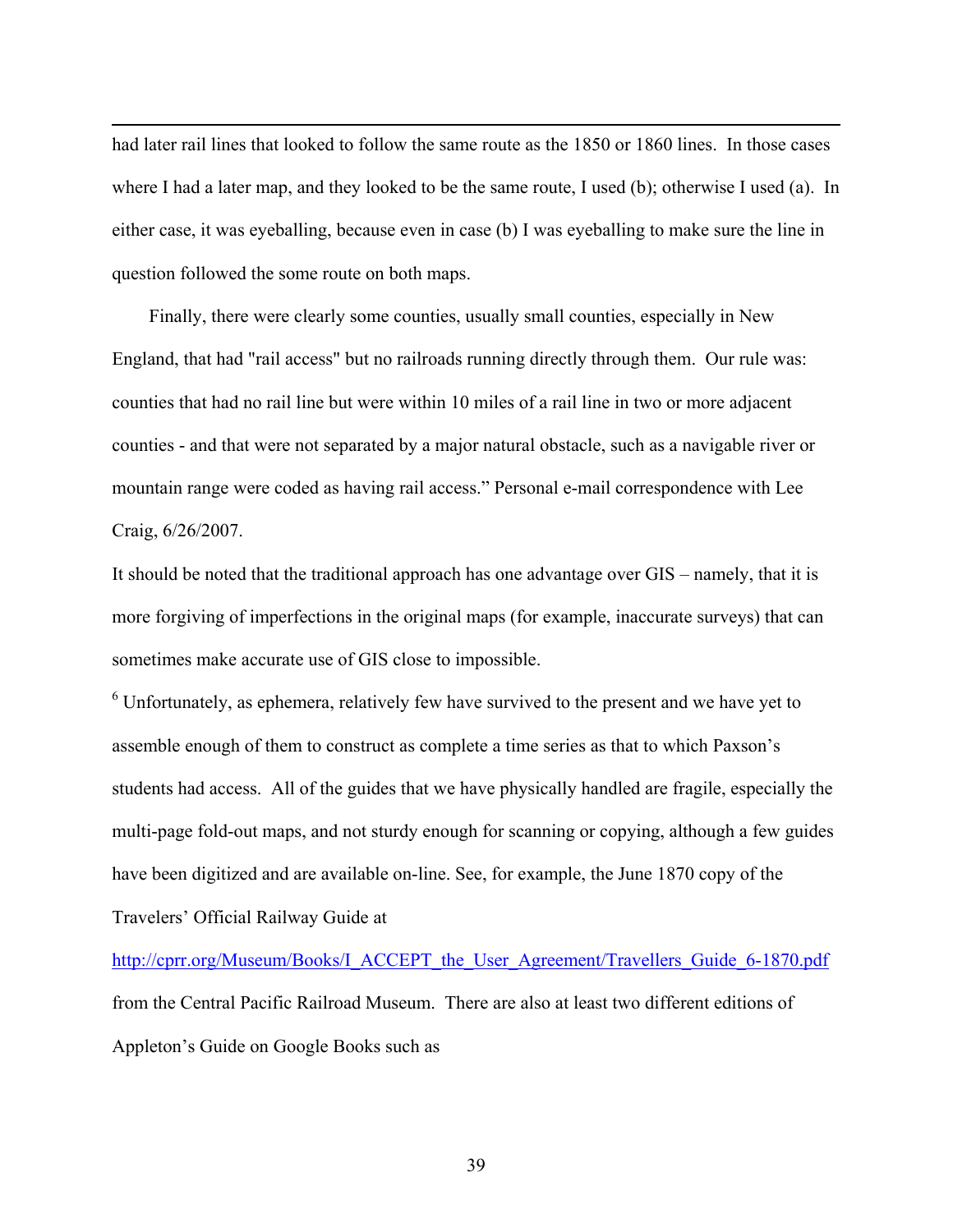had later rail lines that looked to follow the same route as the 1850 or 1860 lines. In those cases where I had a later map, and they looked to be the same route, I used (b); otherwise I used (a). In either case, it was eyeballing, because even in case (b) I was eyeballing to make sure the line in question followed the some route on both maps.

 $\overline{a}$ 

Finally, there were clearly some counties, usually small counties, especially in New England, that had "rail access" but no railroads running directly through them. Our rule was: counties that had no rail line but were within 10 miles of a rail line in two or more adjacent counties - and that were not separated by a major natural obstacle, such as a navigable river or mountain range were coded as having rail access." Personal e-mail correspondence with Lee Craig, 6/26/2007.

It should be noted that the traditional approach has one advantage over GIS – namely, that it is more forgiving of imperfections in the original maps (for example, inaccurate surveys) that can sometimes make accurate use of GIS close to impossible.

 $6$  Unfortunately, as ephemera, relatively few have survived to the present and we have yet to assemble enough of them to construct as complete a time series as that to which Paxson's students had access. All of the guides that we have physically handled are fragile, especially the multi-page fold-out maps, and not sturdy enough for scanning or copying, although a few guides have been digitized and are available on-line. See, for example, the June 1870 copy of the Travelers' Official Railway Guide at

http://cprr.org/Museum/Books/I\_ACCEPT\_the\_User\_Agreement/Travellers\_Guide\_6-1870.pdf from the Central Pacific Railroad Museum. There are also at least two different editions of Appleton's Guide on Google Books such as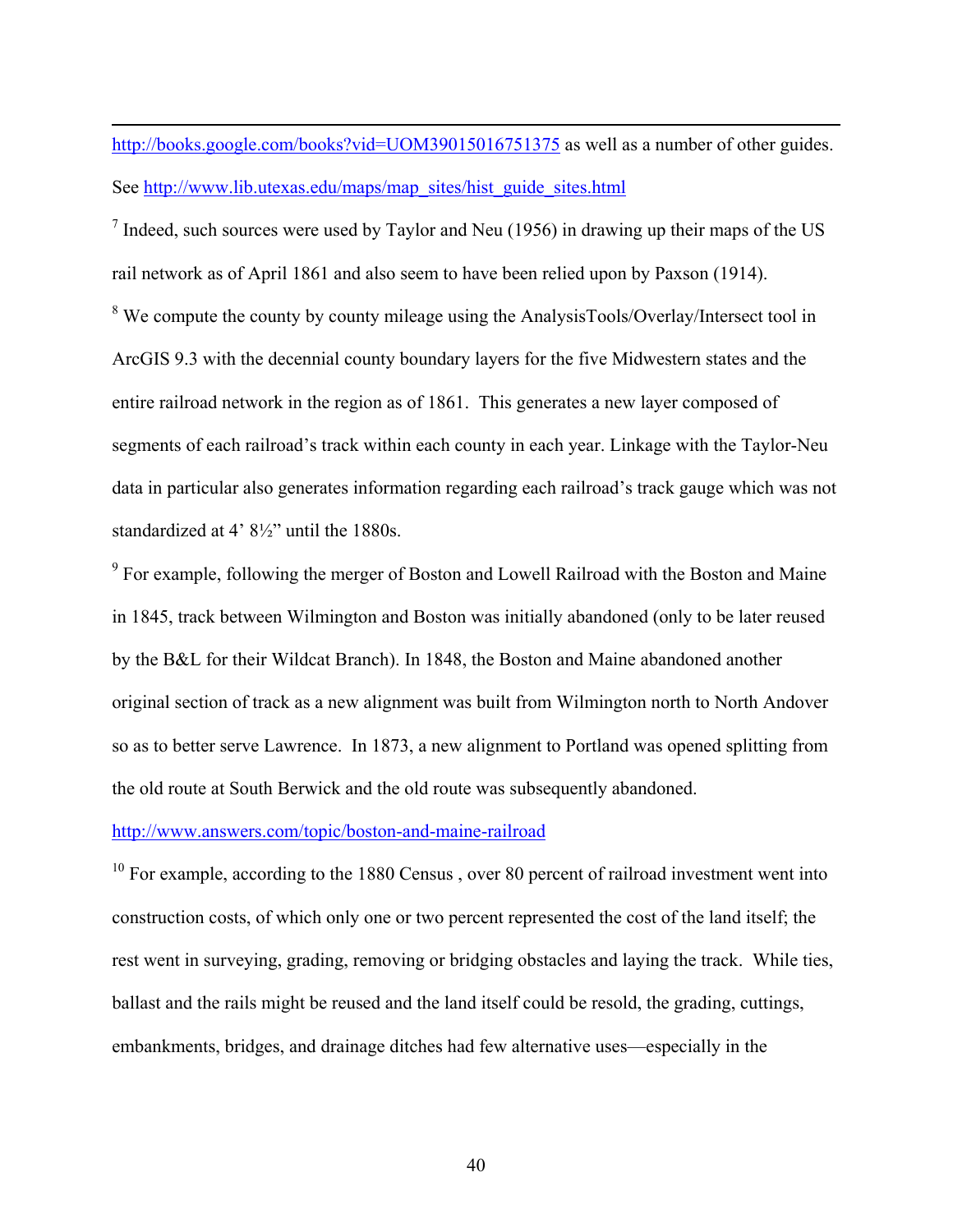# http://books.google.com/books?vid=UOM39015016751375 as well as a number of other guides. See http://www.lib.utexas.edu/maps/map\_sites/hist\_guide\_sites.html

 $<sup>7</sup>$  Indeed, such sources were used by Taylor and Neu (1956) in drawing up their maps of the US</sup> rail network as of April 1861 and also seem to have been relied upon by Paxson (1914).  $8$  We compute the county by county mileage using the AnalysisTools/Overlay/Intersect tool in ArcGIS 9.3 with the decennial county boundary layers for the five Midwestern states and the entire railroad network in the region as of 1861. This generates a new layer composed of segments of each railroad's track within each county in each year. Linkage with the Taylor-Neu data in particular also generates information regarding each railroad's track gauge which was not standardized at 4' 8½" until the 1880s.

<sup>9</sup> For example, following the merger of Boston and Lowell Railroad with the Boston and Maine in 1845, track between Wilmington and Boston was initially abandoned (only to be later reused by the B&L for their Wildcat Branch). In 1848, the Boston and Maine abandoned another original section of track as a new alignment was built from Wilmington north to North Andover so as to better serve Lawrence. In 1873, a new alignment to Portland was opened splitting from the old route at South Berwick and the old route was subsequently abandoned.

## http://www.answers.com/topic/boston-and-maine-railroad

 $\overline{a}$ 

 $10$  For example, according to the 1880 Census, over 80 percent of railroad investment went into construction costs, of which only one or two percent represented the cost of the land itself; the rest went in surveying, grading, removing or bridging obstacles and laying the track. While ties, ballast and the rails might be reused and the land itself could be resold, the grading, cuttings, embankments, bridges, and drainage ditches had few alternative uses—especially in the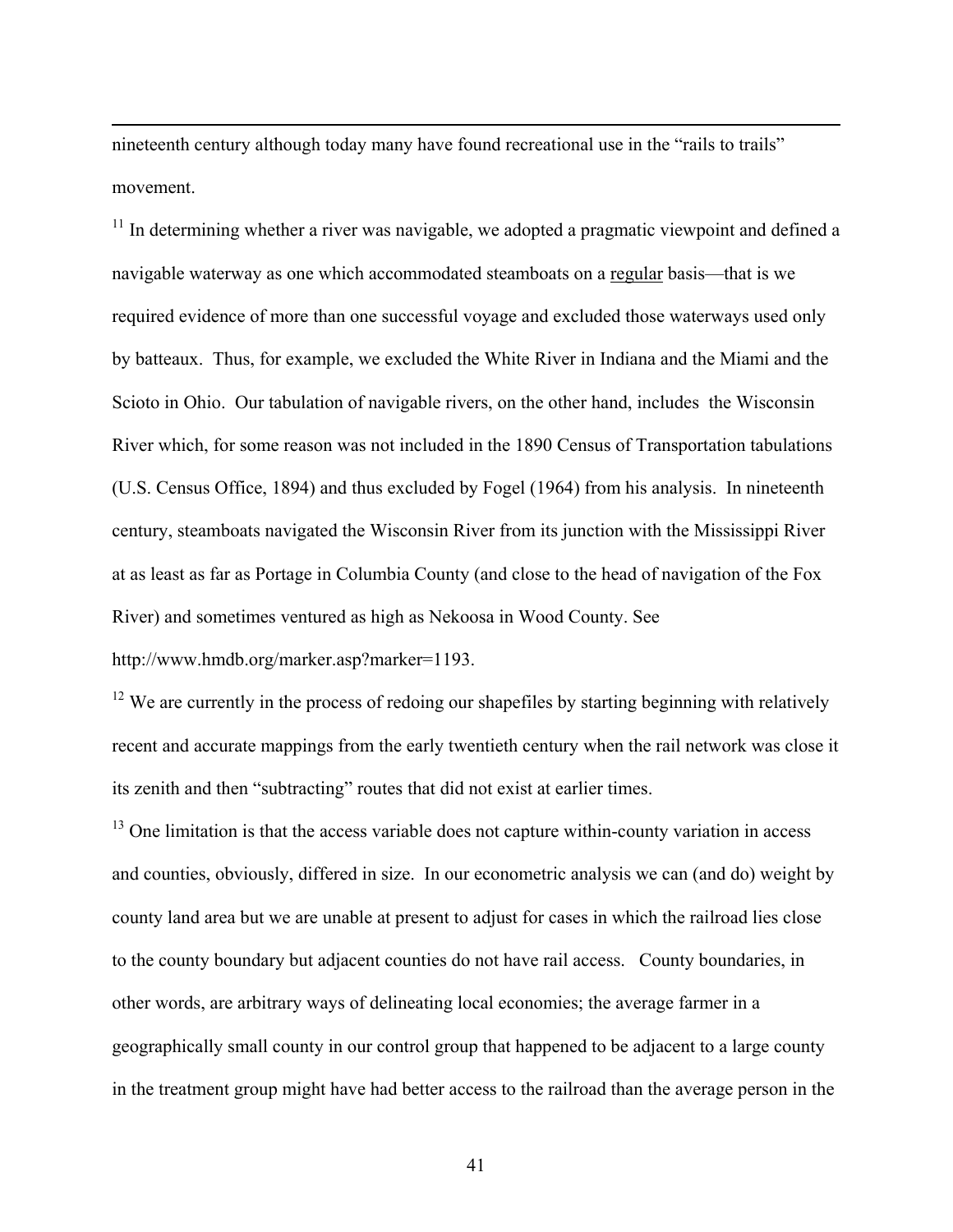nineteenth century although today many have found recreational use in the "rails to trails" movement.

 $11$  In determining whether a river was navigable, we adopted a pragmatic viewpoint and defined a navigable waterway as one which accommodated steamboats on a regular basis—that is we required evidence of more than one successful voyage and excluded those waterways used only by batteaux. Thus, for example, we excluded the White River in Indiana and the Miami and the Scioto in Ohio. Our tabulation of navigable rivers, on the other hand, includes the Wisconsin River which, for some reason was not included in the 1890 Census of Transportation tabulations (U.S. Census Office, 1894) and thus excluded by Fogel (1964) from his analysis. In nineteenth century, steamboats navigated the Wisconsin River from its junction with the Mississippi River at as least as far as Portage in Columbia County (and close to the head of navigation of the Fox River) and sometimes ventured as high as Nekoosa in Wood County. See

http://www.hmdb.org/marker.asp?marker=1193.

 $\overline{a}$ 

 $12$  We are currently in the process of redoing our shapefiles by starting beginning with relatively recent and accurate mappings from the early twentieth century when the rail network was close it its zenith and then "subtracting" routes that did not exist at earlier times.

<sup>13</sup> One limitation is that the access variable does not capture within-county variation in access and counties, obviously, differed in size. In our econometric analysis we can (and do) weight by county land area but we are unable at present to adjust for cases in which the railroad lies close to the county boundary but adjacent counties do not have rail access. County boundaries, in other words, are arbitrary ways of delineating local economies; the average farmer in a geographically small county in our control group that happened to be adjacent to a large county in the treatment group might have had better access to the railroad than the average person in the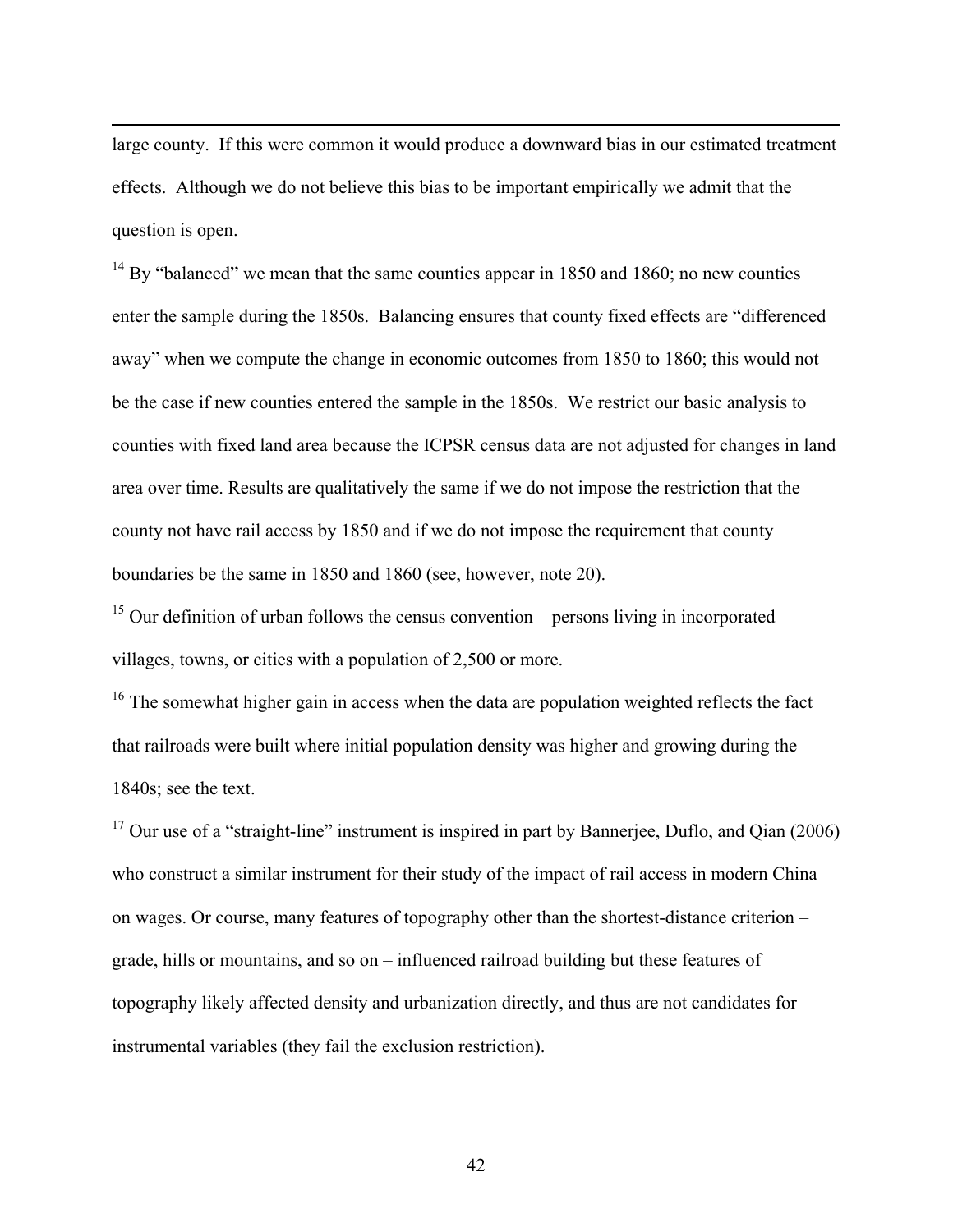large county. If this were common it would produce a downward bias in our estimated treatment effects. Although we do not believe this bias to be important empirically we admit that the question is open.

 $\overline{a}$ 

 $14$  By "balanced" we mean that the same counties appear in 1850 and 1860; no new counties enter the sample during the 1850s. Balancing ensures that county fixed effects are "differenced away" when we compute the change in economic outcomes from 1850 to 1860; this would not be the case if new counties entered the sample in the 1850s. We restrict our basic analysis to counties with fixed land area because the ICPSR census data are not adjusted for changes in land area over time. Results are qualitatively the same if we do not impose the restriction that the county not have rail access by 1850 and if we do not impose the requirement that county boundaries be the same in 1850 and 1860 (see, however, note 20).

 $15$  Our definition of urban follows the census convention – persons living in incorporated villages, towns, or cities with a population of 2,500 or more.

 $16$  The somewhat higher gain in access when the data are population weighted reflects the fact that railroads were built where initial population density was higher and growing during the 1840s; see the text.

 $17$  Our use of a "straight-line" instrument is inspired in part by Bannerjee, Duflo, and Qian (2006) who construct a similar instrument for their study of the impact of rail access in modern China on wages. Or course, many features of topography other than the shortest-distance criterion – grade, hills or mountains, and so on – influenced railroad building but these features of topography likely affected density and urbanization directly, and thus are not candidates for instrumental variables (they fail the exclusion restriction).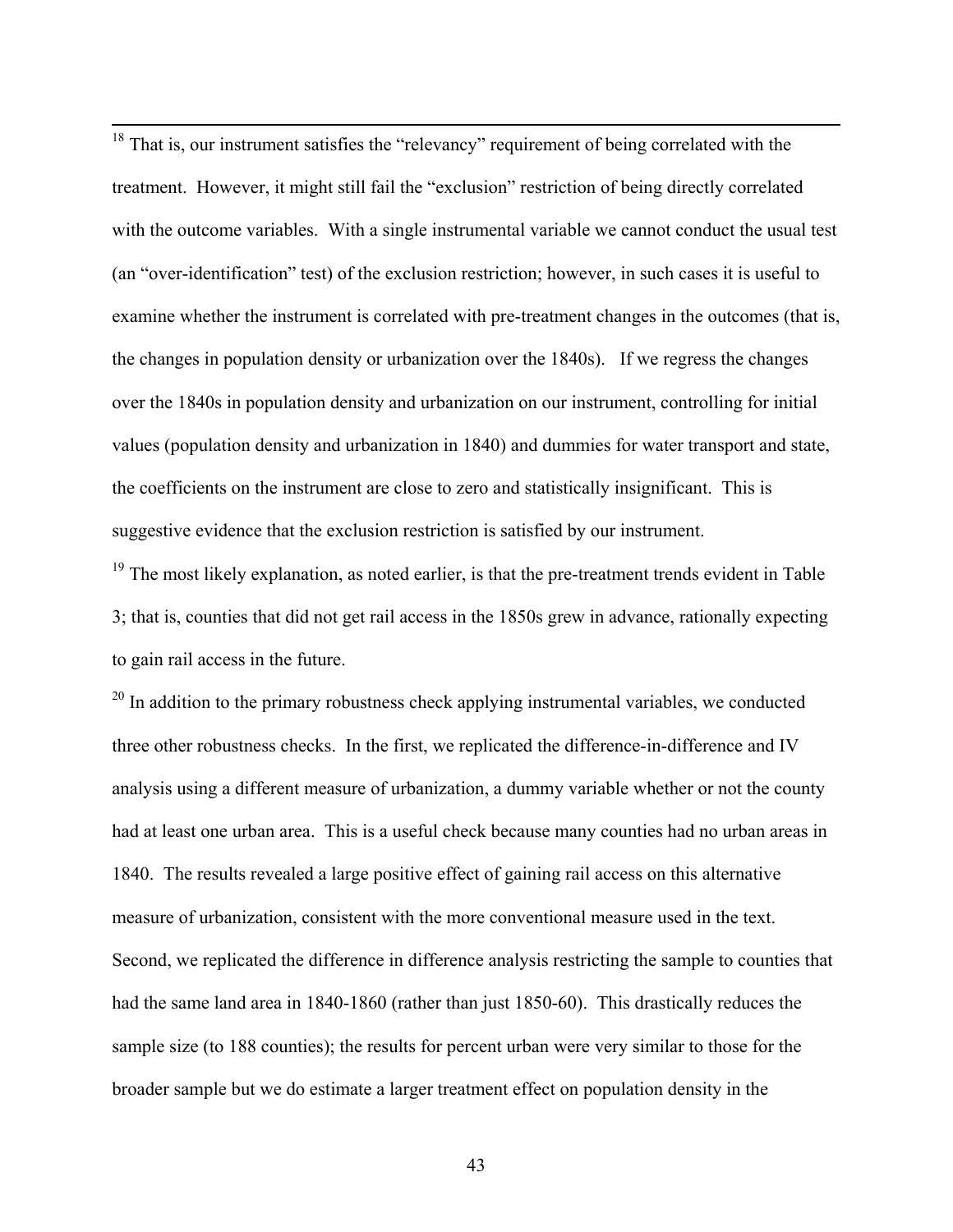<sup>18</sup> That is, our instrument satisfies the "relevancy" requirement of being correlated with the treatment. However, it might still fail the "exclusion" restriction of being directly correlated with the outcome variables. With a single instrumental variable we cannot conduct the usual test (an "over-identification" test) of the exclusion restriction; however, in such cases it is useful to examine whether the instrument is correlated with pre-treatment changes in the outcomes (that is, the changes in population density or urbanization over the 1840s). If we regress the changes over the 1840s in population density and urbanization on our instrument, controlling for initial values (population density and urbanization in 1840) and dummies for water transport and state, the coefficients on the instrument are close to zero and statistically insignificant. This is suggestive evidence that the exclusion restriction is satisfied by our instrument.

<sup>19</sup> The most likely explanation, as noted earlier, is that the pre-treatment trends evident in Table 3; that is, counties that did not get rail access in the 1850s grew in advance, rationally expecting to gain rail access in the future.

 $20$  In addition to the primary robustness check applying instrumental variables, we conducted three other robustness checks. In the first, we replicated the difference-in-difference and IV analysis using a different measure of urbanization, a dummy variable whether or not the county had at least one urban area. This is a useful check because many counties had no urban areas in 1840. The results revealed a large positive effect of gaining rail access on this alternative measure of urbanization, consistent with the more conventional measure used in the text. Second, we replicated the difference in difference analysis restricting the sample to counties that had the same land area in 1840-1860 (rather than just 1850-60). This drastically reduces the sample size (to 188 counties); the results for percent urban were very similar to those for the broader sample but we do estimate a larger treatment effect on population density in the